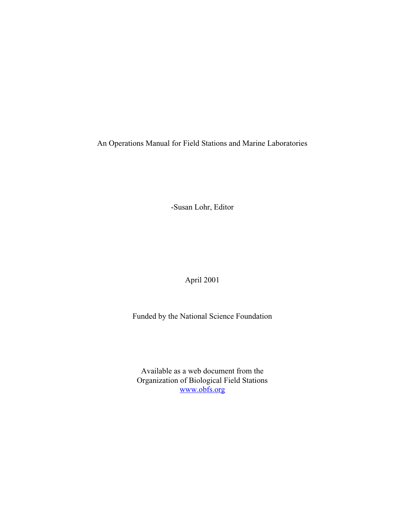An Operations Manual for Field Stations and Marine Laboratories

-Susan Lohr, Editor

April 2001

Funded by the National Science Foundation

Available as a web document from the Organization of Biological Field Stations www.obfs.org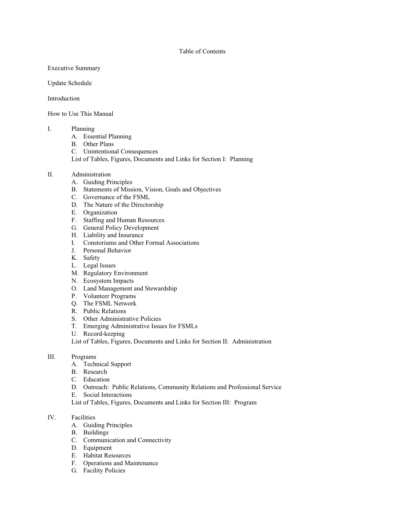## Table of Contents

Executive Summary

Update Schedule

Introduction

How to Use This Manual

## I. Planning

- A. Essential Planning
- B. Other Plans
- C. Unintentional Consequences
- List of Tables, Figures, Documents and Links for Section I: Planning
- II. Administration
	- A. Guiding Principles
	- B. Statements of Mission, Vision, Goals and Objectives
	- C. Governance of the FSML
	- D. The Nature of the Directorship
	- E. Organization
	- F. Staffing and Human Resources
	- G. General Policy Development
	- H. Liability and Insurance
	- I. Constoriums and Other Formal Associations
	- J. Personal Behavior
	- K. Safety
	- L. Legal Issues
	- M. Regulatory Environment
	- N. Ecosystem Impacts
	- O. Land Management and Stewardship
	- P. Volunteer Programs
	- Q. The FSML Network
	- R. Public Relations
	- S. Other Administrative Policies
	- T. Emerging Administrative Issues for FSMLs
	- U. Record-keeping

List of Tables, Figures, Documents and Links for Section II: Administration

- III. Programs
	- A. Technical Support
	- B. Research
	- C. Education
	- D. Outreach: Public Relations, Community Relations and Professional Service
	- E. Social Interactions
	- List of Tables, Figures, Documents and Links for Section III: Program

## IV. Facilities

- A. Guiding Principles
- B. Buildings
- C. Communication and Connectivity
- D. Equipment
- E. Habitat Resources
- F. Operations and Maintenance
- G. Facility Policies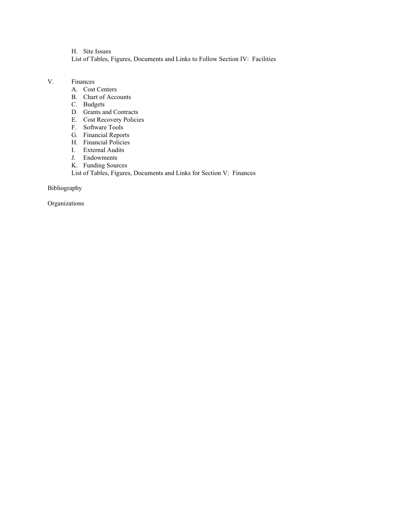H. Site Issues List of Tables, Figures, Documents and Links to Follow Section IV: Facilities

- V. Finances
	- A. Cost Centers
	- B. Chart of Accounts
	- C. Budgets
	- D. Grants and Contracts
	- E. Cost Recovery Policies
	- F. Software Tools
	- G. Financial Reports
	- H. Financial Policies
	- I. External Audits
	- J. Endowments
	- K. Funding Sources

List of Tables, Figures, Documents and Links for Section V: Finances

Bibliography

Organizations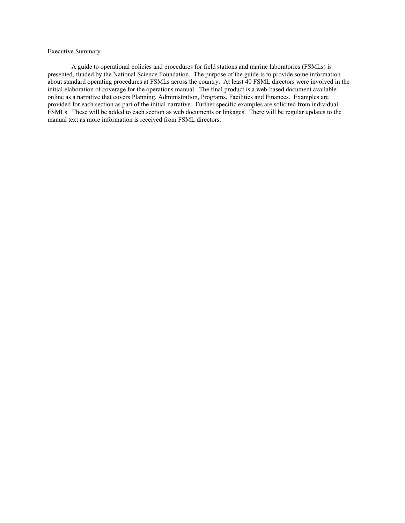## Executive Summary

A guide to operational policies and procedures for field stations and marine laboratories (FSMLs) is presented, funded by the National Science Foundation. The purpose of the guide is to provide some information about standard operating procedures at FSMLs across the country. At least 40 FSML directors were involved in the initial elaboration of coverage for the operations manual. The final product is a web-based document available online as a narrative that covers Planning, Administration, Programs, Facilities and Finances. Examples are provided for each section as part of the initial narrative. Further specific examples are solicited from individual FSMLs. These will be added to each section as web documents or linkages. There will be regular updates to the manual text as more information is received from FSML directors.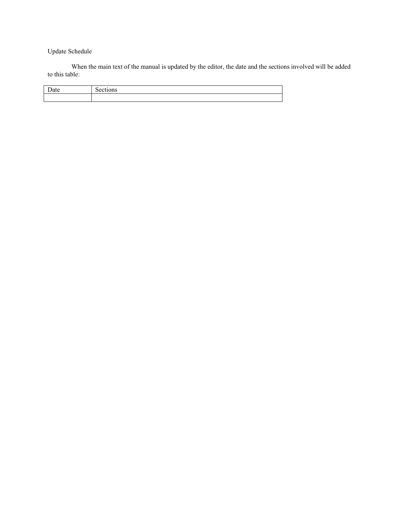# Update Schedule

When the main text of the manual is updated by the editor, the date and the sections involved will be added to this table:

| and the second series of the series of the series of the series of the series of the series of the series of the series of the series of the series of the series of the series of the series of the series of the series of t<br>110 |
|---------------------------------------------------------------------------------------------------------------------------------------------------------------------------------------------------------------------------------------|
|                                                                                                                                                                                                                                       |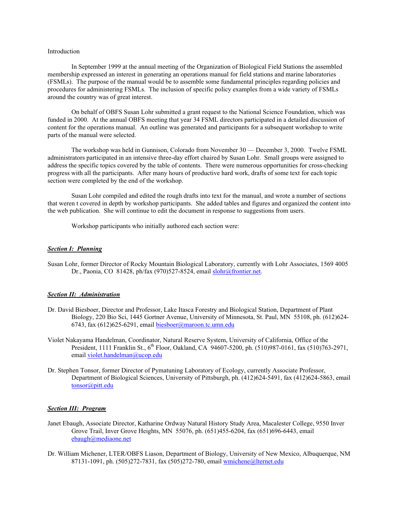## Introduction

In September 1999 at the annual meeting of the Organization of Biological Field Stations the assembled membership expressed an interest in generating an operations manual for field stations and marine laboratories (FSMLs). The purpose of the manual would be to assemble some fundamental principles regarding policies and procedures for administering FSMLs. The inclusion of specific policy examples from a wide variety of FSMLs around the country was of great interest.

On behalf of OBFS Susan Lohr submitted a grant request to the National Science Foundation, which was funded in 2000. At the annual OBFS meeting that year 34 FSML directors participated in a detailed discussion of content for the operations manual. An outline was generated and participants for a subsequent workshop to write parts of the manual were selected.

The workshop was held in Gunnison, Colorado from November 30 — December 3, 2000. Twelve FSML administrators participated in an intensive three-day effort chaired by Susan Lohr. Small groups were assigned to address the specific topics covered by the table of contents. There were numerous opportunities for cross-checking progress with all the participants. After many hours of productive hard work, drafts of some text for each topic section were completed by the end of the workshop.

Susan Lohr compiled and edited the rough drafts into text for the manual, and wrote a number of sections that weren t covered in depth by workshop participants. She added tables and figures and organized the content into the web publication. She will continue to edit the document in response to suggestions from users.

Workshop participants who initially authored each section were:

#### *Section I: Planning*

Susan Lohr, former Director of Rocky Mountain Biological Laboratory, currently with Lohr Associates, 1569 4005 Dr., Paonia, CO 81428, ph/fax (970)527-8524, email slohr@frontier.net.

#### *Section II: Administration*

- Dr. David Biesboer, Director and Professor, Lake Itasca Forestry and Biological Station, Department of Plant Biology, 220 Bio Sci, 1445 Gortner Avenue, University of Minnesota, St. Paul, MN 55108, ph. (612)624- 6743, fax (612)625-6291, email biesboer@maroon.tc.umn.edu
- Violet Nakayama Handelman, Coordinator, Natural Reserve System, University of California, Office of the President, 1111 Franklin St.,  $6^{th}$  Floor, Oakland, CA 94607-5200, ph. (510)987-0161, fax (510)763-2971, email violet.handelman@ucop.edu
- Dr. Stephen Tonsor, former Director of Pymatuning Laboratory of Ecology, currently Associate Professor, Department of Biological Sciences, University of Pittsburgh, ph. (412)624-5491, fax (412)624-5863, email tonsor@pitt.edu

#### *Section III: Program*

- Janet Ebaugh, Associate Director, Katharine Ordway Natural History Study Area, Macalester College, 9550 Inver Grove Trail, Inver Grove Heights, MN 55076, ph. (651)455-6204, fax (651)696-6443, email ebaugh@mediaone.net
- Dr. William Michener, LTER/OBFS Liason, Department of Biology, University of New Mexico, Albuquerque, NM 87131-1091, ph. (505)272-7831, fax (505)272-780, email wmichene@lternet.edu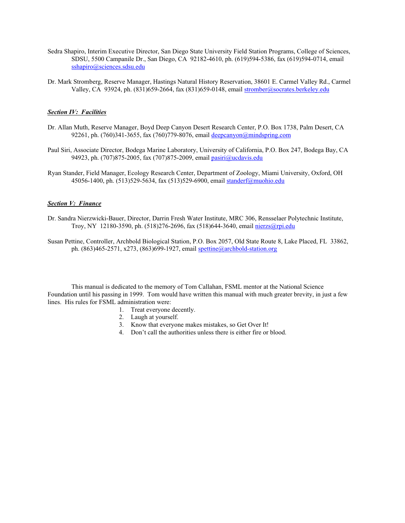- Sedra Shapiro, Interim Executive Director, San Diego State University Field Station Programs, College of Sciences, SDSU, 5500 Campanile Dr., San Diego, CA 92182-4610, ph. (619)594-5386, fax (619)594-0714, email sshapiro@sciences.sdsu.edu
- Dr. Mark Stromberg, Reserve Manager, Hastings Natural History Reservation, 38601 E. Carmel Valley Rd., Carmel Valley, CA 93924, ph. (831)659-2664, fax (831)659-0148, email stromber@socrates.berkeley.edu

## *Section IV: Facilities*

- Dr. Allan Muth, Reserve Manager, Boyd Deep Canyon Desert Research Center, P.O. Box 1738, Palm Desert, CA 92261, ph. (760)341-3655, fax (760)779-8076, email deepcanyon@mindspring.com
- Paul Siri, Associate Director, Bodega Marine Laboratory, University of California, P.O. Box 247, Bodega Bay, CA 94923, ph. (707)875-2005, fax (707)875-2009, email pasiri@ucdavis.edu
- Ryan Stander, Field Manager, Ecology Research Center, Department of Zoology, Miami University, Oxford, OH 45056-1400, ph. (513)529-5634, fax (513)529-6900, email standerf@muohio.edu

## *Section V: Finance*

- Dr. Sandra Nierzwicki-Bauer, Director, Darrin Fresh Water Institute, MRC 306, Rensselaer Polytechnic Institute, Troy, NY 12180-3590, ph. (518)276-2696, fax (518)644-3640, email nierzs@rpi.edu
- Susan Pettine, Controller, Archbold Biological Station, P.O. Box 2057, Old State Route 8, Lake Placed, FL 33862, ph. (863)465-2571, x273, (863)699-1927, email spettine@archbold-station.org

This manual is dedicated to the memory of Tom Callahan, FSML mentor at the National Science Foundation until his passing in 1999. Tom would have written this manual with much greater brevity, in just a few lines. His rules for FSML administration were:

- 1. Treat everyone decently.
- 2. Laugh at yourself.
- 3. Know that everyone makes mistakes, so Get Over It!
- 4. Don't call the authorities unless there is either fire or blood.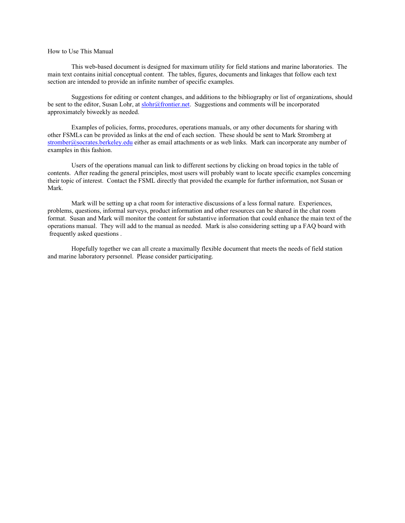## How to Use This Manual

This web-based document is designed for maximum utility for field stations and marine laboratories. The main text contains initial conceptual content. The tables, figures, documents and linkages that follow each text section are intended to provide an infinite number of specific examples.

Suggestions for editing or content changes, and additions to the bibliography or list of organizations, should be sent to the editor, Susan Lohr, at slohr@frontier.net. Suggestions and comments will be incorporated approximately biweekly as needed.

Examples of policies, forms, procedures, operations manuals, or any other documents for sharing with other FSMLs can be provided as links at the end of each section. These should be sent to Mark Stromberg at stromber@socrates.berkeley.edu either as email attachments or as web links. Mark can incorporate any number of examples in this fashion.

Users of the operations manual can link to different sections by clicking on broad topics in the table of contents. After reading the general principles, most users will probably want to locate specific examples concerning their topic of interest. Contact the FSML directly that provided the example for further information, not Susan or Mark.

Mark will be setting up a chat room for interactive discussions of a less formal nature. Experiences, problems, questions, informal surveys, product information and other resources can be shared in the chat room format. Susan and Mark will monitor the content for substantive information that could enhance the main text of the operations manual. They will add to the manual as needed. Mark is also considering setting up a FAQ board with frequently asked questions .

Hopefully together we can all create a maximally flexible document that meets the needs of field station and marine laboratory personnel. Please consider participating.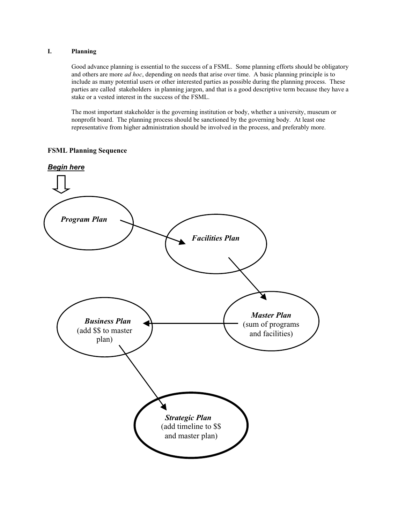## **I. Planning**

Good advance planning is essential to the success of a FSML. Some planning efforts should be obligatory and others are more *ad hoc*, depending on needs that arise over time. A basic planning principle is to include as many potential users or other interested parties as possible during the planning process. These parties are called stakeholders in planning jargon, and that is a good descriptive term because they have a stake or a vested interest in the success of the FSML.

The most important stakeholder is the governing institution or body, whether a university, museum or nonprofit board. The planning process should be sanctioned by the governing body. At least one representative from higher administration should be involved in the process, and preferably more.

## **FSML Planning Sequence**

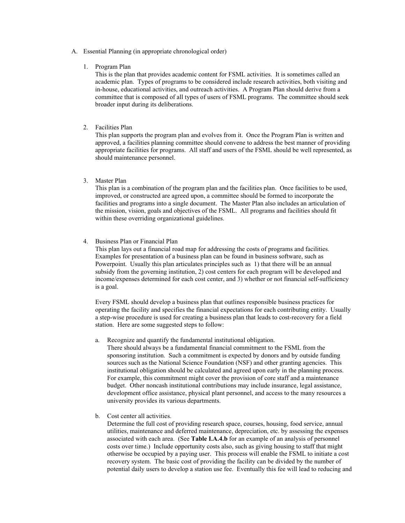- A. Essential Planning (in appropriate chronological order)
	- 1. Program Plan

This is the plan that provides academic content for FSML activities. It is sometimes called an academic plan. Types of programs to be considered include research activities, both visiting and in-house, educational activities, and outreach activities. A Program Plan should derive from a committee that is composed of all types of users of FSML programs. The committee should seek broader input during its deliberations.

2. Facilities Plan

This plan supports the program plan and evolves from it. Once the Program Plan is written and approved, a facilities planning committee should convene to address the best manner of providing appropriate facilities for programs. All staff and users of the FSML should be well represented, as should maintenance personnel.

3. Master Plan

This plan is a combination of the program plan and the facilities plan. Once facilities to be used, improved, or constructed are agreed upon, a committee should be formed to incorporate the facilities and programs into a single document. The Master Plan also includes an articulation of the mission, vision, goals and objectives of the FSML. All programs and facilities should fit within these overriding organizational guidelines.

4. Business Plan or Financial Plan

This plan lays out a financial road map for addressing the costs of programs and facilities. Examples for presentation of a business plan can be found in business software, such as Powerpoint. Usually this plan articulates principles such as 1) that there will be an annual subsidy from the governing institution, 2) cost centers for each program will be developed and income/expenses determined for each cost center, and 3) whether or not financial self-sufficiency is a goal.

Every FSML should develop a business plan that outlines responsible business practices for operating the facility and specifies the financial expectations for each contributing entity. Usually a step-wise procedure is used for creating a business plan that leads to cost-recovery for a field station. Here are some suggested steps to follow:

a. Recognize and quantify the fundamental institutional obligation.

There should always be a fundamental financial commitment to the FSML from the sponsoring institution. Such a commitment is expected by donors and by outside funding sources such as the National Science Foundation (NSF) and other granting agencies. This institutional obligation should be calculated and agreed upon early in the planning process. For example, this commitment might cover the provision of core staff and a maintenance budget. Other noncash institutional contributions may include insurance, legal assistance, development office assistance, physical plant personnel, and access to the many resources a university provides its various departments.

b. Cost center all activities.

Determine the full cost of providing research space, courses, housing, food service, annual utilities, maintenance and deferred maintenance, depreciation, etc. by assessing the expenses associated with each area. (See **Table I.A.4.b** for an example of an analysis of personnel costs over time.) Include opportunity costs also, such as giving housing to staff that might otherwise be occupied by a paying user. This process will enable the FSML to initiate a cost recovery system. The basic cost of providing the facility can be divided by the number of potential daily users to develop a station use fee. Eventually this fee will lead to reducing and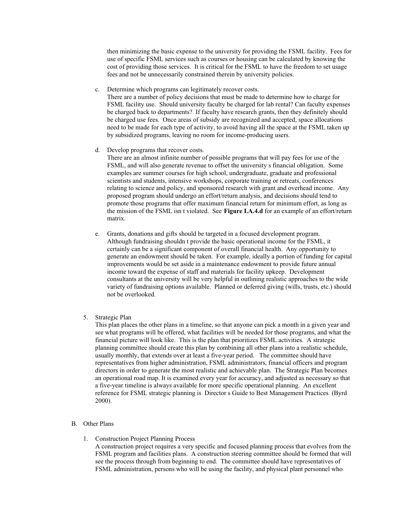then minimizing the basic expense to the university for providing the FSML facility. Fees for use of specific FSML services such as courses or housing can be calculated by knowing the cost of providing those services. It is critical for the FSML to have the freedom to set usage fees and not be unnecessarily constrained therein by university policies.

c. Determine which programs can legitimately recover costs.

There are a number of policy decisions that must be made to determine how to charge for FSML facility use. Should university faculty be charged for lab rental? Can faculty expenses be charged back to departments? If faculty have research grants, then they definitely should be charged use fees. Once areas of subsidy are recognized and accepted, space allocations need to be made for each type of activity, to avoid having all the space at the FSML taken up by subsidized programs, leaving no room for income-producing users.

d. Develop programs that recover costs.

There are an almost infinite number of possible programs that will pay fees for use of the FSML, and will also generate revenue to offset the university s financial obligation. Some examples are summer courses for high school, undergraduate, graduate and professional scientists and students, intensive workshops, corporate training or retreats, conferences relating to science and policy, and sponsored research with grant and overhead income. Any proposed program should undergo an effort/return analysis, and decisions should tend to promote those programs that offer maximum financial return for minimum effort, as long as the mission of the FSML isn t violated. See **Figure I.A.4.d** for an example of an effort/return matrix.

- e. Grants, donations and gifts should be targeted in a focused development program. Although fundraising shouldn t provide the basic operational income for the FSML, it certainly can be a significant component of overall financial health. Any opportunity to generate an endowment should be taken. For example, ideally a portion of funding for capital improvements would be set aside in a maintenance endowment to provide future annual income toward the expense of staff and materials for facility upkeep. Development consultants at the university will be very helpful in outlining realistic approaches to the wide variety of fundraising options available. Planned or deferred giving (wills, trusts, etc.) should not be overlooked.
- 5. Strategic Plan

This plan places the other plans in a timeline, so that anyone can pick a month in a given year and see what programs will be offered, what facilities will be needed for those programs, and what the financial picture will look like. This is the plan that prioritizes FSML activities. A strategic planning committee should create this plan by combining all other plans into a realistic schedule, usually monthly, that extends over at least a five-year period. The committee should have representatives from higher administration, FSML administrators, financial officers and program directors in order to generate the most realistic and achievable plan. The Strategic Plan becomes an operational road map. It is examined every year for accuracy, and adjusted as necessary so that a five-year timeline is always available for more specific operational planning. An excellent reference for FSML strategic planning is Director s Guide to Best Management Practices (Byrd 2000).

#### B. Other Plans

1. Construction Project Planning Process

A construction project requires a very specific and focused planning process that evolves from the FSML program and facilities plans. A construction steering committee should be formed that will see the process through from beginning to end. The committee should have representatives of FSML administration, persons who will be using the facility, and physical plant personnel who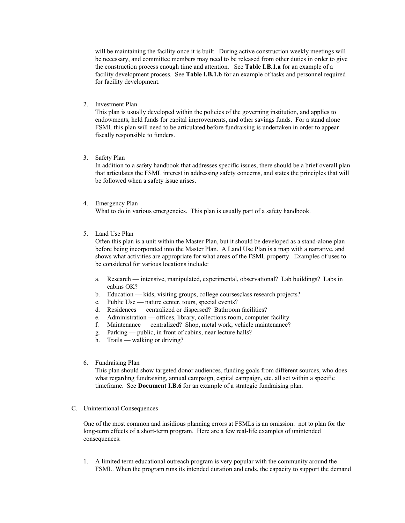will be maintaining the facility once it is built. During active construction weekly meetings will be necessary, and committee members may need to be released from other duties in order to give the construction process enough time and attention. See **Table I.B.1.a** for an example of a facility development process. See **Table I.B.1.b** for an example of tasks and personnel required for facility development.

2. Investment Plan

This plan is usually developed within the policies of the governing institution, and applies to endowments, held funds for capital improvements, and other savings funds. For a stand alone FSML this plan will need to be articulated before fundraising is undertaken in order to appear fiscally responsible to funders.

3. Safety Plan

In addition to a safety handbook that addresses specific issues, there should be a brief overall plan that articulates the FSML interest in addressing safety concerns, and states the principles that will be followed when a safety issue arises.

4. Emergency Plan

What to do in various emergencies. This plan is usually part of a safety handbook.

5. Land Use Plan

Often this plan is a unit within the Master Plan, but it should be developed as a stand-alone plan before being incorporated into the Master Plan. A Land Use Plan is a map with a narrative, and shows what activities are appropriate for what areas of the FSML property. Examples of uses to be considered for various locations include:

- a. Research intensive, manipulated, experimental, observational? Lab buildings? Labs in cabins OK?
- b. Education kids, visiting groups, college courses, class research projects?
- c. Public Use nature center, tours, special events?
- d. Residences centralized or dispersed? Bathroom facilities?
- e. Administration offices, library, collections room, computer facility
- f. Maintenance centralized? Shop, metal work, vehicle maintenance?
- g. Parking public, in front of cabins, near lecture halls?
- h. Trails walking or driving?
- 6. Fundraising Plan

This plan should show targeted donor audiences, funding goals from different sources, who does what regarding fundraising, annual campaign, capital campaign, etc. all set within a specific timeframe. See **Document I.B.6** for an example of a strategic fundraising plan.

C. Unintentional Consequences

One of the most common and insidious planning errors at FSMLs is an omission: not to plan for the long-term effects of a short-term program. Here are a few real-life examples of unintended consequences:

1. A limited term educational outreach program is very popular with the community around the FSML. When the program runs its intended duration and ends, the capacity to support the demand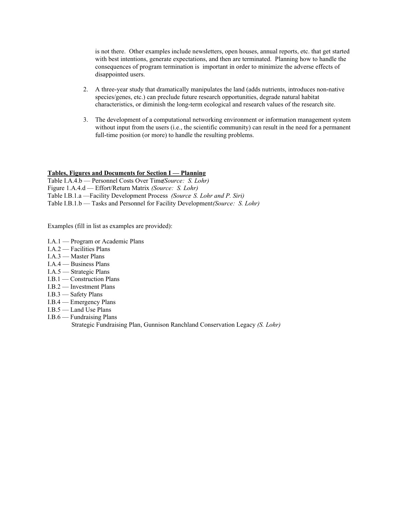is not there. Other examples include newsletters, open houses, annual reports, etc. that get started with best intentions, generate expectations, and then are terminated. Planning how to handle the consequences of program termination is important in order to minimize the adverse effects of disappointed users.

- 2. A three-year study that dramatically manipulates the land (adds nutrients, introduces non-native species/genes, etc.) can preclude future research opportunities, degrade natural habitat characteristics, or diminish the long-term ecological and research values of the research site.
- 3. The development of a computational networking environment or information management system without input from the users (i.e., the scientific community) can result in the need for a permanent full-time position (or more) to handle the resulting problems.

#### **Tables, Figures and Documents for Section I — Planning**

Table I.A.4.b — Personnel Costs Over Time *(Source: S. Lohr)* Figure 1.A.4.d — Effort/Return Matrix *(Source: S. Lohr)* Table I.B.1.a - Facility Development Process *(Source S. Lohr and P. Siri)* Table I.B.1.b — Tasks and Personnel for Facility Development *(Source: S. Lohr)* 

Examples (fill in list as examples are provided):

- I.A.1 Program or Academic Plans
- I.A.2 Facilities Plans
- I.A.3 Master Plans
- I.A.4 Business Plans
- I.A.5 Strategic Plans
- I.B.1 Construction Plans
- I.B.2 Investment Plans
- I.B.3 Safety Plans
- I.B.4 Emergency Plans
- I.B.5 Land Use Plans
- I.B.6 Fundraising Plans

Strategic Fundraising Plan, Gunnison Ranchland Conservation Legacy *(S. Lohr)*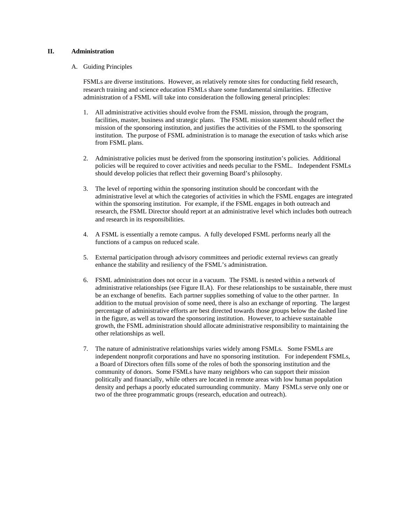## **II. Administration**

## A. Guiding Principles

FSMLs are diverse institutions. However, as relatively remote sites for conducting field research, research training and science education FSMLs share some fundamental similarities. Effective administration of a FSML will take into consideration the following general principles:

- 1. All administrative activities should evolve from the FSML mission, through the program, facilities, master, business and strategic plans. The FSML mission statement should reflect the mission of the sponsoring institution, and justifies the activities of the FSML to the sponsoring institution. The purpose of FSML administration is to manage the execution of tasks which arise from FSML plans.
- 2. Administrative policies must be derived from the sponsoring institution's policies. Additional policies will be required to cover activities and needs peculiar to the FSML. Independent FSMLs should develop policies that reflect their governing Board's philosophy.
- 3. The level of reporting within the sponsoring institution should be concordant with the administrative level at which the categories of activities in which the FSML engages are integrated within the sponsoring institution. For example, if the FSML engages in both outreach and research, the FSML Director should report at an administrative level which includes both outreach and research in its responsibilities.
- 4. A FSML is essentially a remote campus. A fully developed FSML performs nearly all the functions of a campus on reduced scale.
- 5. External participation through advisory committees and periodic external reviews can greatly enhance the stability and resiliency of the FSML's administration.
- 6. FSML administration does not occur in a vacuum. The FSML is nested within a network of administrative relationships (see Figure II.A). For these relationships to be sustainable, there must be an exchange of benefits. Each partner supplies something of value to the other partner. In addition to the mutual provision of some need, there is also an exchange of reporting. The largest percentage of administrative efforts are best directed towards those groups below the dashed line in the figure, as well as toward the sponsoring institution. However, to achieve sustainable growth, the FSML administration should allocate administrative responsibility to maintaining the other relationships as well.
- 7. The nature of administrative relationships varies widely among FSMLs. Some FSMLs are independent nonprofit corporations and have no sponsoring institution. For independent FSMLs, a Board of Directors often fills some of the roles of both the sponsoring institution and the community of donors. Some FSMLs have many neighbors who can support their mission politically and financially, while others are located in remote areas with low human population density and perhaps a poorly educated surrounding community. Many FSMLs serve only one or two of the three programmatic groups (research, education and outreach).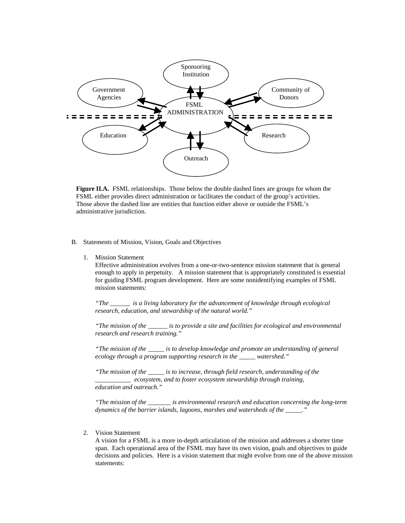

**Figure II.A.** FSML relationships. Those below the double dashed lines are groups for whom the FSML either provides direct administration or facilitates the conduct of the group's activities. Those above the dashed line are entities that function either above or outside the FSML's administrative jurisdiction.

## B. Statements of Mission, Vision, Goals and Objectives

1. Mission Statement

Effective administration evolves from a one-or-two-sentence mission statement that is general enough to apply in perpetuity. A mission statement that is appropriately constituted is essential for guiding FSML program development. Here are some nonidentifying examples of FSML mission statements:

*"The \_\_\_\_\_\_ is a living laboratory for the advancement of knowledge through ecological research, education, and stewardship of the natural world."*

*"The mission of the \_\_\_\_\_\_ is to provide a site and facilities for ecological and environmental research and research training."*

*"The mission of the \_\_\_\_\_ is to develop knowledge and promote an understanding of general ecology through a program supporting research in the \_\_\_\_\_ watershed."*

*"The mission of the \_\_\_\_\_ is to increase, through field research, understanding of the \_\_\_\_\_\_\_\_\_\_\_ ecosystem, and to foster ecosystem stewardship through training, education and outreach."*

*"The mission of the \_\_\_\_\_\_\_ is environmental research and education concerning the long-term dynamics of the barrier islands, lagoons, marshes and watersheds of the \_\_\_\_\_."*

2. Vision Statement

A vision for a FSML is a more in-depth articulation of the mission and addresses a shorter time span. Each operational area of the FSML may have its own vision, goals and objectives to guide decisions and policies. Here is a vision statement that might evolve from one of the above mission statements: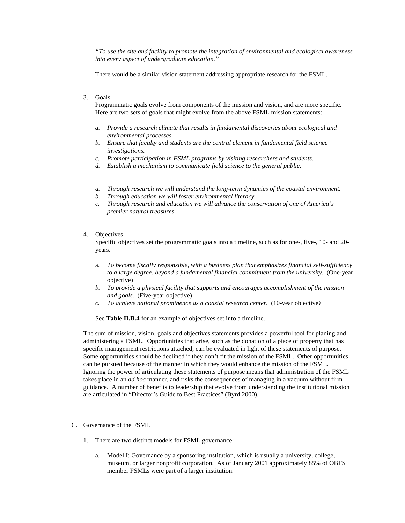*"To use the site and facility to promote the integration of environmental and ecological awareness into every aspect of undergraduate education."*

There would be a similar vision statement addressing appropriate research for the FSML.

## 3. Goals

Programmatic goals evolve from components of the mission and vision, and are more specific. Here are two sets of goals that might evolve from the above FSML mission statements:

- *a. Provide a research climate that results in fundamental discoveries about ecological and environmental processes.*
- *b. Ensure that faculty and students are the central element in fundamental field science investigations.*
- *c. Promote participation in FSML programs by visiting researchers and students.*
- *d. Establish a mechanism to communicate field science to the general public.*
- *a. Through research we will understand the long-term dynamics of the coastal environment.*

\_\_\_\_\_\_\_\_\_\_\_\_\_\_\_\_\_\_\_\_\_\_\_\_\_\_\_\_\_\_\_\_\_\_\_\_\_\_\_\_\_\_\_\_\_\_\_\_\_\_\_\_\_\_\_\_\_\_\_\_\_\_\_\_\_\_

- *b. Through education we will foster environmental literacy.*
- *c. Through research and education we will advance the conservation of one of America's premier natural treasures.*

#### 4. Objectives

Specific objectives set the programmatic goals into a timeline, such as for one-, five-, 10- and 20 years.

- a. *To become fiscally responsible, with a business plan that emphasizes financial self-sufficiency to a large degree, beyond a fundamental financial commitment from the university*. (One-year objective)
- *b. To provide a physical facility that supports and encourages accomplishment of the mission and goals.* (Five-year objective)
- *c. To achieve national prominence as a coastal research center.* (10-year objective*)*

See **Table II.B.4** for an example of objectives set into a timeline.

The sum of mission, vision, goals and objectives statements provides a powerful tool for planing and administering a FSML. Opportunities that arise, such as the donation of a piece of property that has specific management restrictions attached, can be evaluated in light of these statements of purpose. Some opportunities should be declined if they don't fit the mission of the FSML. Other opportunities can be pursued because of the manner in which they would enhance the mission of the FSML. Ignoring the power of articulating these statements of purpose means that administration of the FSML takes place in an *ad hoc* manner, and risks the consequences of managing in a vacuum without firm guidance. A number of benefits to leadership that evolve from understanding the institutional mission are articulated in "Director's Guide to Best Practices" (Byrd 2000).

- C. Governance of the FSML
	- 1. There are two distinct models for FSML governance:
		- a. Model I: Governance by a sponsoring institution, which is usually a university, college, museum, or larger nonprofit corporation. As of January 2001 approximately 85% of OBFS member FSMLs were part of a larger institution.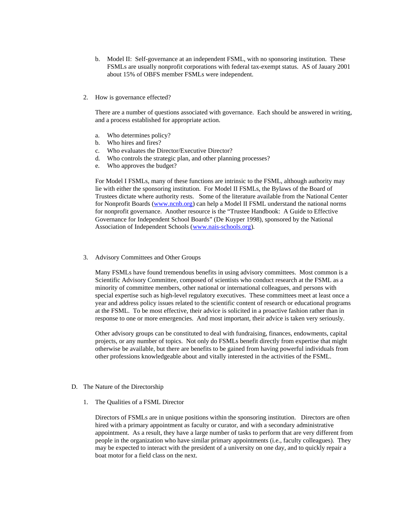- b. Model II: Self-governance at an independent FSML, with no sponsoring institution. These FSMLs are usually nonprofit corporations with federal tax-exempt status. AS of Jauary 2001 about 15% of OBFS member FSMLs were independent.
- 2. How is governance effected?

There are a number of questions associated with governance. Each should be answered in writing, and a process established for appropriate action.

- a. Who determines policy?
- b. Who hires and fires?
- c. Who evaluates the Director/Executive Director?
- d. Who controls the strategic plan, and other planning processes?
- e. Who approves the budget?

For Model I FSMLs, many of these functions are intrinsic to the FSML, although authority may lie with either the sponsoring institution. For Model II FSMLs, the Bylaws of the Board of Trustees dictate where authority rests. Some of the literature available from the National Center for Nonprofit Boards (www.ncnb.org) can help a Model II FSML understand the national norms for nonprofit governance. Another resource is the "Trustee Handbook: A Guide to Effective Governance for Independent School Boards" (De Kuyper 1998), sponsored by the National Association of Independent Schools (www.nais-schools.org).

3. Advisory Committees and Other Groups

Many FSMLs have found tremendous benefits in using advisory committees. Most common is a Scientific Advisory Committee, composed of scientists who conduct research at the FSML as a minority of committee members, other national or international colleagues, and persons with special expertise such as high-level regulatory executives. These committees meet at least once a year and address policy issues related to the scientific content of research or educational programs at the FSML. To be most effective, their advice is solicited in a proactive fashion rather than in response to one or more emergencies. And most important, their advice is taken very seriously.

Other advisory groups can be constituted to deal with fundraising, finances, endowments, capital projects, or any number of topics. Not only do FSMLs benefit directly from expertise that might otherwise be available, but there are benefits to be gained from having powerful individuals from other professions knowledgeable about and vitally interested in the activities of the FSML.

- D. The Nature of the Directorship
	- 1. The Qualities of a FSML Director

Directors of FSMLs are in unique positions within the sponsoring institution. Directors are often hired with a primary appointment as faculty or curator, and with a secondary administrative appointment. As a result, they have a large number of tasks to perform that are very different from people in the organization who have similar primary appointments (i.e., faculty colleagues). They may be expected to interact with the president of a university on one day, and to quickly repair a boat motor for a field class on the next.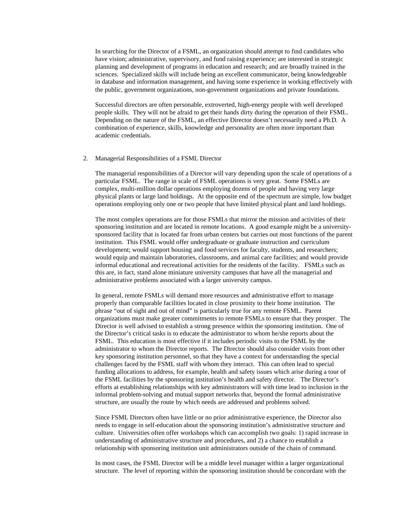In searching for the Director of a FSML, an organization should attempt to find candidates who have vision; administrative, supervisory, and fund raising experience; are interested in strategic planning and development of programs in education and research; and are broadly trained in the sciences. Specialized skills will include being an excellent communicator, being knowledgeable in database and information management, and having some experience in working effectively with the public, government organizations, non-government organizations and private foundations.

Successful directors are often personable, extroverted, high-energy people with well developed people skills. They will not be afraid to get their hands dirty during the operation of their FSML. Depending on the nature of the FSML, an effective Director doesn't necessarily need a Ph.D. A combination of experience, skills, knowledge and personality are often more important than academic credentials.

#### 2. Managerial Responsibilities of a FSML Director

The managerial responsibilities of a Director will vary depending upon the scale of operations of a particular FSML. The range in scale of FSML operations is very great. Some FSMLs are complex, multi-million dollar operations employing dozens of people and having very large physical plants or large land holdings. At the opposite end of the spectrum are simple, low budget operations employing only one or two people that have limited physical plant and land holdings.

The most complex operations are for those FSMLs that mirror the mission and activities of their sponsoring institution and are located in remote locations. A good example might be a universitysponsored facility that is located far from urban centers but carries out most functions of the parent institution. This FSML would offer undergraduate or graduate instruction and curriculum development; would support housing and food services for faculty, students, and researchers; would equip and maintain laboratories, classrooms, and animal care facilities; and would provide informal educational and recreational activities for the residents of the facility. FSMLs such as this are, in fact, stand alone miniature university campuses that have all the managerial and administrative problems associated with a larger university campus.

In general, remote FSMLs will demand more resources and administrative effort to manage properly than comparable facilities located in close proximity to their home institution. The phrase "out of sight and out of mind" is particularly true for any remote FSML. Parent organizations must make greater commitments to remote FSMLs to ensure that they prosper. The Director is well advised to establish a strong presence within the sponsoring institution. One of the Director's critical tasks is to educate the administrator to whom he/she reports about the FSML. This education is most effective if it includes periodic visits to the FSML by the administrator to whom the Director reports. The Director should also consider visits from other key sponsoring institution personnel, so that they have a context for understanding the special challenges faced by the FSML staff with whom they interact. This can often lead to special funding allocations to address, for example, health and safety issues which arise during a tour of the FSML facilities by the sponsoring institution's health and safety director. The Director's efforts at establishing relationships with key administrators will with time lead to inclusion in the informal problem-solving and mutual support networks that, beyond the formal administrative structure, are usually the route by which needs are addressed and problems solved.

Since FSML Directors often have little or no prior administrative experience, the Director also needs to engage in self-education about the sponsoring institution's administrative structure and culture. Universities often offer workshops which can accomplish two goals: 1) rapid increase in understanding of administrative structure and procedures, and 2) a chance to establish a relationship with sponsoring institution unit administrators outside of the chain of command.

In most cases, the FSML Director will be a middle level manager within a larger organizational structure. The level of reporting within the sponsoring institution should be concordant with the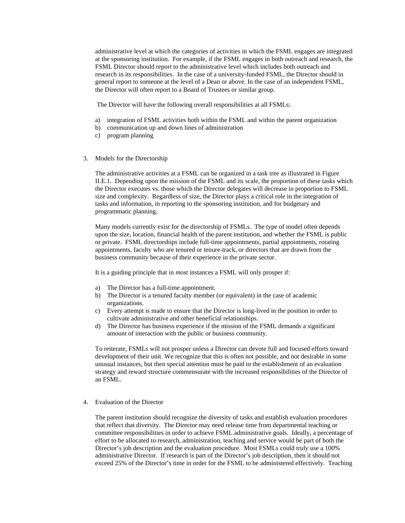administrative level at which the categories of activities in which the FSML engages are integrated at the sponsoring institution. For example, if the FSML engages in both outreach and research, the FSML Director should report to the administrative level which includes both outreach and research in its responsibilities. In the case of a university-funded FSML, the Director should in general report to someone at the level of a Dean or above. In the case of an independent FSML, the Director will often report to a Board of Trustees or similar group.

The Director will have the following overall responsibilities at all FSMLs:

- a) integration of FSML activities both within the FSML and within the parent organization
- b) communication up and down lines of administration
- c) program planning
- 3. Models for the Directorship

The administrative activities at a FSML can be organized in a task tree as illustrated in Figure II.E.1. Depending upon the mission of the FSML and its scale, the proportion of these tasks which the Director executes vs. those which the Director delegates will decrease in proportion to FSML size and complexity. Regardless of size, the Director plays a critical role in the integration of tasks and information, in reporting to the sponsoring institution, and for budgetary and programmatic planning.

Many models currently exist for the directorship of FSMLs. The type of model often depends upon the size, location, financial health of the parent institution, and whether the FSML is public or private. FSML directorships include full-time appointments, partial appointments, rotating appointments, faculty who are tenured or tenure-track, or directors that are drawn from the business community because of their experience in the private sector.

It is a guiding principle that in *most* instances a FSML will only prosper if:

- a) The Director has a full-time appointment.
- b) The Director is a tenured faculty member (or equivalent) in the case of academic organizations.
- c) Every attempt is made to ensure that the Director is long-lived in the position in order to cultivate administrative and other beneficial relationships.
- d) The Director has business experience if the mission of the FSML demands a significant amount of interaction with the public or business community.

To reiterate, FSMLs will not prosper unless a Director can devote full and focused efforts toward development of their unit. We recognize that this is often not possible, and not desirable in some unusual instances, but then special attention must be paid to the establishment of an evaluation strategy and reward structure commensurate with the increased responsibilities of the Director of an FSML.

4. Evaluation of the Director

The parent institution should recognize the diversity of tasks and establish evaluation procedures that reflect that diversity. The Director may need release time from departmental teaching or committee responsibilities in order to achieve FSML administrative goals. Ideally, a percentage of effort to be allocated to research, administration, teaching and service would be part of both the Director's job description and the evaluation procedure. Most FSMLs could truly use a 100% administrative Director. If research is part of the Director's job description, then it should not exceed 25% of the Director's time in order for the FSML to be administered effectively. Teaching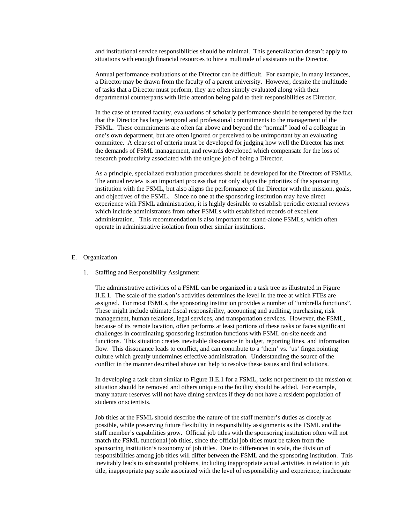and institutional service responsibilities should be minimal. This generalization doesn't apply to situations with enough financial resources to hire a multitude of assistants to the Director.

Annual performance evaluations of the Director can be difficult. For example, in many instances, a Director may be drawn from the faculty of a parent university. However, despite the multitude of tasks that a Director must perform, they are often simply evaluated along with their departmental counterparts with little attention being paid to their responsibilities as Director.

In the case of tenured faculty, evaluations of scholarly performance should be tempered by the fact that the Director has large temporal and professional commitments to the management of the FSML. These commitments are often far above and beyond the "normal" load of a colleague in one's own department, but are often ignored or perceived to be unimportant by an evaluating committee. A clear set of criteria must be developed for judging how well the Director has met the demands of FSML management, and rewards developed which compensate for the loss of research productivity associated with the unique job of being a Director.

As a principle, specialized evaluation procedures should be developed for the Directors of FSMLs. The annual review is an important process that not only aligns the priorities of the sponsoring institution with the FSML, but also aligns the performance of the Director with the mission, goals, and objectives of the FSML. Since no one at the sponsoring institution may have direct experience with FSML administration, it is highly desirable to establish periodic external reviews which include administrators from other FSMLs with established records of excellent administration. This recommendation is also important for stand-alone FSMLs, which often operate in administrative isolation from other similar institutions.

## E. Organization

#### 1. Staffing and Responsibility Assignment

The administrative activities of a FSML can be organized in a task tree as illustrated in Figure II.E.1. The scale of the station's activities determines the level in the tree at which FTEs are assigned. For most FSMLs, the sponsoring institution provides a number of "umbrella functions". These might include ultimate fiscal responsibility, accounting and auditing, purchasing, risk management, human relations, legal services, and transportation services. However, the FSML, because of its remote location, often performs at least portions of these tasks or faces significant challenges in coordinating sponsoring institution functions with FSML on-site needs and functions. This situation creates inevitable dissonance in budget, reporting lines, and information flow. This dissonance leads to conflict, and can contribute to a 'them' vs. 'us' fingerpointing culture which greatly undermines effective administration. Understanding the source of the conflict in the manner described above can help to resolve these issues and find solutions.

In developing a task chart similar to Figure II.E.1 for a FSML, tasks not pertinent to the mission or situation should be removed and others unique to the facility should be added. For example, many nature reserves will not have dining services if they do not have a resident population of students or scientists.

Job titles at the FSML should describe the nature of the staff member's duties as closely as possible, while preserving future flexibility in responsibility assignments as the FSML and the staff member's capabilities grow. Official job titles with the sponsoring institution often will not match the FSML functional job titles, since the official job titles must be taken from the sponsoring institution's taxonomy of job titles. Due to differences in scale, the division of responsibilities among job titles will differ between the FSML and the sponsoring institution. This inevitably leads to substantial problems, including inappropriate actual activities in relation to job title, inappropriate pay scale associated with the level of responsibility and experience, inadequate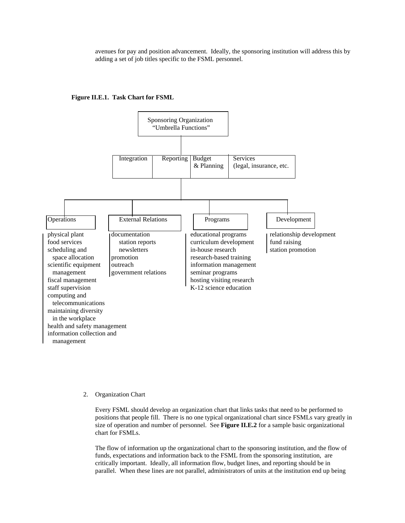avenues for pay and position advancement. Ideally, the sponsoring institution will address this by adding a set of job titles specific to the FSML personnel.





2. Organization Chart

Every FSML should develop an organization chart that links tasks that need to be performed to positions that people fill. There is no one typical organizational chart since FSMLs vary greatly in size of operation and number of personnel. See **Figure II.E.2** for a sample basic organizational chart for FSMLs.

The flow of information up the organizational chart to the sponsoring institution, and the flow of funds, expectations and information back to the FSML from the sponsoring institution, are critically important. Ideally, all information flow, budget lines, and reporting should be in parallel. When these lines are not parallel, administrators of units at the institution end up being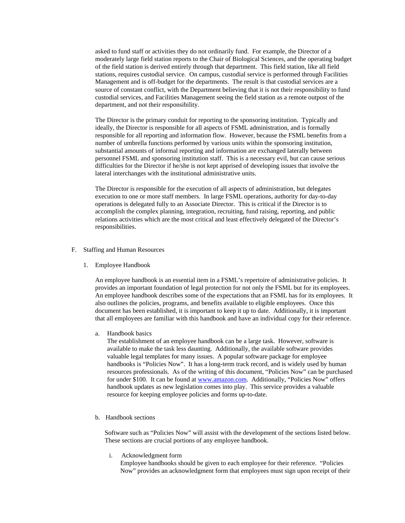asked to fund staff or activities they do not ordinarily fund. For example, the Director of a moderately large field station reports to the Chair of Biological Sciences, and the operating budget of the field station is derived entirely through that department. This field station, like all field stations, requires custodial service. On campus, custodial service is performed through Facilities Management and is off-budget for the departments. The result is that custodial services are a source of constant conflict, with the Department believing that it is not their responsibility to fund custodial services, and Facilities Management seeing the field station as a remote outpost of the department, and not their responsibility.

The Director is the primary conduit for reporting to the sponsoring institution. Typically and ideally, the Director is responsible for all aspects of FSML administration, and is formally responsible for all reporting and information flow. However, because the FSML benefits from a number of umbrella functions performed by various units within the sponsoring institution, substantial amounts of informal reporting and information are exchanged laterally between personnel FSML and sponsoring institution staff. This is a necessary evil, but can cause serious difficulties for the Director if he/she is not kept apprised of developing issues that involve the lateral interchanges with the institutional administrative units.

The Director is responsible for the execution of all aspects of administration, but delegates execution to one or more staff members. In large FSML operations, authority for day-to-day operations is delegated fully to an Associate Director. This is critical if the Director is to accomplish the complex planning, integration, recruiting, fund raising, reporting, and public relations activities which are the most critical and least effectively delegated of the Director's responsibilities.

## F. Staffing and Human Resources

1. Employee Handbook

An employee handbook is an essential item in a FSML's repertoire of administrative policies. It provides an important foundation of legal protection for not only the FSML but for its employees. An employee handbook describes some of the expectations that an FSML has for its employees. It also outlines the policies, programs, and benefits available to eligible employees. Once this document has been established, it is important to keep it up to date. Additionally, it is important that all employees are familiar with this handbook and have an individual copy for their reference.

a. Handbook basics

The establishment of an employee handbook can be a large task. However, software is available to make the task less daunting. Additionally, the available software provides valuable legal templates for many issues. A popular software package for employee handbooks is "Policies Now". It has a long-term track record, and is widely used by human resources professionals. As of the writing of this document, "Policies Now" can be purchased for under \$100. It can be found at www.amazon.com. Additionally, "Policies Now" offers handbook updates as new legislation comes into play. This service provides a valuable resource for keeping employee policies and forms up-to-date.

b. Handbook sections

Software such as "Policies Now" will assist with the development of the sections listed below. These sections are crucial portions of any employee handbook.

i. Acknowledgment form

Employee handbooks should be given to each employee for their reference. "Policies Now" provides an acknowledgment form that employees must sign upon receipt of their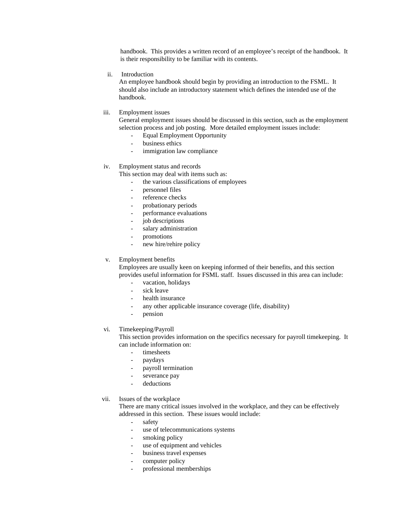handbook. This provides a written record of an employee's receipt of the handbook. It is their responsibility to be familiar with its contents.

ii. Introduction

An employee handbook should begin by providing an introduction to the FSML. It should also include an introductory statement which defines the intended use of the handbook.

iii. Employment issues

General employment issues should be discussed in this section, such as the employment selection process and job posting. More detailed employment issues include:

- Equal Employment Opportunity
- business ethics
- immigration law compliance

## iv. Employment status and records

This section may deal with items such as:

- the various classifications of employees
- personnel files
- reference checks
- probationary periods
- performance evaluations
- job descriptions
- salary administration
- promotions
- new hire/rehire policy

#### v. Employment benefits

Employees are usually keen on keeping informed of their benefits, and this section provides useful information for FSML staff. Issues discussed in this area can include:

- vacation, holidays
- sick leave
- health insurance
- any other applicable insurance coverage (life, disability)
- pension

## vi. Timekeeping/Payroll

This section provides information on the specifics necessary for payroll timekeeping. It can include information on:

- timesheets
- paydays
- payroll termination
- severance pay
- deductions
- vii. Issues of the workplace

There are many critical issues involved in the workplace, and they can be effectively addressed in this section. These issues would include:

- safety
- use of telecommunications systems
- smoking policy
- use of equipment and vehicles
- business travel expenses
- computer policy
- professional memberships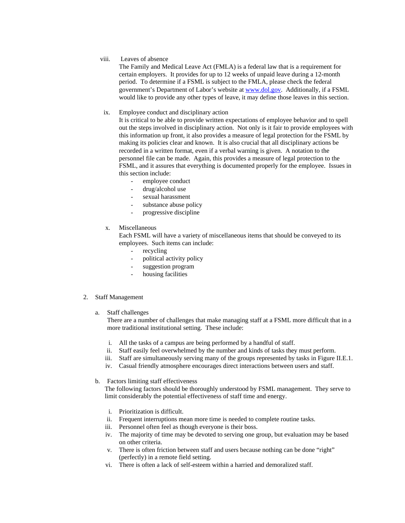## viii. Leaves of absence

The Family and Medical Leave Act (FMLA) is a federal law that is a requirement for certain employers. It provides for up to 12 weeks of unpaid leave during a 12-month period. To determine if a FSML is subject to the FMLA, please check the federal government's Department of Labor's website at www.dol.gov. Additionally, if a FSML would like to provide any other types of leave, it may define those leaves in this section.

## ix. Employee conduct and disciplinary action

It is critical to be able to provide written expectations of employee behavior and to spell out the steps involved in disciplinary action. Not only is it fair to provide employees with this information up front, it also provides a measure of legal protection for the FSML by making its policies clear and known. It is also crucial that all disciplinary actions be recorded in a written format, even if a verbal warning is given. A notation to the personnel file can be made. Again, this provides a measure of legal protection to the FSML, and it assures that everything is documented properly for the employee. Issues in this section include:

- employee conduct
- drug/alcohol use
- sexual harassment
- substance abuse policy
- progressive discipline
- x. Miscellaneous

Each FSML will have a variety of miscellaneous items that should be conveyed to its employees. Such items can include:

- recycling
- political activity policy
- suggestion program
- housing facilities

## 2. Staff Management

a. Staff challenges

There are a number of challenges that make managing staff at a FSML more difficult that in a more traditional institutional setting. These include:

- i. All the tasks of a campus are being performed by a handful of staff.
- ii. Staff easily feel overwhelmed by the number and kinds of tasks they must perform.
- iii. Staff are simultaneously serving many of the groups represented by tasks in Figure II.E.1.
- iv. Casual friendly atmosphere encourages direct interactions between users and staff.

## b. Factors limiting staff effectiveness

The following factors should be thoroughly understood by FSML management. They serve to limit considerably the potential effectiveness of staff time and energy.

- i. Prioritization is difficult.
- ii. Frequent interruptions mean more time is needed to complete routine tasks.
- iii. Personnel often feel as though everyone is their boss.
- iv. The majority of time may be devoted to serving one group, but evaluation may be based on other criteria.
- v. There is often friction between staff and users because nothing can be done "right" (perfectly) in a remote field setting.
- vi. There is often a lack of self-esteem within a harried and demoralized staff.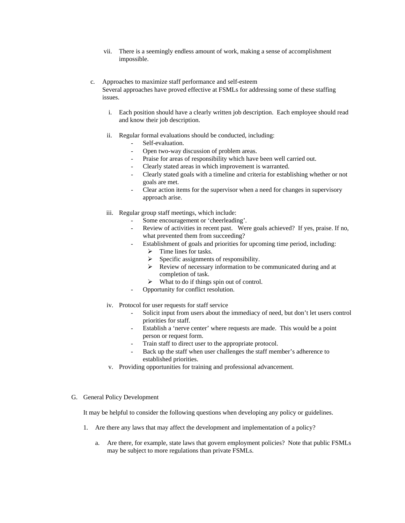- vii. There is a seemingly endless amount of work, making a sense of accomplishment impossible.
- c. Approaches to maximize staff performance and self-esteem Several approaches have proved effective at FSMLs for addressing some of these staffing issues.
	- i. Each position should have a clearly written job description. Each employee should read and know their job description.
	- ii. Regular formal evaluations should be conducted, including:
		- Self-evaluation.
		- Open two-way discussion of problem areas.
		- Praise for areas of responsibility which have been well carried out.
		- Clearly stated areas in which improvement is warranted.
		- Clearly stated goals with a timeline and criteria for establishing whether or not goals are met.
		- Clear action items for the supervisor when a need for changes in supervisory approach arise.
	- iii. Regular group staff meetings, which include:
		- Some encouragement or 'cheerleading'.
		- Review of activities in recent past. Were goals achieved? If yes, praise. If no, what prevented them from succeeding?
		- Establishment of goals and priorities for upcoming time period, including:
			- $\triangleright$  Time lines for tasks.
			- $\triangleright$  Specific assignments of responsibility.
			- $\triangleright$  Review of necessary information to be communicated during and at completion of task.
			- $\triangleright$  What to do if things spin out of control.
		- Opportunity for conflict resolution.
	- iv. Protocol for user requests for staff service
		- Solicit input from users about the immediacy of need, but don't let users control priorities for staff.
		- Establish a 'nerve center' where requests are made. This would be a point person or request form.
		- Train staff to direct user to the appropriate protocol.
		- Back up the staff when user challenges the staff member's adherence to established priorities.
	- v. Providing opportunities for training and professional advancement.

## G. General Policy Development

It may be helpful to consider the following questions when developing any policy or guidelines.

- 1. Are there any laws that may affect the development and implementation of a policy?
	- a. Are there, for example, state laws that govern employment policies? Note that public FSMLs may be subject to more regulations than private FSMLs.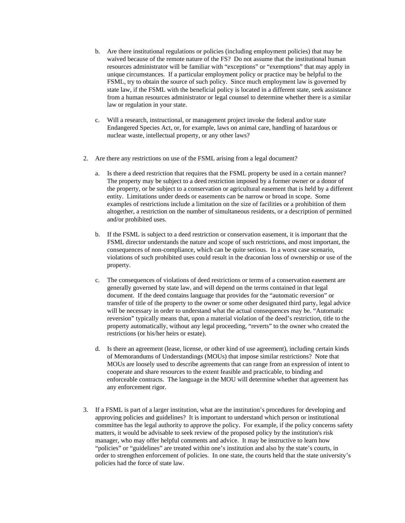- b. Are there institutional regulations or policies (including employment policies) that may be waived because of the remote nature of the FS? Do not assume that the institutional human resources administrator will be familiar with "exceptions" or "exemptions" that may apply in unique circumstances. If a particular employment policy or practice may be helpful to the FSML, try to obtain the source of such policy. Since much employment law is governed by state law, if the FSML with the beneficial policy is located in a different state, seek assistance from a human resources administrator or legal counsel to determine whether there is a similar law or regulation in your state.
- c. Will a research, instructional, or management project invoke the federal and/or state Endangered Species Act, or, for example, laws on animal care, handling of hazardous or nuclear waste, intellectual property, or any other laws?
- 2. Are there any restrictions on use of the FSML arising from a legal document?
	- a. Is there a deed restriction that requires that the FSML property be used in a certain manner? The property may be subject to a deed restriction imposed by a former owner or a donor of the property, or be subject to a conservation or agricultural easement that is held by a different entity. Limitations under deeds or easements can be narrow or broad in scope. Some examples of restrictions include a limitation on the size of facilities or a prohibition of them altogether, a restriction on the number of simultaneous residents, or a description of permitted and/or prohibited uses.
	- b. If the FSML is subject to a deed restriction or conservation easement, it is important that the FSML director understands the nature and scope of such restrictions, and most important, the consequences of non-compliance, which can be quite serious. In a worst case scenario, violations of such prohibited uses could result in the draconian loss of ownership or use of the property.
	- c. The consequences of violations of deed restrictions or terms of a conservation easement are generally governed by state law, and will depend on the terms contained in that legal document. If the deed contains language that provides for the "automatic reversion" or transfer of title of the property to the owner or some other designated third party, legal advice will be necessary in order to understand what the actual consequences may be. "Automatic reversion" typically means that, upon a material violation of the deed's restriction, title to the property automatically, without any legal proceeding, "reverts" to the owner who created the restrictions (or his/her heirs or estate).
	- d. Is there an agreement (lease, license, or other kind of use agreement), including certain kinds of Memorandums of Understandings (MOUs) that impose similar restrictions? Note that MOUs are loosely used to describe agreements that can range from an expression of intent to cooperate and share resources to the extent feasible and practicable, to binding and enforceable contracts. The language in the MOU will determine whether that agreement has any enforcement rigor.
- 3. If a FSML is part of a larger institution, what are the institution's procedures for developing and approving policies and guidelines? It is important to understand which person or institutional committee has the legal authority to approve the policy. For example, if the policy concerns safety matters, it would be advisable to seek review of the proposed policy by the institution's risk manager, who may offer helpful comments and advice. It may be instructive to learn how "policies" or "guidelines" are treated within one's institution and also by the state's courts, in order to strengthen enforcement of policies. In one state, the courts held that the state university's policies had the force of state law.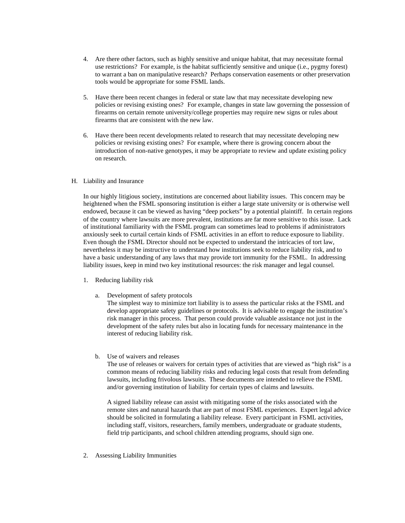- 4. Are there other factors, such as highly sensitive and unique habitat, that may necessitate formal use restrictions? For example, is the habitat sufficiently sensitive and unique (i.e., pygmy forest) to warrant a ban on manipulative research? Perhaps conservation easements or other preservation tools would be appropriate for some FSML lands.
- 5. Have there been recent changes in federal or state law that may necessitate developing new policies or revising existing ones? For example, changes in state law governing the possession of firearms on certain remote university/college properties may require new signs or rules about firearms that are consistent with the new law.
- 6. Have there been recent developments related to research that may necessitate developing new policies or revising existing ones? For example, where there is growing concern about the introduction of non-native genotypes, it may be appropriate to review and update existing policy on research.

## H. Liability and Insurance

In our highly litigious society, institutions are concerned about liability issues. This concern may be heightened when the FSML sponsoring institution is either a large state university or is otherwise well endowed, because it can be viewed as having "deep pockets" by a potential plaintiff. In certain regions of the country where lawsuits are more prevalent, institutions are far more sensitive to this issue. Lack of institutional familiarity with the FSML program can sometimes lead to problems if administrators anxiously seek to curtail certain kinds of FSML activities in an effort to reduce exposure to liability. Even though the FSML Director should not be expected to understand the intricacies of tort law, nevertheless it may be instructive to understand how institutions seek to reduce liability risk, and to have a basic understanding of any laws that may provide tort immunity for the FSML. In addressing liability issues, keep in mind two key institutional resources: the risk manager and legal counsel.

- 1. Reducing liability risk
	- a. Development of safety protocols

The simplest way to minimize tort liability is to assess the particular risks at the FSML and develop appropriate safety guidelines or protocols. It is advisable to engage the institution's risk manager in this process. That person could provide valuable assistance not just in the development of the safety rules but also in locating funds for necessary maintenance in the interest of reducing liability risk.

b. Use of waivers and releases

The use of releases or waivers for certain types of activities that are viewed as "high risk" is a common means of reducing liability risks and reducing legal costs that result from defending lawsuits, including frivolous lawsuits. These documents are intended to relieve the FSML and/or governing institution of liability for certain types of claims and lawsuits.

A signed liability release can assist with mitigating some of the risks associated with the remote sites and natural hazards that are part of most FSML experiences. Expert legal advice should be solicited in formulating a liability release. Every participant in FSML activities, including staff, visitors, researchers, family members, undergraduate or graduate students, field trip participants, and school children attending programs, should sign one.

2. Assessing Liability Immunities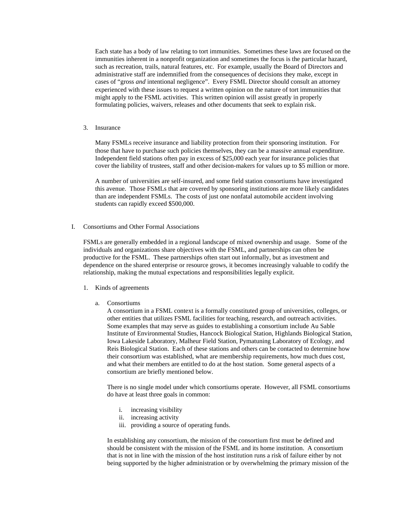Each state has a body of law relating to tort immunities. Sometimes these laws are focused on the immunities inherent in a nonprofit organization and sometimes the focus is the particular hazard, such as recreation, trails, natural features, etc. For example, usually the Board of Directors and administrative staff are indemnified from the consequences of decisions they make, except in cases of "gross *and* intentional negligence". Every FSML Director should consult an attorney experienced with these issues to request a written opinion on the nature of tort immunities that might apply to the FSML activities. This written opinion will assist greatly in properly formulating policies, waivers, releases and other documents that seek to explain risk.

3. Insurance

Many FSMLs receive insurance and liability protection from their sponsoring institution. For those that have to purchase such policies themselves, they can be a massive annual expenditure. Independent field stations often pay in excess of \$25,000 each year for insurance policies that cover the liability of trustees, staff and other decision-makers for values up to \$5 million or more.

A number of universities are self-insured, and some field station consortiums have investigated this avenue. Those FSMLs that are covered by sponsoring institutions are more likely candidates than are independent FSMLs. The costs of just one nonfatal automobile accident involving students can rapidly exceed \$500,000.

I. Consortiums and Other Formal Associations

FSMLs are generally embedded in a regional landscape of mixed ownership and usage. Some of the individuals and organizations share objectives with the FSML, and partnerships can often be productive for the FSML. These partnerships often start out informally, but as investment and dependence on the shared enterprise or resource grows, it becomes increasingly valuable to codify the relationship, making the mutual expectations and responsibilities legally explicit.

- 1. Kinds of agreements
	- a. Consortiums

A consortium in a FSML context is a formally constituted group of universities, colleges, or other entities that utilizes FSML facilities for teaching, research, and outreach activities. Some examples that may serve as guides to establishing a consortium include Au Sable Institute of Environmental Studies, Hancock Biological Station, Highlands Biological Station, Iowa Lakeside Laboratory, Malheur Field Station, Pymatuning Laboratory of Ecology, and Reis Biological Station. Each of these stations and others can be contacted to determine how their consortium was established, what are membership requirements, how much dues cost, and what their members are entitled to do at the host station. Some general aspects of a consortium are briefly mentioned below.

There is no single model under which consortiums operate. However, all FSML consortiums do have at least three goals in common:

- i. increasing visibility
- ii. increasing activity
- iii. providing a source of operating funds.

In establishing any consortium, the mission of the consortium first must be defined and should be consistent with the mission of the FSML and its home institution. A consortium that is not in line with the mission of the host institution runs a risk of failure either by not being supported by the higher administration or by overwhelming the primary mission of the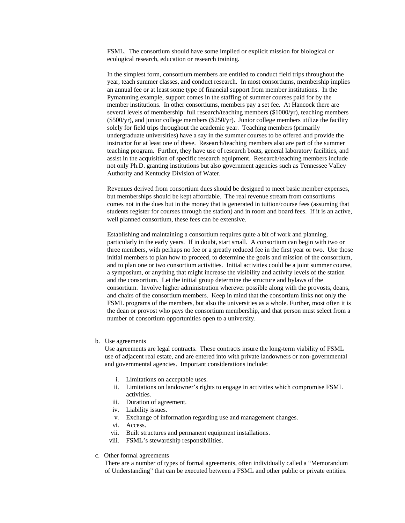FSML. The consortium should have some implied or explicit mission for biological or ecological research, education or research training.

In the simplest form, consortium members are entitled to conduct field trips throughout the year, teach summer classes, and conduct research. In most consortiums, membership implies an annual fee or at least some type of financial support from member institutions. In the Pymatuning example, support comes in the staffing of summer courses paid for by the member institutions. In other consortiums, members pay a set fee. At Hancock there are several levels of membership: full research/teaching members (\$1000/yr), teaching members  $(\$500/yr)$ , and junior college members  $(\$250/yr)$ . Junior college members utilize the facility solely for field trips throughout the academic year. Teaching members (primarily undergraduate universities) have a say in the summer courses to be offered and provide the instructor for at least one of these. Research/teaching members also are part of the summer teaching program. Further, they have use of research boats, general laboratory facilities, and assist in the acquisition of specific research equipment. Research/teaching members include not only Ph.D. granting institutions but also government agencies such as Tennessee Valley Authority and Kentucky Division of Water.

Revenues derived from consortium dues should be designed to meet basic member expenses, but memberships should be kept affordable. The real revenue stream from consortiums comes not in the dues but in the money that is generated in tuition/course fees (assuming that students register for courses through the station) and in room and board fees. If it is an active, well planned consortium, these fees can be extensive.

Establishing and maintaining a consortium requires quite a bit of work and planning, particularly in the early years. If in doubt, start small. A consortium can begin with two or three members, with perhaps no fee or a greatly reduced fee in the first year or two. Use those initial members to plan how to proceed, to determine the goals and mission of the consortium, and to plan one or two consortium activities. Initial activities could be a joint summer course, a symposium, or anything that might increase the visibility and activity levels of the station and the consortium. Let the initial group determine the structure and bylaws of the consortium. Involve higher administration wherever possible along with the provosts, deans, and chairs of the consortium members. Keep in mind that the consortium links not only the FSML programs of the members, but also the universities as a whole. Further, most often it is the dean or provost who pays the consortium membership, and that person must select from a number of consortium opportunities open to a university.

## b. Use agreements

Use agreements are legal contracts. These contracts insure the long-term viability of FSML use of adjacent real estate, and are entered into with private landowners or non-governmental and governmental agencies. Important considerations include:

- i. Limitations on acceptable uses.
- ii. Limitations on landowner's rights to engage in activities which compromise FSML activities.
- iii. Duration of agreement.
- iv. Liability issues.
- v. Exchange of information regarding use and management changes.
- vi. Access.
- vii. Built structures and permanent equipment installations.
- viii. FSML's stewardship responsibilities.
- c. Other formal agreements

There are a number of types of formal agreements, often individually called a "Memorandum of Understanding" that can be executed between a FSML and other public or private entities.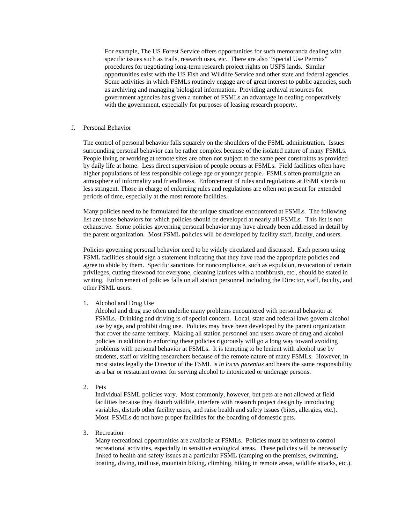For example, The US Forest Service offers opportunities for such memoranda dealing with specific issues such as trails, research uses, etc. There are also "Special Use Permits" procedures for negotiating long-term research project rights on USFS lands. Similar opportunities exist with the US Fish and Wildlife Service and other state and federal agencies. Some activities in which FSMLs routinely engage are of great interest to public agencies, such as archiving and managing biological information. Providing archival resources for government agencies has given a number of FSMLs an advantage in dealing cooperatively with the government, especially for purposes of leasing research property.

## J. Personal Behavior

The control of personal behavior falls squarely on the shoulders of the FSML administration. Issues surrounding personal behavior can be rather complex because of the isolated nature of many FSMLs. People living or working at remote sites are often not subject to the same peer constraints as provided by daily life at home. Less direct supervision of people occurs at FSMLs. Field facilities often have higher populations of less responsible college age or younger people. FSMLs often promulgate an atmosphere of informality and friendliness. Enforcement of rules and regulations at FSMLs tends to less stringent. Those in charge of enforcing rules and regulations are often not present for extended periods of time, especially at the most remote facilities.

Many policies need to be formulated for the unique situations encountered at FSMLs. The following list are those behaviors for which policies should be developed at nearly all FSMLs. This list is not exhaustive. Some policies governing personal behavior may have already been addressed in detail by the parent organization. Most FSML policies will be developed by facility staff, faculty, and users.

Policies governing personal behavior need to be widely circulated and discussed. Each person using FSML facilities should sign a statement indicating that they have read the appropriate policies and agree to abide by them. Specific sanctions for noncompliance, such as expulsion, revocation of certain privileges, cutting firewood for everyone, cleaning latrines with a toothbrush, etc., should be stated in writing. Enforcement of policies falls on all station personnel including the Director, staff, faculty, and other FSML users.

## 1. Alcohol and Drug Use

Alcohol and drug use often underlie many problems encountered with personal behavior at FSMLs. Drinking and driving is of special concern. Local, state and federal laws govern alcohol use by age, and prohibit drug use. Policies may have been developed by the parent organization that cover the same territory. Making all station personnel and users aware of drug and alcohol policies in addition to enforcing these policies rigorously will go a long way toward avoiding problems with personal behavior at FSMLs. It is tempting to be lenient with alcohol use by students, staff or visiting researchers because of the remote nature of many FSMLs. However, in most states legally the Director of the FSML is *in locus parentus* and bears the same responsibility as a bar or restaurant owner for serving alcohol to intoxicated or underage persons.

2. Pets

Individual FSML policies vary. Most commonly, however, but pets are not allowed at field facilities because they disturb wildlife, interfere with research project design by introducing variables, disturb other facility users, and raise health and safety issues (bites, allergies, etc.). Most FSMLs do not have proper facilities for the boarding of domestic pets.

3. Recreation

Many recreational opportunities are available at FSMLs. Policies must be written to control recreational activities, especially in sensitive ecological areas. These policies will be necessarily linked to health and safety issues at a particular FSML (camping on the premises, swimming, boating, diving, trail use, mountain biking, climbing, hiking in remote areas, wildlife attacks, etc.).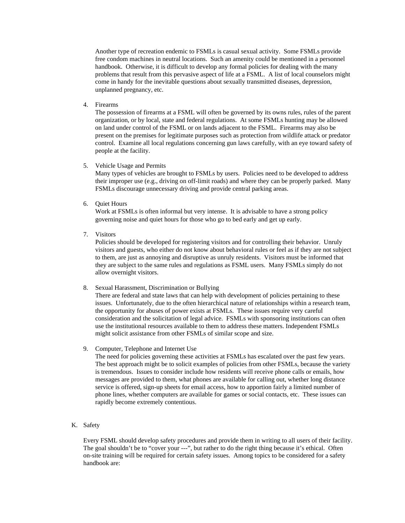Another type of recreation endemic to FSMLs is casual sexual activity. Some FSMLs provide free condom machines in neutral locations. Such an amenity could be mentioned in a personnel handbook. Otherwise, it is difficult to develop any formal policies for dealing with the many problems that result from this pervasive aspect of life at a FSML. A list of local counselors might come in handy for the inevitable questions about sexually transmitted diseases, depression, unplanned pregnancy, etc.

4. Firearms

The possession of firearms at a FSML will often be governed by its owns rules, rules of the parent organization, or by local, state and federal regulations. At some FSMLs hunting may be allowed on land under control of the FSML or on lands adjacent to the FSML. Firearms may also be present on the premises for legitimate purposes such as protection from wildlife attack or predator control. Examine all local regulations concerning gun laws carefully, with an eye toward safety of people at the facility.

5. Vehicle Usage and Permits

Many types of vehicles are brought to FSMLs by users. Policies need to be developed to address their improper use (e.g., driving on off-limit roads) and where they can be properly parked. Many FSMLs discourage unnecessary driving and provide central parking areas.

6. Quiet Hours

Work at FSMLs is often informal but very intense. It is advisable to have a strong policy governing noise and quiet hours for those who go to bed early and get up early.

7. Visitors

Policies should be developed for registering visitors and for controlling their behavior. Unruly visitors and guests, who either do not know about behavioral rules or feel as if they are not subject to them, are just as annoying and disruptive as unruly residents. Visitors must be informed that they are subject to the same rules and regulations as FSML users. Many FSMLs simply do not allow overnight visitors.

8. Sexual Harassment, Discrimination or Bullying

There are federal and state laws that can help with development of policies pertaining to these issues. Unfortunately, due to the often hierarchical nature of relationships within a research team, the opportunity for abuses of power exists at FSMLs. These issues require very careful consideration and the solicitation of legal advice. FSMLs with sponsoring institutions can often use the institutional resources available to them to address these matters. Independent FSMLs might solicit assistance from other FSMLs of similar scope and size.

9. Computer, Telephone and Internet Use

The need for policies governing these activities at FSMLs has escalated over the past few years. The best approach might be to solicit examples of policies from other FSMLs, because the variety is tremendous. Issues to consider include how residents will receive phone calls or emails, how messages are provided to them, what phones are available for calling out, whether long distance service is offered, sign-up sheets for email access, how to apportion fairly a limited number of phone lines, whether computers are available for games or social contacts, etc. These issues can rapidly become extremely contentious.

K. Safety

Every FSML should develop safety procedures and provide them in writing to all users of their facility. The goal shouldn't be to "cover your ---", but rather to do the right thing because it's ethical. Often on-site training will be required for certain safety issues. Among topics to be considered for a safety handbook are: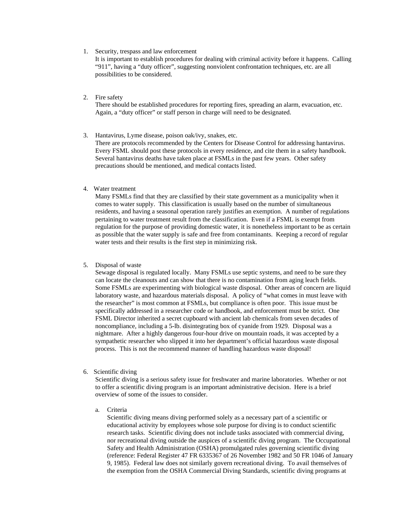#### 1. Security, trespass and law enforcement

It is important to establish procedures for dealing with criminal activity before it happens. Calling "911", having a "duty officer", suggesting nonviolent confrontation techniques, etc. are all possibilities to be considered.

## 2. Fire safety

There should be established procedures for reporting fires, spreading an alarm, evacuation, etc. Again, a "duty officer" or staff person in charge will need to be designated.

#### 3. Hantavirus, Lyme disease, poison oak/ivy, snakes, etc.

There are protocols recommended by the Centers for Disease Control for addressing hantavirus. Every FSML should post these protocols in every residence, and cite them in a safety handbook. Several hantavirus deaths have taken place at FSMLs in the past few years. Other safety precautions should be mentioned, and medical contacts listed.

## 4. Water treatment

Many FSMLs find that they are classified by their state government as a municipality when it comes to water supply. This classification is usually based on the number of simultaneous residents, and having a seasonal operation rarely justifies an exemption. A number of regulations pertaining to water treatment result from the classification. Even if a FSML is exempt from regulation for the purpose of providing domestic water, it is nonetheless important to be as certain as possible that the water supply is safe and free from contaminants. Keeping a record of regular water tests and their results is the first step in minimizing risk.

#### 5. Disposal of waste

Sewage disposal is regulated locally. Many FSMLs use septic systems, and need to be sure they can locate the cleanouts and can show that there is no contamination from aging leach fields. Some FSMLs are experimenting with biological waste disposal. Other areas of concern are liquid laboratory waste, and hazardous materials disposal. A policy of "what comes in must leave with the researcher" is most common at FSMLs, but compliance is often poor. This issue must be specifically addressed in a researcher code or handbook, and enforcement must be strict. One FSML Director inherited a secret cupboard with ancient lab chemicals from seven decades of noncompliance, including a 5-lb. disintegrating box of cyanide from 1929. Disposal was a nightmare. After a highly dangerous four-hour drive on mountain roads, it was accepted by a sympathetic researcher who slipped it into her department's official hazardous waste disposal process. This is not the recommend manner of handling hazardous waste disposal!

## 6. Scientific diving

Scientific diving is a serious safety issue for freshwater and marine laboratories. Whether or not to offer a scientific diving program is an important administrative decision. Here is a brief overview of some of the issues to consider.

#### a. Criteria

Scientific diving means diving performed solely as a necessary part of a scientific or educational activity by employees whose sole purpose for diving is to conduct scientific research tasks. Scientific diving does not include tasks associated with commercial diving, nor recreational diving outside the auspices of a scientific diving program. The Occupational Safety and Health Administration (OSHA) promulgated rules governing scientific diving (reference: Federal Register 47 FR 6335367 of 26 November 1982 and 50 FR 1046 of January 9, 1985). Federal law does not similarly govern recreational diving. To avail themselves of the exemption from the OSHA Commercial Diving Standards, scientific diving programs at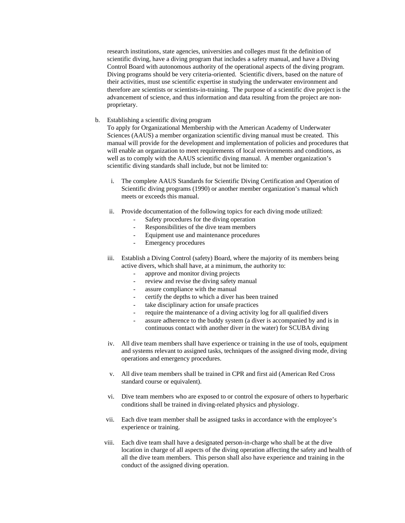research institutions, state agencies, universities and colleges must fit the definition of scientific diving, have a diving program that includes a safety manual, and have a Diving Control Board with autonomous authority of the operational aspects of the diving program. Diving programs should be very criteria-oriented. Scientific divers, based on the nature of their activities, must use scientific expertise in studying the underwater environment and therefore are scientists or scientists-in-training. The purpose of a scientific dive project is the advancement of science, and thus information and data resulting from the project are nonproprietary.

b. Establishing a scientific diving program

To apply for Organizational Membership with the American Academy of Underwater Sciences (AAUS) a member organization scientific diving manual must be created. This manual will provide for the development and implementation of policies and procedures that will enable an organization to meet requirements of local environments and conditions, as well as to comply with the AAUS scientific diving manual. A member organization's scientific diving standards shall include, but not be limited to:

- i. The complete AAUS Standards for Scientific Diving Certification and Operation of Scientific diving programs (1990) or another member organization's manual which meets or exceeds this manual.
- ii. Provide documentation of the following topics for each diving mode utilized:
	- Safety procedures for the diving operation
	- Responsibilities of the dive team members
	- Equipment use and maintenance procedures
	- Emergency procedures
- iii. Establish a Diving Control (safety) Board, where the majority of its members being active divers, which shall have, at a minimum, the authority to:
	- approve and monitor diving projects
	- review and revise the diving safety manual
	- assure compliance with the manual
	- certify the depths to which a diver has been trained
	- take disciplinary action for unsafe practices
	- require the maintenance of a diving activity log for all qualified divers
	- assure adherence to the buddy system (a diver is accompanied by and is in continuous contact with another diver in the water) for SCUBA diving
- iv. All dive team members shall have experience or training in the use of tools, equipment and systems relevant to assigned tasks, techniques of the assigned diving mode, diving operations and emergency procedures.
- v. All dive team members shall be trained in CPR and first aid (American Red Cross standard course or equivalent).
- vi. Dive team members who are exposed to or control the exposure of others to hyperbaric conditions shall be trained in diving-related physics and physiology.
- vii. Each dive team member shall be assigned tasks in accordance with the employee's experience or training.
- viii. Each dive team shall have a designated person-in-charge who shall be at the dive location in charge of all aspects of the diving operation affecting the safety and health of all the dive team members. This person shall also have experience and training in the conduct of the assigned diving operation.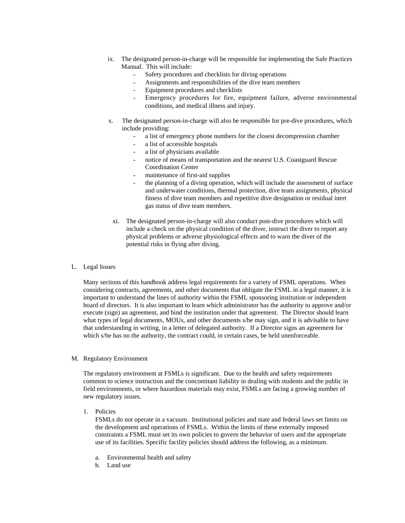- ix. The designated person-in-charge will be responsible for implementing the Safe Practices Manual. This will include:
	- Safety procedures and checklists for diving operations
	- Assignments and responsibilities of the dive team members
	- Equipment procedures and checklists
	- Emergency procedures for fire, equipment failure, adverse environmental conditions, and medical illness and injury.
- x. The designated person-in-charge will also be responsible for pre-dive procedures, which include providing:
	- a list of emergency phone numbers for the closest decompression chamber
	- a list of accessible hospitals
	- a list of physicians available
	- notice of means of transportation and the nearest U.S. Coastguard Rescue Coordination Center
	- maintenance of first-aid supplies
	- the planning of a diving operation, which will include the assessment of surface and underwater conditions, thermal protection, dive team assignments, physical fitness of dive team members and repetitive dive designation or residual inert gas status of dive team members.
	- xi. The designated person-in-charge will also conduct post-dive procedures which will include a check on the physical condition of the diver, instruct the diver to report any physical problems or adverse physiological effects and to warn the diver of the potential risks in flying after diving.

## L. Legal Issues

Many sections of this handbook address legal requirements for a variety of FSML operations. When considering contracts, agreements, and other documents that obligate the FSML in a legal manner, it is important to understand the lines of authority within the FSML sponsoring institution or independent board of directors. It is also important to learn which administrator has the authority to approve and/or execute (sign) an agreement, and bind the institution under that agreement. The Director should learn what types of legal documents, MOUs, and other documents s/he may sign, and it is advisable to have that understanding in writing, in a letter of delegated authority. If a Director signs an agreement for which s/he has no the authority, the contract could, in certain cases, be held unenforceable.

## M. Regulatory Environment

The regulatory environment at FSMLs is significant. Due to the health and safety requirements common to science instruction and the concomitant liability in dealing with students and the public in field environments, or where hazardous materials may exist, FSMLs are facing a growing number of new regulatory issues.

1. Policies

FSMLs do not operate in a vacuum. Institutional policies and state and federal laws set limits on the development and operations of FSMLs. Within the limits of these externally imposed constraints a FSML must set its own policies to govern the behavior of users and the appropriate use of its facilities. Specific facility policies should address the following, as a minimum.

- a. Environmental health and safety
- b. Land use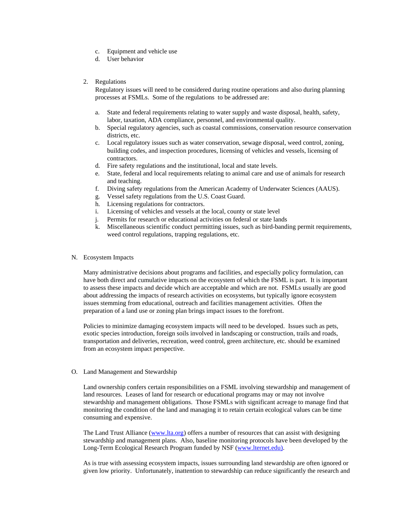- c. Equipment and vehicle use
- d. User behavior
- 2. Regulations

Regulatory issues will need to be considered during routine operations and also during planning processes at FSMLs. Some of the regulations to be addressed are:

- a. State and federal requirements relating to water supply and waste disposal, health, safety, labor, taxation, ADA compliance, personnel, and environmental quality.
- b. Special regulatory agencies, such as coastal commissions, conservation resource conservation districts, etc.
- c. Local regulatory issues such as water conservation, sewage disposal, weed control, zoning, building codes, and inspection procedures, licensing of vehicles and vessels, licensing of contractors.
- d. Fire safety regulations and the institutional, local and state levels.
- e. State, federal and local requirements relating to animal care and use of animals for research and teaching.
- f. Diving safety regulations from the American Academy of Underwater Sciences (AAUS).
- g. Vessel safety regulations from the U.S. Coast Guard.
- h. Licensing regulations for contractors.
- i. Licensing of vehicles and vessels at the local, county or state level
- j. Permits for research or educational activities on federal or state lands
- k. Miscellaneous scientific conduct permitting issues, such as bird-banding permit requirements, weed control regulations, trapping regulations, etc.
- N. Ecosystem Impacts

Many administrative decisions about programs and facilities, and especially policy formulation, can have both direct and cumulative impacts on the ecosystem of which the FSML is part. It is important to assess these impacts and decide which are acceptable and which are not. FSMLs usually are good about addressing the impacts of research activities on ecosystems, but typically ignore ecosystem issues stemming from educational, outreach and facilities management activities. Often the preparation of a land use or zoning plan brings impact issues to the forefront.

Policies to minimize damaging ecosystem impacts will need to be developed. Issues such as pets, exotic species introduction, foreign soils involved in landscaping or construction, trails and roads, transportation and deliveries, recreation, weed control, green architecture, etc. should be examined from an ecosystem impact perspective.

O. Land Management and Stewardship

Land ownership confers certain responsibilities on a FSML involving stewardship and management of land resources. Leases of land for research or educational programs may or may not involve stewardship and management obligations. Those FSMLs with significant acreage to manage find that monitoring the condition of the land and managing it to retain certain ecological values can be time consuming and expensive.

The Land Trust Alliance (www.lta.org) offers a number of resources that can assist with designing stewardship and management plans. Also, baseline monitoring protocols have been developed by the Long-Term Ecological Research Program funded by NSF (www.lternet.edu).

As is true with assessing ecosystem impacts, issues surrounding land stewardship are often ignored or given low priority. Unfortunately, inattention to stewardship can reduce significantly the research and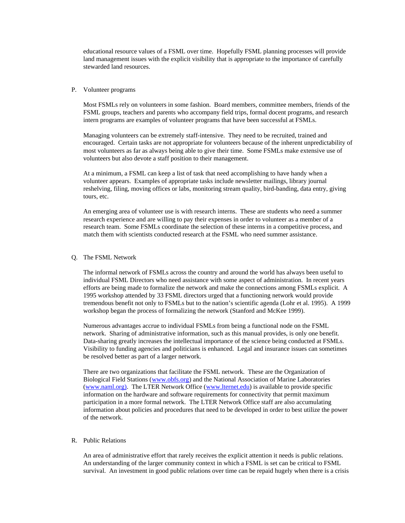educational resource values of a FSML over time. Hopefully FSML planning processes will provide land management issues with the explicit visibility that is appropriate to the importance of carefully stewarded land resources.

#### P. Volunteer programs

Most FSMLs rely on volunteers in some fashion. Board members, committee members, friends of the FSML groups, teachers and parents who accompany field trips, formal docent programs, and research intern programs are examples of volunteer programs that have been successful at FSMLs.

Managing volunteers can be extremely staff-intensive. They need to be recruited, trained and encouraged. Certain tasks are not appropriate for volunteers because of the inherent unpredictability of most volunteers as far as always being able to give their time. Some FSMLs make extensive use of volunteers but also devote a staff position to their management.

At a minimum, a FSML can keep a list of task that need accomplishing to have handy when a volunteer appears. Examples of appropriate tasks include newsletter mailings, library journal reshelving, filing, moving offices or labs, monitoring stream quality, bird-banding, data entry, giving tours, etc.

An emerging area of volunteer use is with research interns. These are students who need a summer research experience and are willing to pay their expenses in order to volunteer as a member of a research team. Some FSMLs coordinate the selection of these interns in a competitive process, and match them with scientists conducted research at the FSML who need summer assistance.

## Q. The FSML Network

The informal network of FSMLs across the country and around the world has always been useful to individual FSML Directors who need assistance with some aspect of administration. In recent years efforts are being made to formalize the network and make the connections among FSMLs explicit. A 1995 workshop attended by 33 FSML directors urged that a functioning network would provide tremendous benefit not only to FSMLs but to the nation's scientific agenda (Lohr et al. 1995). A 1999 workshop began the process of formalizing the network (Stanford and McKee 1999).

Numerous advantages accrue to individual FSMLs from being a functional node on the FSML network. Sharing of administrative information, such as this manual provides, is only one benefit. Data-sharing greatly increases the intellectual importance of the science being conducted at FSMLs. Visibility to funding agencies and politicians is enhanced. Legal and insurance issues can sometimes be resolved better as part of a larger network.

There are two organizations that facilitate the FSML network. These are the Organization of Biological Field Stations (www.obfs.org) and the National Association of Marine Laboratories (www.naml.org). The LTER Network Office (www.lternet.edu) is available to provide specific information on the hardware and software requirements for connectivity that permit maximum participation in a more formal network. The LTER Network Office staff are also accumulating information about policies and procedures that need to be developed in order to best utilize the power of the network.

## R. Public Relations

An area of administrative effort that rarely receives the explicit attention it needs is public relations. An understanding of the larger community context in which a FSML is set can be critical to FSML survival. An investment in good public relations over time can be repaid hugely when there is a crisis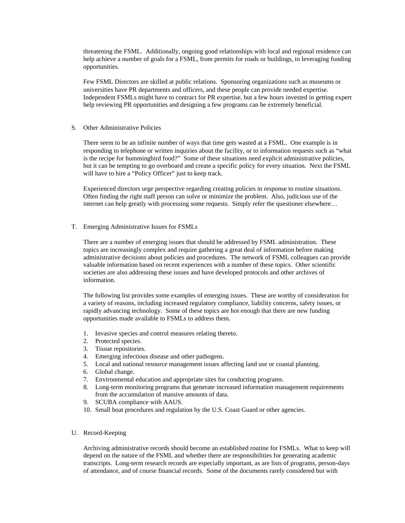threatening the FSML. Additionally, ongoing good relationships with local and regional residence can help achieve a number of goals for a FSML, from permits for roads or buildings, to leveraging funding opportunities.

Few FSML Directors are skilled at public relations. Sponsoring organizations such as museums or universities have PR departments and officers, and these people can provide needed expertise. Independent FSMLs might have to contract for PR expertise, but a few hours invested in getting expert help reviewing PR opportunities and designing a few programs can be extremely beneficial.

S. Other Administrative Policies

There seem to be an infinite number of ways that time gets wasted at a FSML. One example is in responding to telephone or written inquiries about the facility, or to information requests such as "what is the recipe for hummingbird food?" Some of these situations need explicit administrative policies, but it can be tempting to go overboard and create a specific policy for every situation. Next the FSML will have to hire a "Policy Officer" just to keep track.

Experienced directors urge perspective regarding creating policies in response to routine situations. Often finding the right staff person can solve or minimize the problem. Also, judicious use of the internet can help greatly with processing some requests. Simply refer the questioner elsewhere…

T. Emerging Administrative Issues for FSMLs

There are a number of emerging issues that should be addressed by FSML administration. These topics are increasingly complex and require gathering a great deal of information before making administrative decisions about policies and procedures. The network of FSML colleagues can provide valuable information based on recent experiences with a number of these topics. Other scientific societies are also addressing these issues and have developed protocols and other archives of information.

The following list provides some examples of emerging issues. These are worthy of consideration for a variety of reasons, including increased regulatory compliance, liability concerns, safety issues, or rapidly advancing technology. Some of these topics are hot enough that there are new funding opportunities made available to FSMLs to address them.

- 1. Invasive species and control measures relating thereto.
- 2. Protected species.
- 3. Tissue repositories.
- 4. Emerging infectious disease and other pathogens.
- 5. Local and national resource management issues affecting land use or coastal planning.
- 6. Global change.
- 7. Environmental education and appropriate sites for conducting programs.
- 8. Long-term monitoring programs that generate increased information management requirements from the accumulation of massive amounts of data.
- 9. SCUBA compliance with AAUS.
- 10. Small boat procedures and regulation by the U.S. Coast Guard or other agencies.
- U. Record-Keeping

Archiving administrative records should become an established routine for FSMLs. What to keep will depend on the nature of the FSML and whether there are responsibilities for generating academic transcripts. Long-term research records are especially important, as are lists of programs, person-days of attendance, and of course financial records. Some of the documents rarely considered but with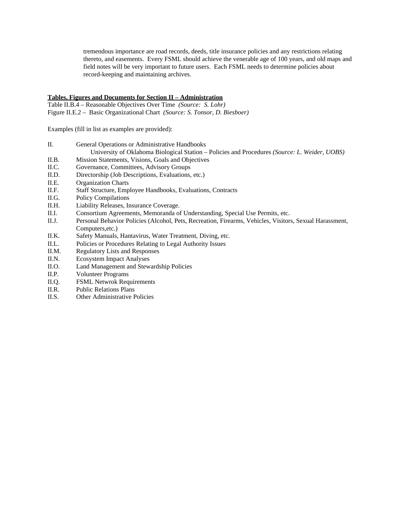tremendous importance are road records, deeds, title insurance policies and any restrictions relating thereto, and easements. Every FSML should achieve the venerable age of 100 years, and old maps and field notes will be very important to future users. Each FSML needs to determine policies about record-keeping and maintaining archives.

# **Tables, Figures and Documents for Section II – Administration**

Table II.B.4 – Reasonable Objectives Over Time *(Source: S. Lohr)* Figure II.E.2 – Basic Organizational Chart *(Source: S. Tonsor, D. Biesboer)*

Examples (fill in list as examples are provided):

| General Operations or Administrative Handbooks                                                |  |  |
|-----------------------------------------------------------------------------------------------|--|--|
| University of Oklahoma Biological Station – Policies and Procedures (Source: L. Weider, UOBS) |  |  |

- II.B. Mission Statements, Visions, Goals and Objectives
- II.C. Governance, Committees, Advisory Groups<br>II.D. Directorship (Job Descriptions, Evaluations,
- Directorship (Job Descriptions, Evaluations, etc.)
- II.E. Organization Charts
- II.F. Staff Structure, Employee Handbooks, Evaluations, Contracts
- II.G. Policy Compilations
- II.H. Liability Releases, Insurance Coverage.
- II.I. Consortium Agreements, Memoranda of Understanding, Special Use Permits, etc.
- II.J. Personal Behavior Policies (Alcohol, Pets, Recreation, Firearms, Vehicles, Visitors, Sexual Harassment, Computers,etc.)
- II.K. Safety Manuals, Hantavirus, Water Treatment, Diving, etc.
- II.L. Policies or Procedures Relating to Legal Authority Issues
- II.M. Regulatory Lists and Responses
- II.N. Ecosystem Impact Analyses
- II.O. Land Management and Stewardship Policies
- II.P. Volunteer Programs
- II.Q. FSML Netwrok Requirements
- II.R. Public Relations Plans
- II.S. Other Administrative Policies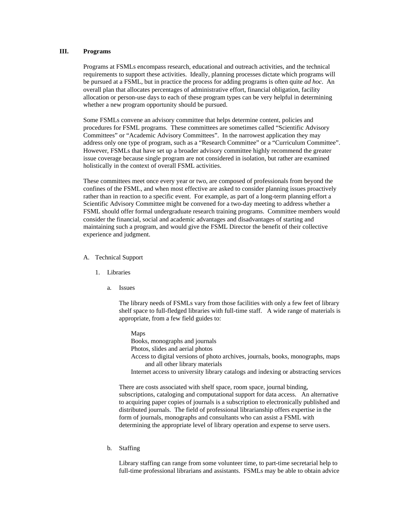# **III. Programs**

Programs at FSMLs encompass research, educational and outreach activities, and the technical requirements to support these activities. Ideally, planning processes dictate which programs will be pursued at a FSML, but in practice the process for adding programs is often quite *ad hoc*. An overall plan that allocates percentages of administrative effort, financial obligation, facility allocation or person-use days to each of these program types can be very helpful in determining whether a new program opportunity should be pursued.

Some FSMLs convene an advisory committee that helps determine content, policies and procedures for FSML programs. These committees are sometimes called "Scientific Advisory Committees" or "Academic Advisory Committees". In the narrowest application they may address only one type of program, such as a "Research Committee" or a "Curriculum Committee". However, FSMLs that have set up a broader advisory committee highly recommend the greater issue coverage because single program are not considered in isolation, but rather are examined holistically in the context of overall FSML activities.

These committees meet once every year or two, are composed of professionals from beyond the confines of the FSML, and when most effective are asked to consider planning issues proactively rather than in reaction to a specific event. For example, as part of a long-term planning effort a Scientific Advisory Committee might be convened for a two-day meeting to address whether a FSML should offer formal undergraduate research training programs. Committee members would consider the financial, social and academic advantages and disadvantages of starting and maintaining such a program, and would give the FSML Director the benefit of their collective experience and judgment.

- A. Technical Support
	- 1. Libraries
		- a. Issues

The library needs of FSMLs vary from those facilities with only a few feet of library shelf space to full-fledged libraries with full-time staff. A wide range of materials is appropriate, from a few field guides to:

Maps Books, monographs and journals Photos, slides and aerial photos Access to digital versions of photo archives, journals, books, monographs, maps and all other library materials Internet access to university library catalogs and indexing or abstracting services

There are costs associated with shelf space, room space, journal binding, subscriptions, cataloging and computational support for data access. An alternative to acquiring paper copies of journals is a subscription to electronically published and distributed journals. The field of professional librarianship offers expertise in the form of journals, monographs and consultants who can assist a FSML with determining the appropriate level of library operation and expense to serve users.

b. Staffing

Library staffing can range from some volunteer time, to part-time secretarial help to full-time professional librarians and assistants. FSMLs may be able to obtain advice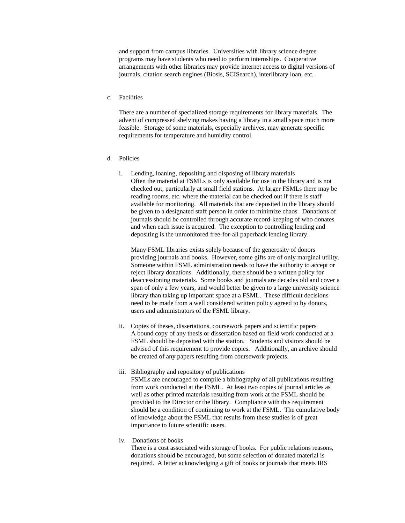and support from campus libraries. Universities with library science degree programs may have students who need to perform internships. Cooperative arrangements with other libraries may provide internet access to digital versions of journals, citation search engines (Biosis, SCISearch), interlibrary loan, etc.

c. Facilities

There are a number of specialized storage requirements for library materials. The advent of compressed shelving makes having a library in a small space much more feasible. Storage of some materials, especially archives, may generate specific requirements for temperature and humidity control.

- d. Policies
	- i. Lending, loaning, depositing and disposing of library materials Often the material at FSMLs is only available for use in the library and is not checked out, particularly at small field stations. At larger FSMLs there may be reading rooms, etc. where the material can be checked out if there is staff available for monitoring. All materials that are deposited in the library should be given to a designated staff person in order to minimize chaos. Donations of journals should be controlled through accurate record-keeping of who donates and when each issue is acquired. The exception to controlling lending and depositing is the unmonitored free-for-all paperback lending library.

Many FSML libraries exists solely because of the generosity of donors providing journals and books. However, some gifts are of only marginal utility. Someone within FSML administration needs to have the authority to accept or reject library donations. Additionally, there should be a written policy for deaccessioning materials. Some books and journals are decades old and cover a span of only a few years, and would better be given to a large university science library than taking up important space at a FSML. These difficult decisions need to be made from a well considered written policy agreed to by donors, users and administrators of the FSML library.

- ii. Copies of theses, dissertations, coursework papers and scientific papers A bound copy of any thesis or dissertation based on field work conducted at a FSML should be deposited with the station. Students and visitors should be advised of this requirement to provide copies. Additionally, an archive should be created of any papers resulting from coursework projects.
- iii. Bibliography and repository of publications

FSMLs are encouraged to compile a bibliography of all publications resulting from work conducted at the FSML. At least two copies of journal articles as well as other printed materials resulting from work at the FSML should be provided to the Director or the library. Compliance with this requirement should be a condition of continuing to work at the FSML. The cumulative body of knowledge about the FSML that results from these studies is of great importance to future scientific users.

iv. Donations of books

There is a cost associated with storage of books. For public relations reasons, donations should be encouraged, but some selection of donated material is required. A letter acknowledging a gift of books or journals that meets IRS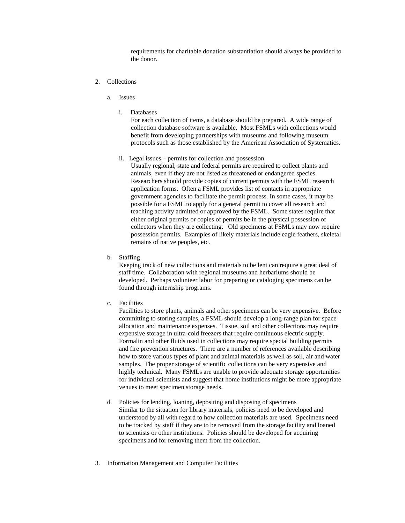requirements for charitable donation substantiation should always be provided to the donor.

- 2. Collections
	- a. Issues
		- i. Databases

For each collection of items, a database should be prepared. A wide range of collection database software is available. Most FSMLs with collections would benefit from developing partnerships with museums and following museum protocols such as those established by the American Association of Systematics.

ii. Legal issues – permits for collection and possession

Usually regional, state and federal permits are required to collect plants and animals, even if they are not listed as threatened or endangered species. Researchers should provide copies of current permits with the FSML research application forms. Often a FSML provides list of contacts in appropriate government agencies to facilitate the permit process. In some cases, it may be possible for a FSML to apply for a general permit to cover all research and teaching activity admitted or approved by the FSML. Some states require that either original permits or copies of permits be in the physical possession of collectors when they are collecting. Old specimens at FSMLs may now require possession permits. Examples of likely materials include eagle feathers, skeletal remains of native peoples, etc.

b. Staffing

Keeping track of new collections and materials to be lent can require a great deal of staff time. Collaboration with regional museums and herbariums should be developed. Perhaps volunteer labor for preparing or cataloging specimens can be found through internship programs.

c. Facilities

Facilities to store plants, animals and other specimens can be very expensive. Before committing to storing samples, a FSML should develop a long-range plan for space allocation and maintenance expenses. Tissue, soil and other collections may require expensive storage in ultra-cold freezers that require continuous electric supply. Formalin and other fluids used in collections may require special building permits and fire prevention structures. There are a number of references available describing how to store various types of plant and animal materials as well as soil, air and water samples. The proper storage of scientific collections can be very expensive and highly technical. Many FSMLs are unable to provide adequate storage opportunities for individual scientists and suggest that home institutions might be more appropriate venues to meet specimen storage needs.

- d. Policies for lending, loaning, depositing and disposing of specimens Similar to the situation for library materials, policies need to be developed and understood by all with regard to how collection materials are used. Specimens need to be tracked by staff if they are to be removed from the storage facility and loaned to scientists or other institutions. Policies should be developed for acquiring specimens and for removing them from the collection.
- 3. Information Management and Computer Facilities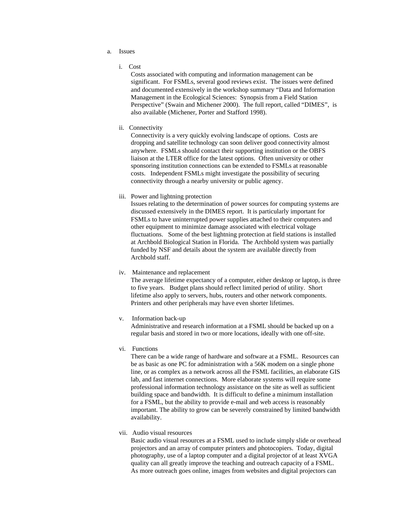- a. Issues
	- i. Cost

Costs associated with computing and information management can be significant. For FSMLs, several good reviews exist. The issues were defined and documented extensively in the workshop summary "Data and Information Management in the Ecological Sciences: Synopsis from a Field Station Perspective" (Swain and Michener 2000). The full report, called "DIMES", is also available (Michener, Porter and Stafford 1998).

ii. Connectivity

Connectivity is a very quickly evolving landscape of options. Costs are dropping and satellite technology can soon deliver good connectivity almost anywhere. FSMLs should contact their supporting institution or the OBFS liaison at the LTER office for the latest options. Often university or other sponsoring institution connections can be extended to FSMLs at reasonable costs. Independent FSMLs might investigate the possibility of securing connectivity through a nearby university or public agency.

iii. Power and lightning protection

Issues relating to the determination of power sources for computing systems are discussed extensively in the DIMES report. It is particularly important for FSMLs to have uninterrupted power supplies attached to their computers and other equipment to minimize damage associated with electrical voltage fluctuations. Some of the best lightning protection at field stations is installed at Archbold Biological Station in Florida. The Archbold system was partially funded by NSF and details about the system are available directly from Archbold staff.

iv. Maintenance and replacement

The average lifetime expectancy of a computer, either desktop or laptop, is three to five years. Budget plans should reflect limited period of utility. Short lifetime also apply to servers, hubs, routers and other network components. Printers and other peripherals may have even shorter lifetimes.

v. Information back-up

Administrative and research information at a FSML should be backed up on a regular basis and stored in two or more locations, ideally with one off-site.

vi. Functions

There can be a wide range of hardware and software at a FSML. Resources can be as basic as one PC for administration with a 56K modem on a single phone line, or as complex as a network across all the FSML facilities, an elaborate GIS lab, and fast internet connections. More elaborate systems will require some professional information technology assistance on the site as well as sufficient building space and bandwidth. It is difficult to define a minimum installation for a FSML, but the ability to provide e-mail and web access is reasonably important. The ability to grow can be severely constrained by limited bandwidth availability.

vii. Audio visual resources

Basic audio visual resources at a FSML used to include simply slide or overhead projectors and an array of computer printers and photocopiers. Today, digital photography, use of a laptop computer and a digital projector of at least XVGA quality can all greatly improve the teaching and outreach capacity of a FSML. As more outreach goes online, images from websites and digital projectors can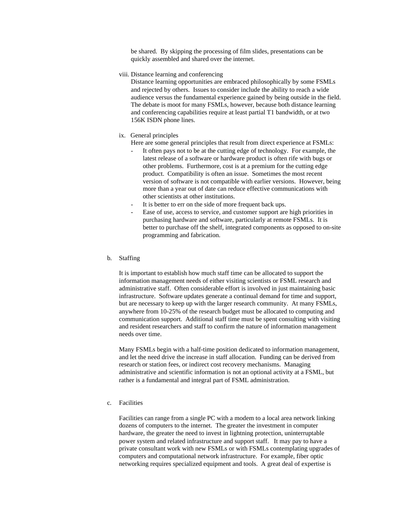be shared. By skipping the processing of film slides, presentations can be quickly assembled and shared over the internet.

viii. Distance learning and conferencing

Distance learning opportunities are embraced philosophically by some FSMLs and rejected by others. Issues to consider include the ability to reach a wide audience versus the fundamental experience gained by being outside in the field. The debate is moot for many FSMLs, however, because both distance learning and conferencing capabilities require at least partial T1 bandwidth, or at two 156K ISDN phone lines.

ix. General principles

Here are some general principles that result from direct experience at FSMLs:

- It often pays not to be at the cutting edge of technology. For example, the latest release of a software or hardware product is often rife with bugs or other problems. Furthermore, cost is at a premium for the cutting edge product. Compatibility is often an issue. Sometimes the most recent version of software is not compatible with earlier versions. However, being more than a year out of date can reduce effective communications with other scientists at other institutions.
- It is better to err on the side of more frequent back ups.
- Ease of use, access to service, and customer support are high priorities in purchasing hardware and software, particularly at remote FSMLs. It is better to purchase off the shelf, integrated components as opposed to on-site programming and fabrication.

#### b. Staffing

It is important to establish how much staff time can be allocated to support the information management needs of either visiting scientists or FSML research and administrative staff. Often considerable effort is involved in just maintaining basic infrastructure. Software updates generate a continual demand for time and support, but are necessary to keep up with the larger research community. At many FSMLs, anywhere from 10-25% of the research budget must be allocated to computing and communication support. Additional staff time must be spent consulting with visiting and resident researchers and staff to confirm the nature of information management needs over time.

Many FSMLs begin with a half-time position dedicated to information management, and let the need drive the increase in staff allocation. Funding can be derived from research or station fees, or indirect cost recovery mechanisms. Managing administrative and scientific information is not an optional activity at a FSML, but rather is a fundamental and integral part of FSML administration.

c. Facilities

Facilities can range from a single PC with a modem to a local area network linking dozens of computers to the internet. The greater the investment in computer hardware, the greater the need to invest in lightning protection, uninterruptable power system and related infrastructure and support staff. It may pay to have a private consultant work with new FSMLs or with FSMLs contemplating upgrades of computers and computational network infrastructure. For example, fiber optic networking requires specialized equipment and tools. A great deal of expertise is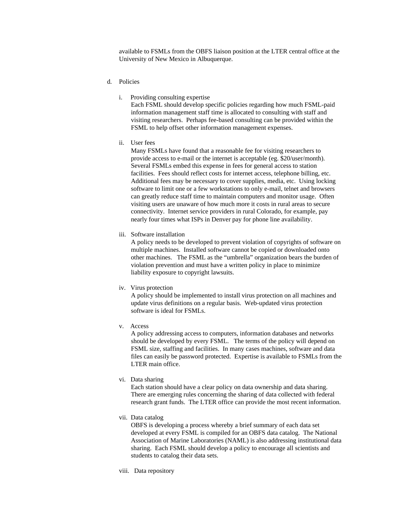available to FSMLs from the OBFS liaison position at the LTER central office at the University of New Mexico in Albuquerque.

- d. Policies
	- i. Providing consulting expertise

Each FSML should develop specific policies regarding how much FSML-paid information management staff time is allocated to consulting with staff and visiting researchers. Perhaps fee-based consulting can be provided within the FSML to help offset other information management expenses.

ii. User fees

Many FSMLs have found that a reasonable fee for visiting researchers to provide access to e-mail or the internet is acceptable (eg. \$20/user/month). Several FSMLs embed this expense in fees for general access to station facilities. Fees should reflect costs for internet access, telephone billing, etc. Additional fees may be necessary to cover supplies, media, etc. Using locking software to limit one or a few workstations to only e-mail, telnet and browsers can greatly reduce staff time to maintain computers and monitor usage. Often visiting users are unaware of how much more it costs in rural areas to secure connectivity. Internet service providers in rural Colorado, for example, pay nearly four times what ISPs in Denver pay for phone line availability.

iii. Software installation

A policy needs to be developed to prevent violation of copyrights of software on multiple machines. Installed software cannot be copied or downloaded onto other machines. The FSML as the "umbrella" organization bears the burden of violation prevention and must have a written policy in place to minimize liability exposure to copyright lawsuits.

iv. Virus protection

A policy should be implemented to install virus protection on all machines and update virus definitions on a regular basis. Web-updated virus protection software is ideal for FSMLs.

v. Access

A policy addressing access to computers, information databases and networks should be developed by every FSML. The terms of the policy will depend on FSML size, staffing and facilities. In many cases machines, software and data files can easily be password protected. Expertise is available to FSMLs from the LTER main office.

vi. Data sharing

Each station should have a clear policy on data ownership and data sharing. There are emerging rules concerning the sharing of data collected with federal research grant funds. The LTER office can provide the most recent information.

vii. Data catalog

OBFS is developing a process whereby a brief summary of each data set developed at every FSML is compiled for an OBFS data catalog. The National Association of Marine Laboratories (NAML) is also addressing institutional data sharing. Each FSML should develop a policy to encourage all scientists and students to catalog their data sets.

viii. Data repository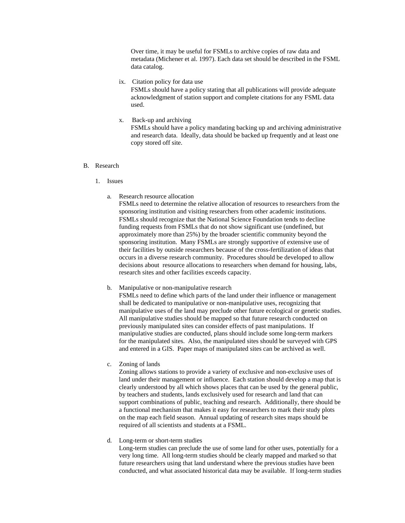Over time, it may be useful for FSMLs to archive copies of raw data and metadata (Michener et al. 1997). Each data set should be described in the FSML data catalog.

ix. Citation policy for data use

FSMLs should have a policy stating that all publications will provide adequate acknowledgment of station support and complete citations for any FSML data used.

x. Back-up and archiving FSMLs should have a policy mandating backing up and archiving administrative and research data. Ideally, data should be backed up frequently and at least one copy stored off site.

#### B. Research

- 1. Issues
	- a. Research resource allocation

FSMLs need to determine the relative allocation of resources to researchers from the sponsoring institution and visiting researchers from other academic institutions. FSMLs should recognize that the National Science Foundation tends to decline funding requests from FSMLs that do not show significant use (undefined, but approximately more than 25%) by the broader scientific community beyond the sponsoring institution. Many FSMLs are strongly supportive of extensive use of their facilities by outside researchers because of the cross-fertilization of ideas that occurs in a diverse research community. Procedures should be developed to allow decisions about resource allocations to researchers when demand for housing, labs, research sites and other facilities exceeds capacity.

b. Manipulative or non-manipulative research

FSMLs need to define which parts of the land under their influence or management shall be dedicated to manipulative or non-manipulative uses, recognizing that manipulative uses of the land may preclude other future ecological or genetic studies. All manipulative studies should be mapped so that future research conducted on previously manipulated sites can consider effects of past manipulations. If manipulative studies are conducted, plans should include some long-term markers for the manipulated sites. Also, the manipulated sites should be surveyed with GPS and entered in a GIS. Paper maps of manipulated sites can be archived as well.

c. Zoning of lands

Zoning allows stations to provide a variety of exclusive and non-exclusive uses of land under their management or influence. Each station should develop a map that is clearly understood by all which shows places that can be used by the general public, by teachers and students, lands exclusively used for research and land that can support combinations of public, teaching and research. Additionally, there should be a functional mechanism that makes it easy for researchers to mark their study plots on the map each field season. Annual updating of research sites maps should be required of all scientists and students at a FSML.

d. Long-term or short-term studies

Long-term studies can preclude the use of some land for other uses, potentially for a very long time. All long-term studies should be clearly mapped and marked so that future researchers using that land understand where the previous studies have been conducted, and what associated historical data may be available. If long-term studies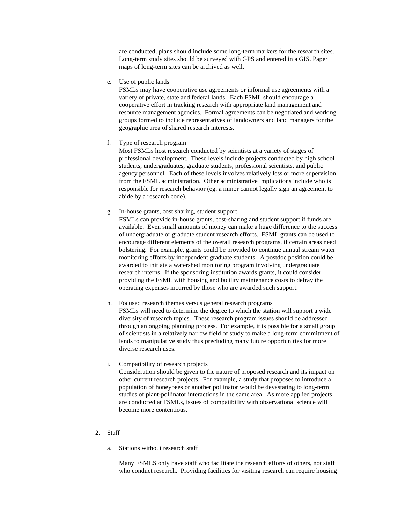are conducted, plans should include some long-term markers for the research sites. Long-term study sites should be surveyed with GPS and entered in a GIS. Paper maps of long-term sites can be archived as well.

e. Use of public lands

FSMLs may have cooperative use agreements or informal use agreements with a variety of private, state and federal lands. Each FSML should encourage a cooperative effort in tracking research with appropriate land management and resource management agencies. Formal agreements can be negotiated and working groups formed to include representatives of landowners and land managers for the geographic area of shared research interests.

f. Type of research program

Most FSMLs host research conducted by scientists at a variety of stages of professional development. These levels include projects conducted by high school students, undergraduates, graduate students, professional scientists, and public agency personnel. Each of these levels involves relatively less or more supervision from the FSML administration. Other administrative implications include who is responsible for research behavior (eg. a minor cannot legally sign an agreement to abide by a research code).

g. In-house grants, cost sharing, student support

FSMLs can provide in-house grants, cost-sharing and student support if funds are available. Even small amounts of money can make a huge difference to the success of undergraduate or graduate student research efforts. FSML grants can be used to encourage different elements of the overall research programs, if certain areas need bolstering. For example, grants could be provided to continue annual stream water monitoring efforts by independent graduate students. A postdoc position could be awarded to initiate a watershed monitoring program involving undergraduate research interns. If the sponsoring institution awards grants, it could consider providing the FSML with housing and facility maintenance costs to defray the operating expenses incurred by those who are awarded such support.

- h. Focused research themes versus general research programs FSMLs will need to determine the degree to which the station will support a wide diversity of research topics. These research program issues should be addressed through an ongoing planning process. For example, it is possible for a small group of scientists in a relatively narrow field of study to make a long-term commitment of lands to manipulative study thus precluding many future opportunities for more diverse research uses.
- i. Compatibility of research projects Consideration should be given to the nature of proposed research and its impact on other current research projects. For example, a study that proposes to introduce a population of honeybees or another pollinator would be devastating to long-term studies of plant-pollinator interactions in the same area. As more applied projects are conducted at FSMLs, issues of compatibility with observational science will become more contentious.
- 2. Staff
	- a. Stations without research staff

Many FSMLS only have staff who facilitate the research efforts of others, not staff who conduct research. Providing facilities for visiting research can require housing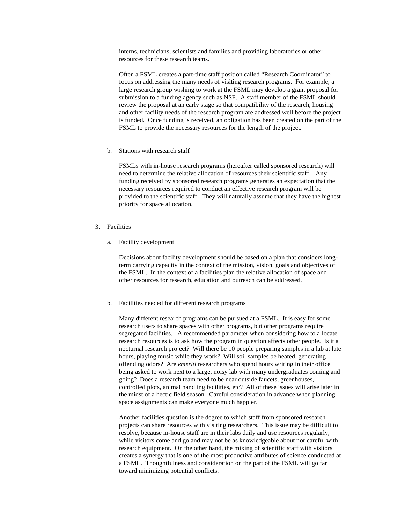interns, technicians, scientists and families and providing laboratories or other resources for these research teams.

Often a FSML creates a part-time staff position called "Research Coordinator" to focus on addressing the many needs of visiting research programs. For example, a large research group wishing to work at the FSML may develop a grant proposal for submission to a funding agency such as NSF. A staff member of the FSML should review the proposal at an early stage so that compatibility of the research, housing and other facility needs of the research program are addressed well before the project is funded. Once funding is received, an obligation has been created on the part of the FSML to provide the necessary resources for the length of the project.

b. Stations with research staff

FSMLs with in-house research programs (hereafter called sponsored research) will need to determine the relative allocation of resources their scientific staff. Any funding received by sponsored research programs generates an expectation that the necessary resources required to conduct an effective research program will be provided to the scientific staff. They will naturally assume that they have the highest priority for space allocation.

- 3. Facilities
	- a. Facility development

Decisions about facility development should be based on a plan that considers longterm carrying capacity in the context of the mission, vision, goals and objectives of the FSML. In the context of a facilities plan the relative allocation of space and other resources for research, education and outreach can be addressed.

b. Facilities needed for different research programs

Many different research programs can be pursued at a FSML. It is easy for some research users to share spaces with other programs, but other programs require segregated facilities. A recommended parameter when considering how to allocate research resources is to ask how the program in question affects other people. Is it a nocturnal research project? Will there be 10 people preparing samples in a lab at late hours, playing music while they work? Will soil samples be heated, generating offending odors? Are *emeriti* researchers who spend hours writing in their office being asked to work next to a large, noisy lab with many undergraduates coming and going? Does a research team need to be near outside faucets, greenhouses, controlled plots, animal handling facilities, etc? All of these issues will arise later in the midst of a hectic field season. Careful consideration in advance when planning space assignments can make everyone much happier.

Another facilities question is the degree to which staff from sponsored research projects can share resources with visiting researchers. This issue may be difficult to resolve, because in-house staff are in their labs daily and use resources regularly, while visitors come and go and may not be as knowledgeable about nor careful with research equipment. On the other hand, the mixing of scientific staff with visitors creates a synergy that is one of the most productive attributes of science conducted at a FSML. Thoughtfulness and consideration on the part of the FSML will go far toward minimizing potential conflicts.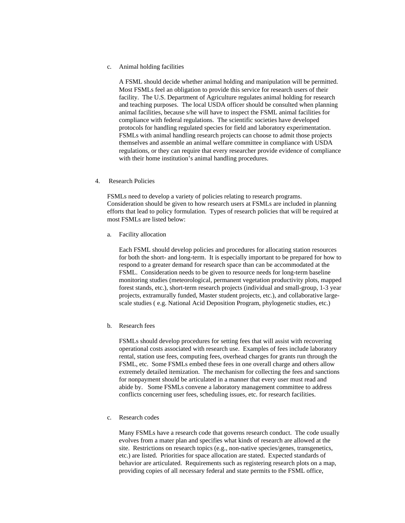c. Animal holding facilities

A FSML should decide whether animal holding and manipulation will be permitted. Most FSMLs feel an obligation to provide this service for research users of their facility. The U.S. Department of Agriculture regulates animal holding for research and teaching purposes. The local USDA officer should be consulted when planning animal facilities, because s/he will have to inspect the FSML animal facilities for compliance with federal regulations. The scientific societies have developed protocols for handling regulated species for field and laboratory experimentation. FSMLs with animal handling research projects can choose to admit those projects themselves and assemble an animal welfare committee in compliance with USDA regulations, or they can require that every researcher provide evidence of compliance with their home institution's animal handling procedures.

4. Research Policies

FSMLs need to develop a variety of policies relating to research programs. Consideration should be given to how research users at FSMLs are included in planning efforts that lead to policy formulation. Types of research policies that will be required at most FSMLs are listed below:

a. Facility allocation

Each FSML should develop policies and procedures for allocating station resources for both the short- and long-term. It is especially important to be prepared for how to respond to a greater demand for research space than can be accommodated at the FSML. Consideration needs to be given to resource needs for long-term baseline monitoring studies (meteorological, permanent vegetation productivity plots, mapped forest stands, etc.), short-term research projects (individual and small-group, 1-3 year projects, extramurally funded, Master student projects, etc.), and collaborative largescale studies ( e.g. National Acid Deposition Program, phylogenetic studies, etc.)

b. Research fees

FSMLs should develop procedures for setting fees that will assist with recovering operational costs associated with research use. Examples of fees include laboratory rental, station use fees, computing fees, overhead charges for grants run through the FSML, etc. Some FSMLs embed these fees in one overall charge and others allow extremely detailed itemization. The mechanism for collecting the fees and sanctions for nonpayment should be articulated in a manner that every user must read and abide by. Some FSMLs convene a laboratory management committee to address conflicts concerning user fees, scheduling issues, etc. for research facilities.

c. Research codes

Many FSMLs have a research code that governs research conduct. The code usually evolves from a mater plan and specifies what kinds of research are allowed at the site. Restrictions on research topics (e.g., non-native species/genes, transgenetics, etc.) are listed. Priorities for space allocation are stated. Expected standards of behavior are articulated. Requirements such as registering research plots on a map, providing copies of all necessary federal and state permits to the FSML office,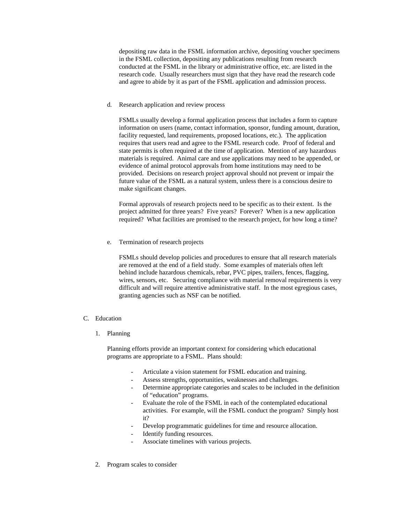depositing raw data in the FSML information archive, depositing voucher specimens in the FSML collection, depositing any publications resulting from research conducted at the FSML in the library or administrative office, etc. are listed in the research code. Usually researchers must sign that they have read the research code and agree to abide by it as part of the FSML application and admission process.

d. Research application and review process

FSMLs usually develop a formal application process that includes a form to capture information on users (name, contact information, sponsor, funding amount, duration, facility requested, land requirements, proposed locations, etc.). The application requires that users read and agree to the FSML research code. Proof of federal and state permits is often required at the time of application. Mention of any hazardous materials is required. Animal care and use applications may need to be appended, or evidence of animal protocol approvals from home institutions may need to be provided. Decisions on research project approval should not prevent or impair the future value of the FSML as a natural system, unless there is a conscious desire to make significant changes.

Formal approvals of research projects need to be specific as to their extent. Is the project admitted for three years? Five years? Forever? When is a new application required? What facilities are promised to the research project, for how long a time?

e. Termination of research projects

FSMLs should develop policies and procedures to ensure that all research materials are removed at the end of a field study. Some examples of materials often left behind include hazardous chemicals, rebar, PVC pipes, trailers, fences, flagging, wires, sensors, etc. Securing compliance with material removal requirements is very difficult and will require attentive administrative staff. In the most egregious cases, granting agencies such as NSF can be notified.

## C. Education

1. Planning

Planning efforts provide an important context for considering which educational programs are appropriate to a FSML. Plans should:

- Articulate a vision statement for FSML education and training.
- Assess strengths, opportunities, weaknesses and challenges.
- Determine appropriate categories and scales to be included in the definition of "education" programs.
- Evaluate the role of the FSML in each of the contemplated educational activities. For example, will the FSML conduct the program? Simply host it?
- Develop programmatic guidelines for time and resource allocation.
- Identify funding resources.
- Associate timelines with various projects.
- 2. Program scales to consider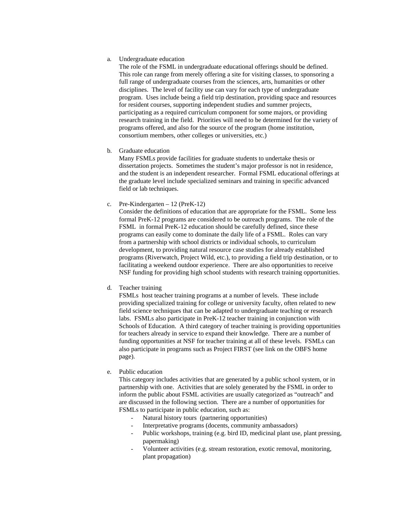a. Undergraduate education

The role of the FSML in undergraduate educational offerings should be defined. This role can range from merely offering a site for visiting classes, to sponsoring a full range of undergraduate courses from the sciences, arts, humanities or other disciplines. The level of facility use can vary for each type of undergraduate program. Uses include being a field trip destination, providing space and resources for resident courses, supporting independent studies and summer projects, participating as a required curriculum component for some majors, or providing research training in the field. Priorities will need to be determined for the variety of programs offered, and also for the source of the program (home institution, consortium members, other colleges or universities, etc.)

b. Graduate education

Many FSMLs provide facilities for graduate students to undertake thesis or dissertation projects. Sometimes the student's major professor is not in residence, and the student is an independent researcher. Formal FSML educational offerings at the graduate level include specialized seminars and training in specific advanced field or lab techniques.

c. Pre-Kindergarten – 12 (PreK-12)

Consider the definitions of education that are appropriate for the FSML. Some less formal PreK-12 programs are considered to be outreach programs. The role of the FSML in formal PreK-12 education should be carefully defined, since these programs can easily come to dominate the daily life of a FSML. Roles can vary from a partnership with school districts or individual schools, to curriculum development, to providing natural resource case studies for already established programs (Riverwatch, Project Wild, etc.), to providing a field trip destination, or to facilitating a weekend outdoor experience. There are also opportunities to receive NSF funding for providing high school students with research training opportunities.

d. Teacher training

FSMLs host teacher training programs at a number of levels. These include providing specialized training for college or university faculty, often related to new field science techniques that can be adapted to undergraduate teaching or research labs. FSMLs also participate in PreK-12 teacher training in conjunction with Schools of Education. A third category of teacher training is providing opportunities for teachers already in service to expand their knowledge. There are a number of funding opportunities at NSF for teacher training at all of these levels. FSMLs can also participate in programs such as Project FIRST (see link on the OBFS home page).

e. Public education

This category includes activities that are generated by a public school system, or in partnership with one. Activities that are solely generated by the FSML in order to inform the public about FSML activities are usually categorized as "outreach" and are discussed in the following section. There are a number of opportunities for FSMLs to participate in public education, such as:

- Natural history tours (partnering opportunities)
- Interpretative programs (docents, community ambassadors)
- Public workshops, training (e.g. bird ID, medicinal plant use, plant pressing, papermaking)
- Volunteer activities (e.g. stream restoration, exotic removal, monitoring, plant propagation)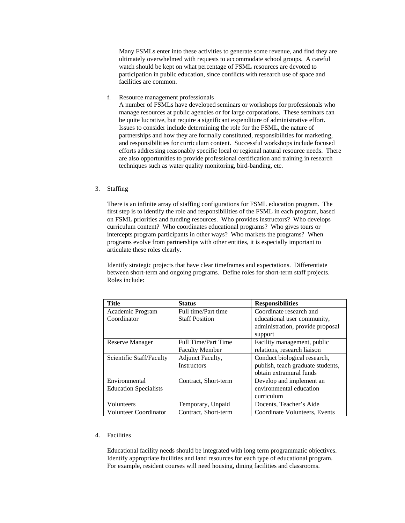Many FSMLs enter into these activities to generate some revenue, and find they are ultimately overwhelmed with requests to accommodate school groups. A careful watch should be kept on what percentage of FSML resources are devoted to participation in public education, since conflicts with research use of space and facilities are common.

f. Resource management professionals

A number of FSMLs have developed seminars or workshops for professionals who manage resources at public agencies or for large corporations. These seminars can be quite lucrative, but require a significant expenditure of administrative effort. Issues to consider include determining the role for the FSML, the nature of partnerships and how they are formally constituted, responsibilities for marketing, and responsibilities for curriculum content. Successful workshops include focused efforts addressing reasonably specific local or regional natural resource needs. There are also opportunities to provide professional certification and training in research techniques such as water quality monitoring, bird-banding, etc.

## 3. Staffing

There is an infinite array of staffing configurations for FSML education program. The first step is to identify the role and responsibilities of the FSML in each program, based on FSML priorities and funding resources. Who provides instructors? Who develops curriculum content? Who coordinates educational programs? Who gives tours or intercepts program participants in other ways? Who markets the programs? When programs evolve from partnerships with other entities, it is especially important to articulate these roles clearly.

Identify strategic projects that have clear timeframes and expectations. Differentiate between short-term and ongoing programs. Define roles for short-term staff projects. Roles include:

| <b>Title</b>                 | <b>Status</b>           | <b>Responsibilities</b>           |
|------------------------------|-------------------------|-----------------------------------|
| Academic Program             | Full time/Part time     | Coordinate research and           |
| Coordinator                  | <b>Staff Position</b>   | educational user community,       |
|                              |                         | administration, provide proposal  |
|                              |                         | support                           |
| <b>Reserve Manager</b>       | Full Time/Part Time     | Facility management, public       |
|                              | <b>Faculty Member</b>   | relations, research liaison       |
| Scientific Staff/Faculty     | <b>Adjunct Faculty,</b> | Conduct biological research,      |
|                              | <b>Instructors</b>      | publish, teach graduate students, |
|                              |                         | obtain extramural funds           |
| Environmental                | Contract, Short-term    | Develop and implement an          |
| <b>Education Specialists</b> |                         | environmental education           |
|                              |                         | curriculum                        |
| Volunteers                   | Temporary, Unpaid       | Docents, Teacher's Aide           |
| <b>Volunteer Coordinator</b> | Contract, Short-term    | Coordinate Volunteers, Events     |

# 4. Facilities

Educational facility needs should be integrated with long term programmatic objectives. Identify appropriate facilities and land resources for each type of educational program. For example, resident courses will need housing, dining facilities and classrooms.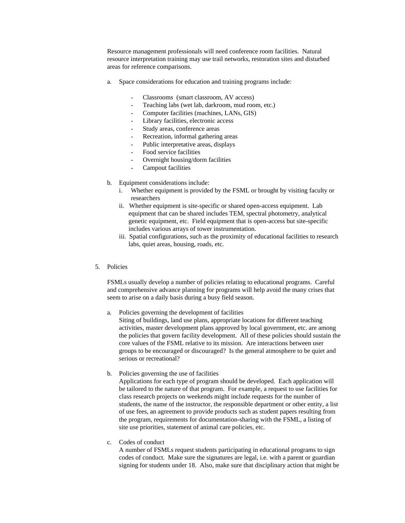Resource management professionals will need conference room facilities. Natural resource interpretation training may use trail networks, restoration sites and disturbed areas for reference comparisons.

- a. Space considerations for education and training programs include:
	- Classrooms (smart classroom, AV access)
	- Teaching labs (wet lab, darkroom, mud room, etc.)
	- Computer facilities (machines, LANs, GIS)
	- Library facilities, electronic access
	- Study areas, conference areas
	- Recreation, informal gathering areas
	- Public interpretative areas, displays
	- Food service facilities
	- Overnight housing/dorm facilities
	- Campout facilities
- b. Equipment considerations include:
	- i. Whether equipment is provided by the FSML or brought by visiting faculty or researchers
	- ii. Whether equipment is site-specific or shared open-access equipment. Lab equipment that can be shared includes TEM, spectral photometry, analytical genetic equipment, etc. Field equipment that is open-access but site-specific includes various arrays of tower instrumentation.
	- iii. Spatial configurations, such as the proximity of educational facilities to research labs, quiet areas, housing, roads, etc.
- 5. Policies

FSMLs usually develop a number of policies relating to educational programs. Careful and comprehensive advance planning for programs will help avoid the many crises that seem to arise on a daily basis during a busy field season.

a. Policies governing the development of facilities

Siting of buildings, land use plans, appropriate locations for different teaching activities, master development plans approved by local government, etc. are among the policies that govern facility development. All of these policies should sustain the core values of the FSML relative to its mission. Are interactions between user groups to be encouraged or discouraged? Is the general atmosphere to be quiet and serious or recreational?

b. Policies governing the use of facilities

Applications for each type of program should be developed. Each application will be tailored to the nature of that program. For example, a request to use facilities for class research projects on weekends might include requests for the number of students, the name of the instructor, the responsible department or other entity, a list of use fees, an agreement to provide products such as student papers resulting from the program, requirements for documentation-sharing with the FSML, a listing of site use priorities, statement of animal care policies, etc.

c. Codes of conduct

A number of FSMLs request students participating in educational programs to sign codes of conduct. Make sure the signatures are legal, i.e. with a parent or guardian signing for students under 18. Also, make sure that disciplinary action that might be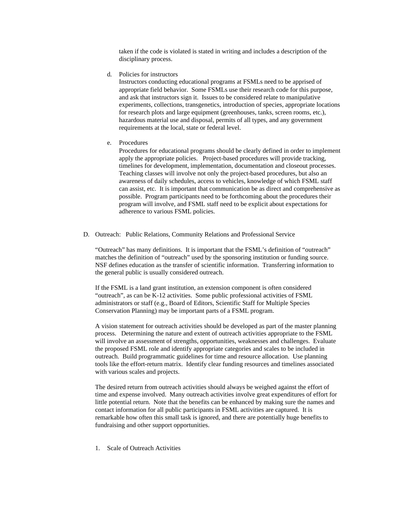taken if the code is violated is stated in writing and includes a description of the disciplinary process.

d. Policies for instructors

Instructors conducting educational programs at FSMLs need to be apprised of appropriate field behavior. Some FSMLs use their research code for this purpose, and ask that instructors sign it. Issues to be considered relate to manipulative experiments, collections, transgenetics, introduction of species, appropriate locations for research plots and large equipment (greenhouses, tanks, screen rooms, etc.), hazardous material use and disposal, permits of all types, and any government requirements at the local, state or federal level.

e. Procedures

Procedures for educational programs should be clearly defined in order to implement apply the appropriate policies. Project-based procedures will provide tracking, timelines for development, implementation, documentation and closeout processes. Teaching classes will involve not only the project-based procedures, but also an awareness of daily schedules, access to vehicles, knowledge of which FSML staff can assist, etc. It is important that communication be as direct and comprehensive as possible. Program participants need to be forthcoming about the procedures their program will involve, and FSML staff need to be explicit about expectations for adherence to various FSML policies.

D. Outreach: Public Relations, Community Relations and Professional Service

"Outreach" has many definitions. It is important that the FSML's definition of "outreach" matches the definition of "outreach" used by the sponsoring institution or funding source. NSF defines education as the transfer of scientific information. Transferring information to the general public is usually considered outreach.

If the FSML is a land grant institution, an extension component is often considered "outreach", as can be K-12 activities. Some public professional activities of FSML administrators or staff (e.g., Board of Editors, Scientific Staff for Multiple Species Conservation Planning) may be important parts of a FSML program.

A vision statement for outreach activities should be developed as part of the master planning process. Determining the nature and extent of outreach activities appropriate to the FSML will involve an assessment of strengths, opportunities, weaknesses and challenges. Evaluate the proposed FSML role and identify appropriate categories and scales to be included in outreach. Build programmatic guidelines for time and resource allocation. Use planning tools like the effort-return matrix. Identify clear funding resources and timelines associated with various scales and projects.

The desired return from outreach activities should always be weighed against the effort of time and expense involved. Many outreach activities involve great expenditures of effort for little potential return. Note that the benefits can be enhanced by making sure the names and contact information for all public participants in FSML activities are captured. It is remarkable how often this small task is ignored, and there are potentially huge benefits to fundraising and other support opportunities.

1. Scale of Outreach Activities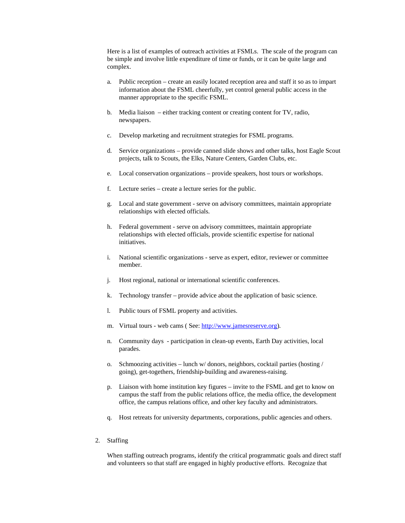Here is a list of examples of outreach activities at FSMLs. The scale of the program can be simple and involve little expenditure of time or funds, or it can be quite large and complex.

- a. Public reception create an easily located reception area and staff it so as to impart information about the FSML cheerfully, yet control general public access in the manner appropriate to the specific FSML.
- b. Media liaison either tracking content or creating content for TV, radio, newspapers.
- c. Develop marketing and recruitment strategies for FSML programs.
- d. Service organizations provide canned slide shows and other talks, host Eagle Scout projects, talk to Scouts, the Elks, Nature Centers, Garden Clubs, etc.
- e. Local conservation organizations provide speakers, host tours or workshops.
- f. Lecture series create a lecture series for the public.
- g. Local and state government serve on advisory committees, maintain appropriate relationships with elected officials.
- h. Federal government serve on advisory committees, maintain appropriate relationships with elected officials, provide scientific expertise for national initiatives.
- i. National scientific organizations serve as expert, editor, reviewer or committee member.
- j. Host regional, national or international scientific conferences.
- k. Technology transfer provide advice about the application of basic science.
- l. Public tours of FSML property and activities.
- m. Virtual tours web cams ( See: http://www.jamesreserve.org).
- n. Community days participation in clean-up events, Earth Day activities, local parades.
- o. Schmoozing activities lunch w/ donors, neighbors, cocktail parties (hosting / going), get-togethers, friendship-building and awareness-raising.
- p. Liaison with home institution key figures invite to the FSML and get to know on campus the staff from the public relations office, the media office, the development office, the campus relations office, and other key faculty and administrators.
- q. Host retreats for university departments, corporations, public agencies and others.
- 2. Staffing

When staffing outreach programs, identify the critical programmatic goals and direct staff and volunteers so that staff are engaged in highly productive efforts. Recognize that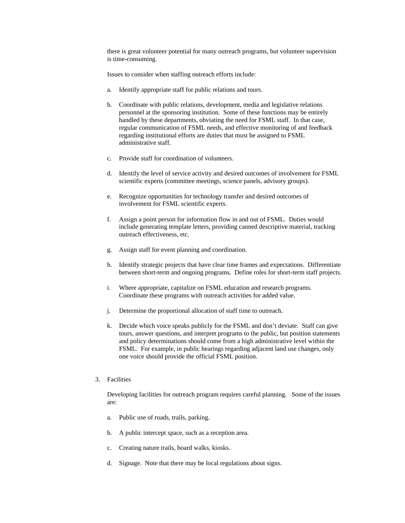there is great volunteer potential for many outreach programs, but volunteer supervision is time-consuming.

Issues to consider when staffing outreach efforts include:

- a. Identify appropriate staff for public relations and tours.
- b. Coordinate with public relations, development, media and legislative relations personnel at the sponsoring institution. Some of these functions may be entirely handled by these departments, obviating the need for FSML staff. In that case, regular communication of FSML needs, and effective monitoring of and feedback regarding institutional efforts are duties that must be assigned to FSML administrative staff.
- c. Provide staff for coordination of volunteers.
- d. Identify the level of service activity and desired outcomes of involvement for FSML scientific experts (committee meetings, science panels, advisory groups).
- e. Recognize opportunities for technology transfer and desired outcomes of involvement for FSML scientific experts.
- f. Assign a point person for information flow in and out of FSML. Duties would include generating template letters, providing canned descriptive material, tracking outreach effectiveness, etc.
- g. Assign staff for event planning and coordination.
- h. Identify strategic projects that have clear time frames and expectations. Differentiate between short-term and ongoing programs. Define roles for short-term staff projects.
- i. Where appropriate, capitalize on FSML education and research programs. Coordinate these programs with outreach activities for added value.
- j. Determine the proportional allocation of staff time to outreach.
- k. Decide which voice speaks publicly for the FSML and don't deviate. Staff can give tours, answer questions, and interpret programs to the public, but position statements and policy determinations should come from a high administrative level within the FSML. For example, in public hearings regarding adjacent land use changes, only one voice should provide the official FSML position.
- 3. Facilities

Developing facilities for outreach program requires careful planning. Some of the issues are:

- a. Public use of roads, trails, parking.
- b. A public intercept space, such as a reception area.
- c. Creating nature trails, board walks, kiosks.
- d. Signage. Note that there may be local regulations about signs.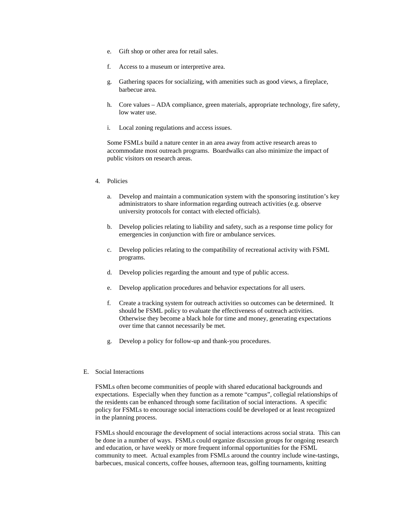- e. Gift shop or other area for retail sales.
- f. Access to a museum or interpretive area.
- g. Gathering spaces for socializing, with amenities such as good views, a fireplace, barbecue area.
- h. Core values ADA compliance, green materials, appropriate technology, fire safety, low water use.
- i. Local zoning regulations and access issues.

Some FSMLs build a nature center in an area away from active research areas to accommodate most outreach programs. Boardwalks can also minimize the impact of public visitors on research areas.

- 4. Policies
	- a. Develop and maintain a communication system with the sponsoring institution's key administrators to share information regarding outreach activities (e.g. observe university protocols for contact with elected officials).
	- b. Develop policies relating to liability and safety, such as a response time policy for emergencies in conjunction with fire or ambulance services.
	- c. Develop policies relating to the compatibility of recreational activity with FSML programs.
	- d. Develop policies regarding the amount and type of public access.
	- e. Develop application procedures and behavior expectations for all users.
	- f. Create a tracking system for outreach activities so outcomes can be determined. It should be FSML policy to evaluate the effectiveness of outreach activities. Otherwise they become a black hole for time and money, generating expectations over time that cannot necessarily be met.
	- g. Develop a policy for follow-up and thank-you procedures.

## E. Social Interactions

FSMLs often become communities of people with shared educational backgrounds and expectations. Especially when they function as a remote "campus", collegial relationships of the residents can be enhanced through some facilitation of social interactions. A specific policy for FSMLs to encourage social interactions could be developed or at least recognized in the planning process.

FSMLs should encourage the development of social interactions across social strata. This can be done in a number of ways. FSMLs could organize discussion groups for ongoing research and education, or have weekly or more frequent informal opportunities for the FSML community to meet. Actual examples from FSMLs around the country include wine-tastings, barbecues, musical concerts, coffee houses, afternoon teas, golfing tournaments, knitting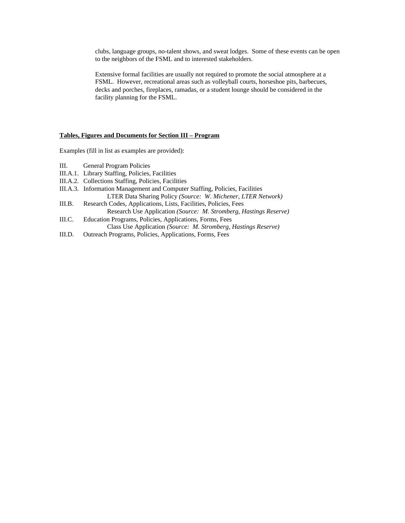clubs, language groups, no-talent shows, and sweat lodges. Some of these events can be open to the neighbors of the FSML and to interested stakeholders.

Extensive formal facilities are usually not required to promote the social atmosphere at a FSML. However, recreational areas such as volleyball courts, horseshoe pits, barbecues, decks and porches, fireplaces, ramadas, or a student lounge should be considered in the facility planning for the FSML.

## **Tables, Figures and Documents for Section III – Program**

Examples (fill in list as examples are provided):

- III. General Program Policies
- III.A.1. Library Staffing, Policies, Facilities
- III.A.2. Collections Staffing, Policies, Facilities
- III.A.3. Information Management and Computer Staffing, Policies, Facilities

LTER Data Sharing Policy *(Source: W. Michener, LTER Network)*

- III.B. Research Codes, Applications, Lists, Facilities, Policies, Fees Research Use Application *(Source: M. Stromberg, Hastings Reserve)*
- III.C. Education Programs, Policies, Applications, Forms, Fees Class Use Application *(Source: M. Stromberg, Hastings Reserve)*
- III.D. Outreach Programs, Policies, Applications, Forms, Fees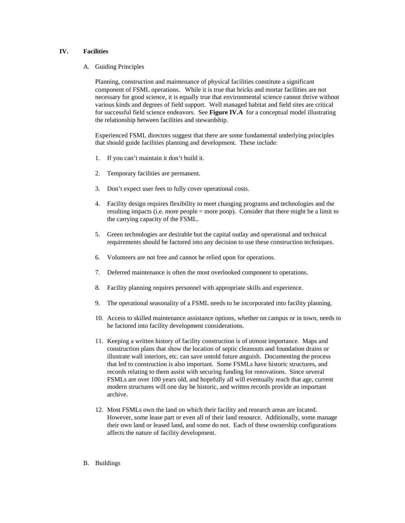## **IV. Facilities**

A. Guiding Principles

Planning, construction and maintenance of physical facilities constitute a significant component of FSML operations. While it is true that bricks and mortar facilities are not necessary for good science, it is equally true that environmental science cannot thrive without various kinds and degrees of field support. Well managed habitat and field sites are critical for successful field science endeavors. See **Figure IV.A** for a conceptual model illustrating the relationship between facilities and stewardship.

Experienced FSML directors suggest that there are some fundamental underlying principles that should guide facilities planning and development. These include:

- 1. If you can't maintain it don't build it.
- 2. Temporary facilities are permanent.
- 3. Don't expect user fees to fully cover operational costs.
- 4. Facility design requires flexibility to meet changing programs and technologies and the resulting impacts (i.e. more people = more poop). Consider that there might be a limit to the carrying capacity of the FSML.
- 5. Green technologies are desirable but the capital outlay and operational and technical requirements should be factored into any decision to use these construction techniques.
- 6. Volunteers are not free and cannot be relied upon for operations.
- 7. Deferred maintenance is often the most overlooked component to operations.
- 8. Facility planning requires personnel with appropriate skills and experience.
- 9. The operational seasonality of a FSML needs to be incorporated into facility planning.
- 10. Access to skilled maintenance assistance options, whether on campus or in town, needs to be factored into facility development considerations.
- 11. Keeping a written history of facility construction is of utmost importance. Maps and construction plans that show the location of septic cleanouts and foundation drains or illustrate wall interiors, etc. can save untold future anguish. Documenting the process that led to construction is also important. Some FSMLs have historic structures, and records relating to them assist with securing funding for renovations. Since several FSMLs are over 100 years old, and hopefully all will eventually reach that age, current modern structures will one day be historic, and written records provide an important archive.
- 12. Most FSMLs own the land on which their facility and research areas are located. However, some lease part or even all of their land resource. Additionally, some manage their own land or leased land, and some do not. Each of these ownership configurations affects the nature of facility development.
- B. Buildings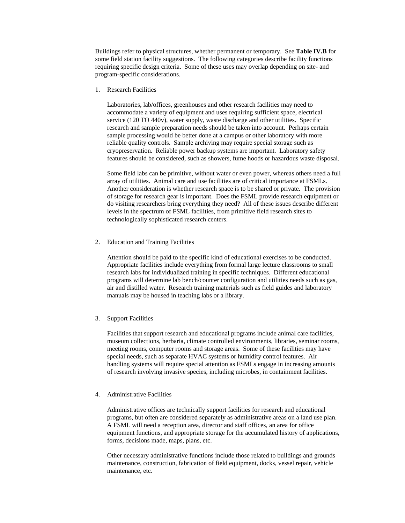Buildings refer to physical structures, whether permanent or temporary. See **Table IV.B** for some field station facility suggestions. The following categories describe facility functions requiring specific design criteria. Some of these uses may overlap depending on site- and program-specific considerations.

1. Research Facilities

Laboratories, lab/offices, greenhouses and other research facilities may need to accommodate a variety of equipment and uses requiring sufficient space, electrical service (120 TO 440v), water supply, waste discharge and other utilities. Specific research and sample preparation needs should be taken into account. Perhaps certain sample processing would be better done at a campus or other laboratory with more reliable quality controls. Sample archiving may require special storage such as cryopreservation. Reliable power backup systems are important. Laboratory safety features should be considered, such as showers, fume hoods or hazardous waste disposal.

Some field labs can be primitive, without water or even power, whereas others need a full array of utilities. Animal care and use facilities are of critical importance at FSMLs. Another consideration is whether research space is to be shared or private. The provision of storage for research gear is important. Does the FSML provide research equipment or do visiting researchers bring everything they need? All of these issues describe different levels in the spectrum of FSML facilities, from primitive field research sites to technologically sophisticated research centers.

2. Education and Training Facilities

Attention should be paid to the specific kind of educational exercises to be conducted. Appropriate facilities include everything from formal large lecture classrooms to small research labs for individualized training in specific techniques. Different educational programs will determine lab bench/counter configuration and utilities needs such as gas, air and distilled water. Research training materials such as field guides and laboratory manuals may be housed in teaching labs or a library.

3. Support Facilities

Facilities that support research and educational programs include animal care facilities, museum collections, herbaria, climate controlled environments, libraries, seminar rooms, meeting rooms, computer rooms and storage areas. Some of these facilities may have special needs, such as separate HVAC systems or humidity control features. Air handling systems will require special attention as FSMLs engage in increasing amounts of research involving invasive species, including microbes, in containment facilities.

#### 4. Administrative Facilities

Administrative offices are technically support facilities for research and educational programs, but often are considered separately as administrative areas on a land use plan. A FSML will need a reception area, director and staff offices, an area for office equipment functions, and appropriate storage for the accumulated history of applications, forms, decisions made, maps, plans, etc.

Other necessary administrative functions include those related to buildings and grounds maintenance, construction, fabrication of field equipment, docks, vessel repair, vehicle maintenance, etc.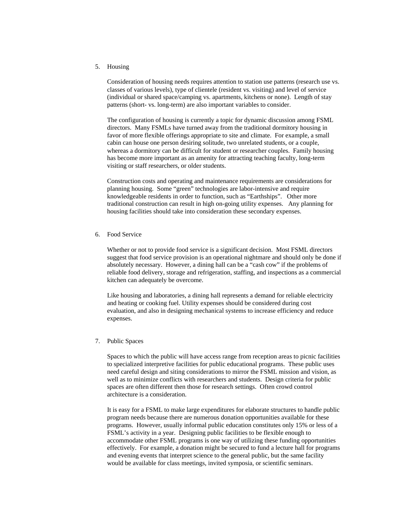5. Housing

Consideration of housing needs requires attention to station use patterns (research use vs. classes of various levels), type of clientele (resident vs. visiting) and level of service (individual or shared space/camping vs. apartments, kitchens or none). Length of stay patterns (short- vs. long-term) are also important variables to consider.

The configuration of housing is currently a topic for dynamic discussion among FSML directors. Many FSMLs have turned away from the traditional dormitory housing in favor of more flexible offerings appropriate to site and climate. For example, a small cabin can house one person desiring solitude, two unrelated students, or a couple, whereas a dormitory can be difficult for student or researcher couples. Family housing has become more important as an amenity for attracting teaching faculty, long-term visiting or staff researchers, or older students.

Construction costs and operating and maintenance requirements are considerations for planning housing. Some "green" technologies are labor-intensive and require knowledgeable residents in order to function, such as "Earthships". Other more traditional construction can result in high on-going utility expenses. Any planning for housing facilities should take into consideration these secondary expenses.

6. Food Service

Whether or not to provide food service is a significant decision. Most FSML directors suggest that food service provision is an operational nightmare and should only be done if absolutely necessary. However, a dining hall can be a "cash cow" if the problems of reliable food delivery, storage and refrigeration, staffing, and inspections as a commercial kitchen can adequately be overcome.

Like housing and laboratories, a dining hall represents a demand for reliable electricity and heating or cooking fuel. Utility expenses should be considered during cost evaluation, and also in designing mechanical systems to increase efficiency and reduce expenses.

7. Public Spaces

Spaces to which the public will have access range from reception areas to picnic facilities to specialized interpretive facilities for public educational programs. These public uses need careful design and siting considerations to mirror the FSML mission and vision, as well as to minimize conflicts with researchers and students. Design criteria for public spaces are often different then those for research settings. Often crowd control architecture is a consideration.

It is easy for a FSML to make large expenditures for elaborate structures to handle public program needs because there are numerous donation opportunities available for these programs. However, usually informal public education constitutes only 15% or less of a FSML's activity in a year. Designing public facilities to be flexible enough to accommodate other FSML programs is one way of utilizing these funding opportunities effectively. For example, a donation might be secured to fund a lecture hall for programs and evening events that interpret science to the general public, but the same facility would be available for class meetings, invited symposia, or scientific seminars.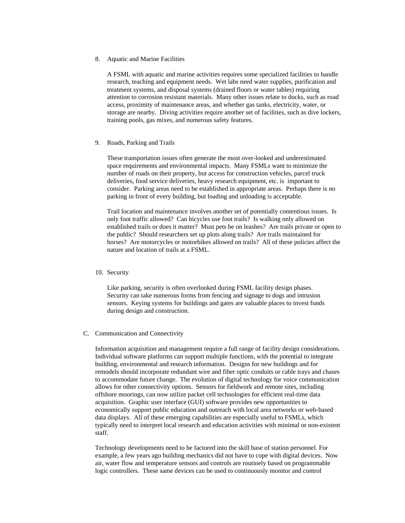#### 8. Aquatic and Marine Facilities

A FSML with aquatic and marine activities requires some specialized facilities to handle research, teaching and equipment needs. Wet labs need water supplies, purification and treatment systems, and disposal systems (drained floors or water tables) requiring attention to corrosion resistant materials. Many other issues relate to docks, such as road access, proximity of maintenance areas, and whether gas tanks, electricity, water, or storage are nearby. Diving activities require another set of facilities, such as dive lockers, training pools, gas mixes, and numerous safety features.

## 9. Roads, Parking and Trails

These transportation issues often generate the most over-looked and underestimated space requirements and environmental impacts. Many FSMLs want to minimize the number of roads on their property, but access for construction vehicles, parcel truck deliveries, food service deliveries, heavy research equipment, etc. is important to consider. Parking areas need to be established in appropriate areas. Perhaps there is no parking in front of every building, but loading and unloading is acceptable.

Trail location and maintenance involves another set of potentially contentious issues. Is only foot traffic allowed? Can bicycles use foot trails? Is walking only allowed on established trails or does it matter? Must pets be on leashes? Are trails private or open to the public? Should researchers set up plots along trails? Are trails maintained for horses? Are motorcycles or motorbikes allowed on trails? All of these policies affect the nature and location of trails at a FSML.

#### 10. Security

Like parking, security is often overlooked during FSML facility design phases. Security can take numerous forms from fencing and signage to dogs and intrusion sensors. Keying systems for buildings and gates are valuable places to invest funds during design and construction.

## C. Communication and Connectivity

Information acquisition and management require a full range of facility design considerations. Individual software platforms can support multiple functions, with the potential to integrate building, environmental and research information. Designs for new buildings and for remodels should incorporate redundant wire and fiber optic conduits or cable trays and chases to accommodate future change. The evolution of digital technology for voice communication allows for other connectivity options. Sensors for fieldwork and remote sites, including offshore moorings, can now utilize packet cell technologies for efficient real-time data acquisition. Graphic user interface (GUI) software provides new opportunities to economically support public education and outreach with local area networks or web-based data displays. All of these emerging capabilities are especially useful to FSMLs, which typically need to interpret local research and education activities with minimal or non-existent staff.

Technology developments need to be factored into the skill base of station personnel. For example, a few years ago building mechanics did not have to cope with digital devices. Now air, water flow and temperature sensors and controls are routinely based on programmable logic controllers. These same devices can be used to continuously monitor and control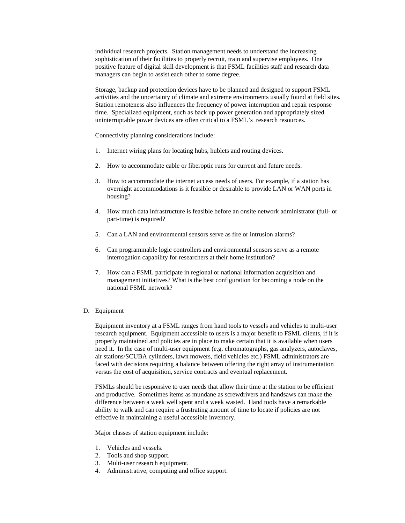individual research projects. Station management needs to understand the increasing sophistication of their facilities to properly recruit, train and supervise employees. One positive feature of digital skill development is that FSML facilities staff and research data managers can begin to assist each other to some degree.

Storage, backup and protection devices have to be planned and designed to support FSML activities and the uncertainty of climate and extreme environments usually found at field sites. Station remoteness also influences the frequency of power interruption and repair response time. Specialized equipment, such as back up power generation and appropriately sized uninterruptable power devices are often critical to a FSML's research resources.

Connectivity planning considerations include:

- 1. Internet wiring plans for locating hubs, hublets and routing devices.
- 2. How to accommodate cable or fiberoptic runs for current and future needs.
- 3. How to accommodate the internet access needs of users. For example, if a station has overnight accommodations is it feasible or desirable to provide LAN or WAN ports in housing?
- 4. How much data infrastructure is feasible before an onsite network administrator (full- or part-time) is required?
- 5. Can a LAN and environmental sensors serve as fire or intrusion alarms?
- 6. Can programmable logic controllers and environmental sensors serve as a remote interrogation capability for researchers at their home institution?
- 7. How can a FSML participate in regional or national information acquisition and management initiatives? What is the best configuration for becoming a node on the national FSML network?
- D. Equipment

Equipment inventory at a FSML ranges from hand tools to vessels and vehicles to multi-user research equipment. Equipment accessible to users is a major benefit to FSML clients, if it is properly maintained and policies are in place to make certain that it is available when users need it. In the case of multi-user equipment (e.g. chromatographs, gas analyzers, autoclaves, air stations/SCUBA cylinders, lawn mowers, field vehicles etc.) FSML administrators are faced with decisions requiring a balance between offering the right array of instrumentation versus the cost of acquisition, service contracts and eventual replacement.

FSMLs should be responsive to user needs that allow their time at the station to be efficient and productive. Sometimes items as mundane as screwdrivers and handsaws can make the difference between a week well spent and a week wasted. Hand tools have a remarkable ability to walk and can require a frustrating amount of time to locate if policies are not effective in maintaining a useful accessible inventory.

Major classes of station equipment include:

- 1. Vehicles and vessels.
- 2. Tools and shop support.
- 3. Multi-user research equipment.
- 4. Administrative, computing and office support.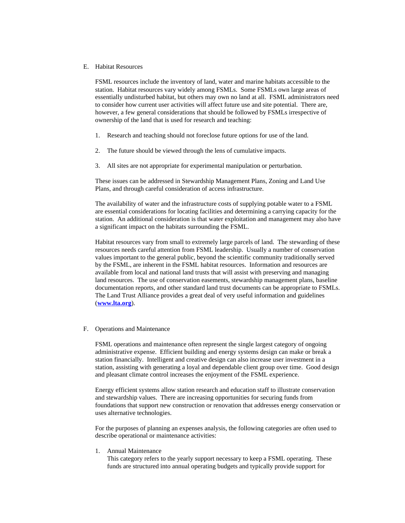## E. Habitat Resources

FSML resources include the inventory of land, water and marine habitats accessible to the station. Habitat resources vary widely among FSMLs. Some FSMLs own large areas of essentially undisturbed habitat, but others may own no land at all. FSML administrators need to consider how current user activities will affect future use and site potential. There are, however, a few general considerations that should be followed by FSMLs irrespective of ownership of the land that is used for research and teaching:

- 1. Research and teaching should not foreclose future options for use of the land.
- 2. The future should be viewed through the lens of cumulative impacts.
- 3. All sites are not appropriate for experimental manipulation or perturbation.

These issues can be addressed in Stewardship Management Plans, Zoning and Land Use Plans, and through careful consideration of access infrastructure.

The availability of water and the infrastructure costs of supplying potable water to a FSML are essential considerations for locating facilities and determining a carrying capacity for the station. An additional consideration is that water exploitation and management may also have a significant impact on the habitats surrounding the FSML.

Habitat resources vary from small to extremely large parcels of land. The stewarding of these resources needs careful attention from FSML leadership. Usually a number of conservation values important to the general public, beyond the scientific community traditionally served by the FSML, are inherent in the FSML habitat resources. Information and resources are available from local and national land trusts that will assist with preserving and managing land resources. The use of conservation easements, stewardship management plans, baseline documentation reports, and other standard land trust documents can be appropriate to FSMLs. The Land Trust Alliance provides a great deal of very useful information and guidelines (**www.lta.org**).

## F. Operations and Maintenance

FSML operations and maintenance often represent the single largest category of ongoing administrative expense. Efficient building and energy systems design can make or break a station financially. Intelligent and creative design can also increase user investment in a station, assisting with generating a loyal and dependable client group over time. Good design and pleasant climate control increases the enjoyment of the FSML experience.

Energy efficient systems allow station research and education staff to illustrate conservation and stewardship values. There are increasing opportunities for securing funds from foundations that support new construction or renovation that addresses energy conservation or uses alternative technologies.

For the purposes of planning an expenses analysis, the following categories are often used to describe operational or maintenance activities:

## 1. Annual Maintenance

This category refers to the yearly support necessary to keep a FSML operating. These funds are structured into annual operating budgets and typically provide support for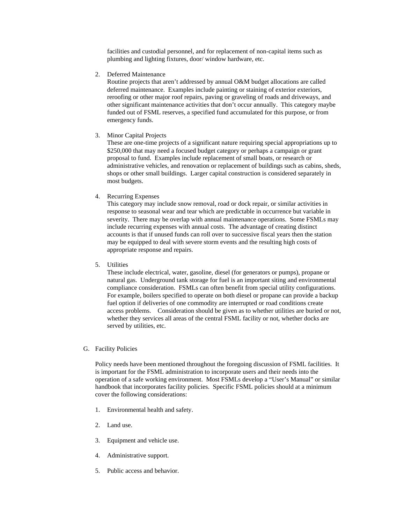facilities and custodial personnel, and for replacement of non-capital items such as plumbing and lighting fixtures, door/ window hardware, etc.

2. Deferred Maintenance

Routine projects that aren't addressed by annual O&M budget allocations are called deferred maintenance. Examples include painting or staining of exterior exteriors, reroofing or other major roof repairs, paving or graveling of roads and driveways, and other significant maintenance activities that don't occur annually. This category maybe funded out of FSML reserves, a specified fund accumulated for this purpose, or from emergency funds.

3. Minor Capital Projects

These are one-time projects of a significant nature requiring special appropriations up to \$250,000 that may need a focused budget category or perhaps a campaign or grant proposal to fund. Examples include replacement of small boats, or research or administrative vehicles, and renovation or replacement of buildings such as cabins, sheds, shops or other small buildings. Larger capital construction is considered separately in most budgets.

4. Recurring Expenses

This category may include snow removal, road or dock repair, or similar activities in response to seasonal wear and tear which are predictable in occurrence but variable in severity. There may be overlap with annual maintenance operations. Some FSMLs may include recurring expenses with annual costs. The advantage of creating distinct accounts is that if unused funds can roll over to successive fiscal years then the station may be equipped to deal with severe storm events and the resulting high costs of appropriate response and repairs.

5. Utilities

These include electrical, water, gasoline, diesel (for generators or pumps), propane or natural gas. Underground tank storage for fuel is an important siting and environmental compliance consideration. FSMLs can often benefit from special utility configurations. For example, boilers specified to operate on both diesel or propane can provide a backup fuel option if deliveries of one commodity are interrupted or road conditions create access problems. Consideration should be given as to whether utilities are buried or not, whether they services all areas of the central FSML facility or not, whether docks are served by utilities, etc.

G. Facility Policies

Policy needs have been mentioned throughout the foregoing discussion of FSML facilities. It is important for the FSML administration to incorporate users and their needs into the operation of a safe working environment. Most FSMLs develop a "User's Manual" or similar handbook that incorporates facility policies. Specific FSML policies should at a minimum cover the following considerations:

- 1. Environmental health and safety.
- 2. Land use.
- 3. Equipment and vehicle use.
- 4. Administrative support.
- 5. Public access and behavior.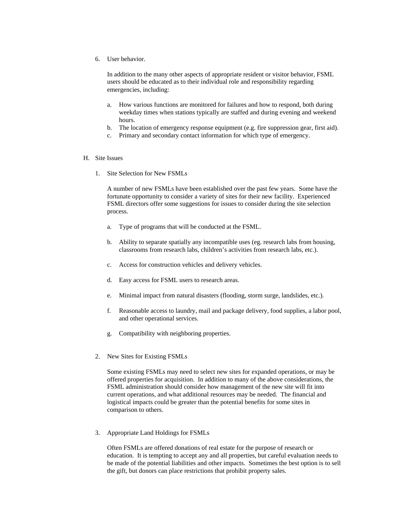6. User behavior.

In addition to the many other aspects of appropriate resident or visitor behavior, FSML users should be educated as to their individual role and responsibility regarding emergencies, including:

- a. How various functions are monitored for failures and how to respond, both during weekday times when stations typically are staffed and during evening and weekend hours.
- b. The location of emergency response equipment (e.g. fire suppression gear, first aid).
- c. Primary and secondary contact information for which type of emergency.

#### H. Site Issues

1. Site Selection for New FSMLs

A number of new FSMLs have been established over the past few years. Some have the fortunate opportunity to consider a variety of sites for their new facility. Experienced FSML directors offer some suggestions for issues to consider during the site selection process.

- a. Type of programs that will be conducted at the FSML.
- b. Ability to separate spatially any incompatible uses (eg. research labs from housing, classrooms from research labs, children's activities from research labs, etc.).
- c. Access for construction vehicles and delivery vehicles.
- d. Easy access for FSML users to research areas.
- e. Minimal impact from natural disasters (flooding, storm surge, landslides, etc.).
- f. Reasonable access to laundry, mail and package delivery, food supplies, a labor pool, and other operational services.
- g. Compatibility with neighboring properties.
- 2. New Sites for Existing FSMLs

Some existing FSMLs may need to select new sites for expanded operations, or may be offered properties for acquisition. In addition to many of the above considerations, the FSML administration should consider how management of the new site will fit into current operations, and what additional resources may be needed. The financial and logistical impacts could be greater than the potential benefits for some sites in comparison to others.

3. Appropriate Land Holdings for FSMLs

Often FSMLs are offered donations of real estate for the purpose of research or education. It is tempting to accept any and all properties, but careful evaluation needs to be made of the potential liabilities and other impacts. Sometimes the best option is to sell the gift, but donors can place restrictions that prohibit property sales.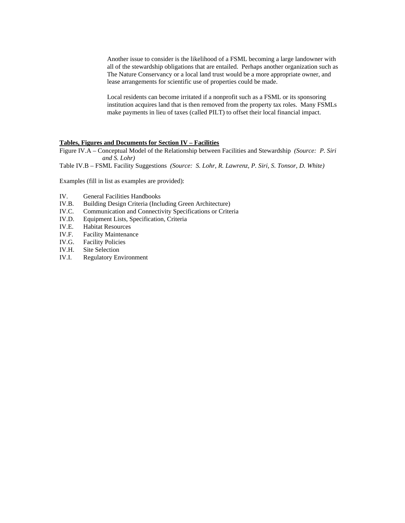Another issue to consider is the likelihood of a FSML becoming a large landowner with all of the stewardship obligations that are entailed. Perhaps another organization such as The Nature Conservancy or a local land trust would be a more appropriate owner, and lease arrangements for scientific use of properties could be made.

Local residents can become irritated if a nonprofit such as a FSML or its sponsoring institution acquires land that is then removed from the property tax roles. Many FSMLs make payments in lieu of taxes (called PILT) to offset their local financial impact.

## **Tables, Figures and Documents for Section IV – Facilities**

Figure IV.A – Conceptual Model of the Relationship between Facilities and Stewardship *(Source: P. Siri and S. Lohr)*

Table IV.B – FSML Facility Suggestions *(Source: S. Lohr, R. Lawrenz, P. Siri, S. Tonsor, D. White)*

Examples (fill in list as examples are provided):

- IV. General Facilities Handbooks
- IV.B. Building Design Criteria (Including Green Architecture)
- IV.C. Communication and Connectivity Specifications or Criteria
- IV.D. Equipment Lists, Specification, Criteria
- IV.E. Habitat Resources<br>IV.F. Facility Maintenan
- Facility Maintenance
- IV.G. Facility Policies
- IV.H. Site Selection
- IV.I. Regulatory Environment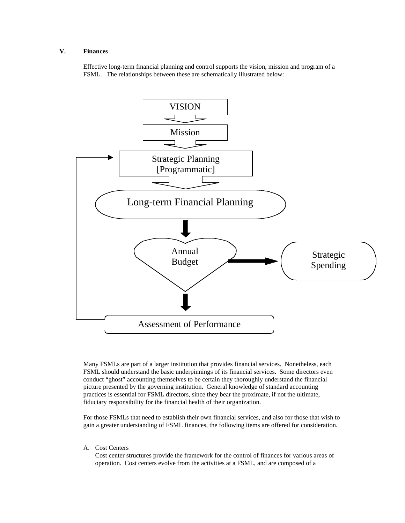# **V. Finances**

Effective long-term financial planning and control supports the vision, mission and program of a FSML. The relationships between these are schematically illustrated below:



Many FSMLs are part of a larger institution that provides financial services. Nonetheless, each FSML should understand the basic underpinnings of its financial services. Some directors even conduct "ghost" accounting themselves to be certain they thoroughly understand the financial picture presented by the governing institution. General knowledge of standard accounting practices is essential for FSML directors, since they bear the proximate, if not the ultimate, fiduciary responsibility for the financial health of their organization.

For those FSMLs that need to establish their own financial services, and also for those that wish to gain a greater understanding of FSML finances, the following items are offered for consideration.

A. Cost Centers

Cost center structures provide the framework for the control of finances for various areas of operation. Cost centers evolve from the activities at a FSML, and are composed of a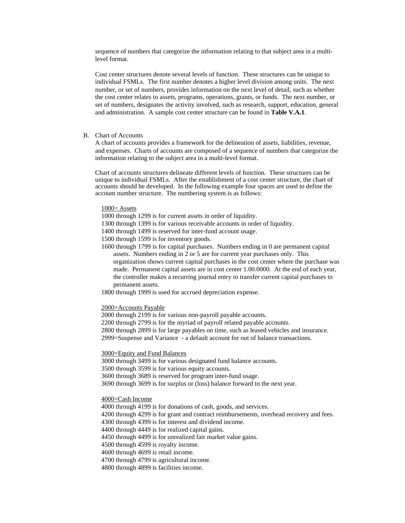sequence of numbers that categorize the information relating to that subject area in a multilevel format.

Cost center structures denote several levels of function. These structures can be unique to individual FSMLs. The first number denotes a higher level division among units. The next number, or set of numbers, provides information on the next level of detail, such as whether the cost center relates to assets, programs, operations, grants, or funds. The next number, or set of numbers, designates the activity involved, such as research, support, education, general and administration. A sample cost center structure can be found in **Table V.A.1**.

## B. Chart of Accounts

A chart of accounts provides a framework for the delineation of assets, liabilities, revenue, and expenses. Charts of accounts are composed of a sequence of numbers that categorize the information relating to the subject area in a multi-level format.

Chart of accounts structures delineate different levels of function. These structures can be unique to individual FSMLs. After the establishment of a cost center structure, the chart of accounts should be developed. In the following example four spaces are used to define the account number structure. The numbering system is as follows:

#### $1000 =$  Assets

- 1000 through 1299 is for current assets in order of liquidity.
- 1300 through 1399 is for various receivable accounts in order of liquidity.
- 1400 through 1499 is reserved for inter-fund account usage.
- 1500 through 1599 is for inventory goods.
- 1600 through 1799 is for capital purchases. Numbers ending in 0 are permanent capital assets. Numbers ending in 2 or 5 are for current year purchases only. This organization shows current capital purchases in the cost center where the purchase was made. Permanent capital assets are in cost center 1.00.0000. At the end of each year, the controller makes a recurring journal entry to transfer current capital purchases to permanent assets.
- 1800 through 1999 is used for accrued depreciation expense.

#### 2000=Accounts Payable

2000 through 2199 is for various non-payroll payable accounts.

2200 through 2799 is for the myriad of payroll related payable accounts.

2800 through 2899 is for large payables on time, such as leased vehicles and insurance.

2999=Suspense and Variance - a default account for out of balance transactions.

#### 3000=Equity and Fund Balances

3000 through 3499 is for various designated fund balance accounts. 3500 through 3599 is for various equity accounts. 3600 through 3689 is reserved for program inter-fund usage. 3690 through 3699 is for surplus or (loss) balance forward to the next year.

#### 4000=Cash Income

4000 through 4199 is for donations of cash, goods, and services. 4200 through 4299 is for grant and contract reimbursements, overhead recovery and fees. 4300 through 4399 is for interest and dividend income. 4400 through 4449 is for realized capital gains. 4450 through 4499 is for unrealized fair market value gains. 4500 through 4599 is royalty income. 4600 through 4699 is retail income. 4700 through 4799 is agricultural income. 4800 through 4899 is facilities income.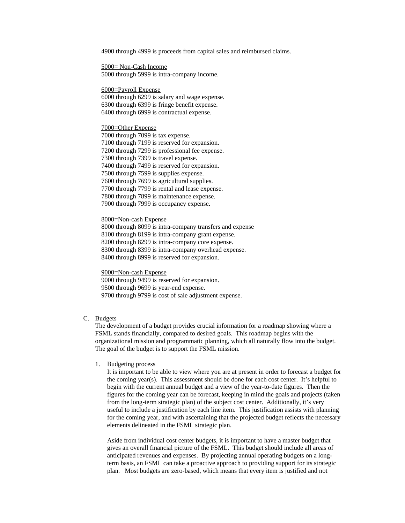4900 through 4999 is proceeds from capital sales and reimbursed claims.

5000= Non-Cash Income 5000 through 5999 is intra-company income.

6000=Payroll Expense

6000 through 6299 is salary and wage expense. 6300 through 6399 is fringe benefit expense. 6400 through 6999 is contractual expense.

## 7000=Other Expense

7000 through 7099 is tax expense. 7100 through 7199 is reserved for expansion. 7200 through 7299 is professional fee expense. 7300 through 7399 is travel expense. 7400 through 7499 is reserved for expansion. 7500 through 7599 is supplies expense. 7600 through 7699 is agricultural supplies. 7700 through 7799 is rental and lease expense. 7800 through 7899 is maintenance expense. 7900 through 7999 is occupancy expense.

#### 8000=Non-cash Expense

8000 through 8099 is intra-company transfers and expense 8100 through 8199 is intra-company grant expense. 8200 through 8299 is intra-company core expense. 8300 through 8399 is intra-company overhead expense. 8400 through 8999 is reserved for expansion.

## 9000=Non-cash Expense

9000 through 9499 is reserved for expansion. 9500 through 9699 is year-end expense. 9700 through 9799 is cost of sale adjustment expense.

## C. Budgets

The development of a budget provides crucial information for a roadmap showing where a FSML stands financially, compared to desired goals. This roadmap begins with the organizational mission and programmatic planning, which all naturally flow into the budget. The goal of the budget is to support the FSML mission.

1. Budgeting process

It is important to be able to view where you are at present in order to forecast a budget for the coming year(s). This assessment should be done for each cost center. It's helpful to begin with the current annual budget and a view of the year-to-date figures. Then the figures for the coming year can be forecast, keeping in mind the goals and projects (taken from the long-term strategic plan) of the subject cost center. Additionally, it's very useful to include a justification by each line item. This justification assists with planning for the coming year, and with ascertaining that the projected budget reflects the necessary elements delineated in the FSML strategic plan.

Aside from individual cost center budgets, it is important to have a master budget that gives an overall financial picture of the FSML. This budget should include all areas of anticipated revenues and expenses. By projecting annual operating budgets on a longterm basis, an FSML can take a proactive approach to providing support for its strategic plan. Most budgets are zero-based, which means that every item is justified and not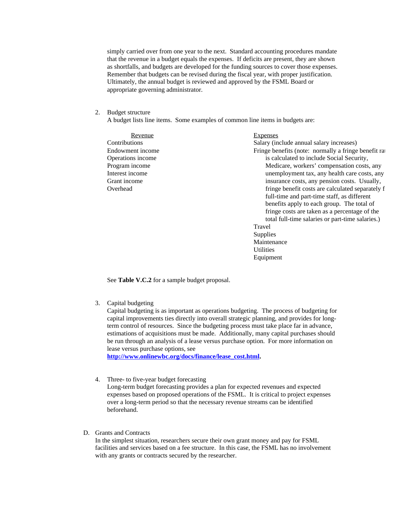simply carried over from one year to the next. Standard accounting procedures mandate that the revenue in a budget equals the expenses. If deficits are present, they are shown as shortfalls, and budgets are developed for the funding sources to cover those expenses. Remember that budgets can be revised during the fiscal year, with proper justification. Ultimately, the annual budget is reviewed and approved by the FSML Board or appropriate governing administrator.

2. Budget structure

A budget lists line items. Some examples of common line items in budgets are:

Revenue Expenses Contributions Salary (include annual salary increases) Endowment income Operations income Program income Interest income Grant income Overhead Fringe benefits (note: normally a fringe benefit rat is calculated to include Social Security, Medicare, workers' compensation costs, any unemployment tax, any health care costs, any insurance costs, any pension costs. Usually, fringe benefit costs are calculated separately f full-time and part-time staff, as different benefits apply to each group. The total of fringe costs are taken as a percentage of the total full-time salaries or part-time salaries.) Travel Supplies Maintenance **Utilities** 

Equipment

See **Table V.C.2** for a sample budget proposal.

3. Capital budgeting

Capital budgeting is as important as operations budgeting. The process of budgeting for capital improvements ties directly into overall strategic planning, and provides for longterm control of resources. Since the budgeting process must take place far in advance, estimations of acquisitions must be made. Additionally, many capital purchases should be run through an analysis of a lease versus purchase option. For more information on lease versus purchase options, see

**http://www.onlinewbc.org/docs/finance/lease\_cost.html.**

4. Three- to five-year budget forecasting

Long-term budget forecasting provides a plan for expected revenues and expected expenses based on proposed operations of the FSML. It is critical to project expenses over a long-term period so that the necessary revenue streams can be identified beforehand.

D. Grants and Contracts

In the simplest situation, researchers secure their own grant money and pay for FSML facilities and services based on a fee structure. In this case, the FSML has no involvement with any grants or contracts secured by the researcher.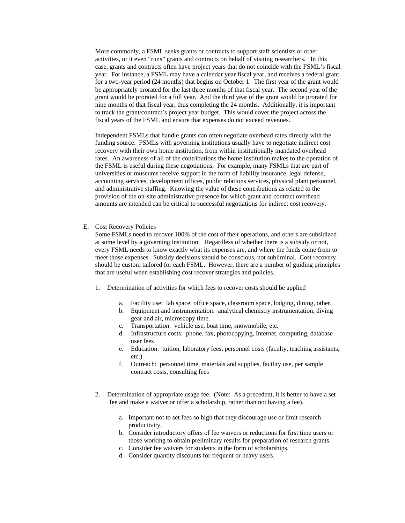More commonly, a FSML seeks grants or contracts to support staff scientists or other activities, or it even "runs" grants and contracts on behalf of visiting researchers. In this case, grants and contracts often have project years that do not coincide with the FSML's fiscal year. For instance, a FSML may have a calendar year fiscal year, and receives a federal grant for a two-year period (24 months) that begins on October 1. The first year of the grant would be appropriately prorated for the last three months of that fiscal year. The second year of the grant would be prorated for a full year. And the third year of the grant would be prorated for nine months of that fiscal year, thus completing the 24 months. Additionally, it is important to track the grant/contract's project year budget. This would cover the project across the fiscal years of the FSML and ensure that expenses do not exceed revenues.

Independent FSMLs that handle grants can often negotiate overhead rates directly with the funding source. FSMLs with governing institutions usually have to negotiate indirect cost recovery with their own home institution, from within institutionally mandated overhead rates. An awareness of all of the contributions the home institution makes to the operation of the FSML is useful during these negotiations. For example, many FSMLs that are part of universities or museums receive support in the form of liability insurance, legal defense, accounting services, development offices, public relations services, physical plant personnel, and administrative staffing. Knowing the value of these contributions as related to the provision of the on-site administrative presence for which grant and contract overhead amounts are intended can be critical to successful negotiations for indirect cost recovery.

E. Cost Recovery Policies

Some FSMLs need to recover 100% of the cost of their operations, and others are subsidized at some level by a governing institution. Regardless of whether there is a subsidy or not, every FSML needs to know exactly what its expenses are, and where the funds come from to meet those expenses. Subsidy decisions should be conscious, not subliminal. Cost recovery should be custom tailored for each FSML. However, there are a number of guiding principles that are useful when establishing cost recover strategies and policies.

- 1. Determination of activities for which fees to recover costs should be applied
	- a. Facility use: lab space, office space, classroom space, lodging, dining, other.
	- b. Equipment and instrumentation: analytical chemistry instrumentation, diving gear and air, microscopy time.
	- c. Transportation: vehicle use, boat time, snowmobile, etc.
	- d. Infrastructure costs: phone, fax, photocopying, Internet, computing, database user fees
	- e. Education: tuition, laboratory fees, personnel costs (faculty, teaching assistants, etc.)
	- f. Outreach: personnel time, materials and supplies, facility use, per sample contract costs, consulting fees
- 2. Determination of appropriate usage fee. (Note: As a precedent, it is better to have a set fee and make a waiver or offer a scholarship, rather than not having a fee).
	- a. Important not to set fees so high that they discourage use or limit research productivity.
	- b. Consider introductory offers of fee waivers or reductions for first time users or those working to obtain preliminary results for preparation of research grants.
	- c. Consider fee waivers for students in the form of scholarships.
	- d. Consider quantity discounts for frequent or heavy users.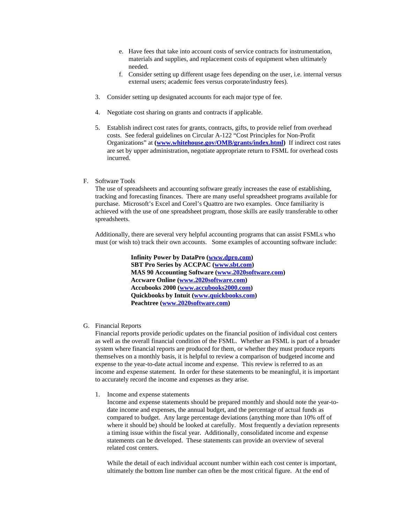- e. Have fees that take into account costs of service contracts for instrumentation, materials and supplies, and replacement costs of equipment when ultimately needed.
- f. Consider setting up different usage fees depending on the user, i.e. internal versus external users; academic fees versus corporate/industry fees).
- 3. Consider setting up designated accounts for each major type of fee.
- 4. Negotiate cost sharing on grants and contracts if applicable.
- 5. Establish indirect cost rates for grants, contracts, gifts, to provide relief from overhead costs. See federal guidelines on Circular A-122 "Cost Principles for Non-Profit Organizations" at **(www.whitehouse.gov/OMB/grants/index.html)** If indirect cost rates are set by upper administration, negotiate appropriate return to FSML for overhead costs incurred.
- F. Software Tools

The use of spreadsheets and accounting software greatly increases the ease of establishing, tracking and forecasting finances. There are many useful spreadsheet programs available for purchase. Microsoft's Excel and Corel's Quattro are two examples. Once familiarity is achieved with the use of one spreadsheet program, those skills are easily transferable to other spreadsheets.

Additionally, there are several very helpful accounting programs that can assist FSMLs who must (or wish to) track their own accounts. Some examples of accounting software include:

> **Infinity Power by DataPro (www.dpro.com) SBT Pro Series by ACCPAC (www.sbt.com) MAS 90 Accounting Software (www.2020software.com) Accware Online (www.2020software.com) Accubooks 2000 (www.accubooks2000.com) Quickbooks by Intuit (www.quickbooks.com) Peachtree (www.2020software.com)**

G. Financial Reports

Financial reports provide periodic updates on the financial position of individual cost centers as well as the overall financial condition of the FSML. Whether an FSML is part of a broader system where financial reports are produced for them, or whether they must produce reports themselves on a monthly basis, it is helpful to review a comparison of budgeted income and expense to the year-to-date actual income and expense. This review is referred to as an income and expense statement. In order for these statements to be meaningful, it is important to accurately record the income and expenses as they arise.

1. Income and expense statements

Income and expense statements should be prepared monthly and should note the year-todate income and expenses, the annual budget, and the percentage of actual funds as compared to budget. Any large percentage deviations (anything more than 10% off of where it should be) should be looked at carefully. Most frequently a deviation represents a timing issue within the fiscal year. Additionally, consolidated income and expense statements can be developed. These statements can provide an overview of several related cost centers.

While the detail of each individual account number within each cost center is important, ultimately the bottom line number can often be the most critical figure. At the end of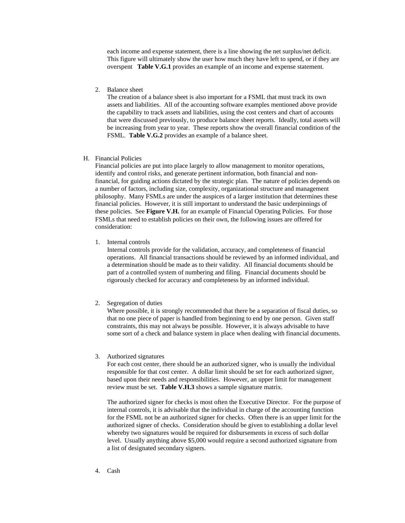each income and expense statement, there is a line showing the net surplus/net deficit. This figure will ultimately show the user how much they have left to spend, or if they are overspent **Table V.G.1** provides an example of an income and expense statement.

2. Balance sheet

The creation of a balance sheet is also important for a FSML that must track its own assets and liabilities. All of the accounting software examples mentioned above provide the capability to track assets and liabilities, using the cost centers and chart of accounts that were discussed previously, to produce balance sheet reports. Ideally, total assets will be increasing from year to year. These reports show the overall financial condition of the FSML. **Table V.G.2** provides an example of a balance sheet.

H. Financial Policies

Financial policies are put into place largely to allow management to monitor operations, identify and control risks, and generate pertinent information, both financial and nonfinancial, for guiding actions dictated by the strategic plan. The nature of policies depends on a number of factors, including size, complexity, organizational structure and management philosophy. Many FSMLs are under the auspices of a larger institution that determines these financial policies. However, it is still important to understand the basic underpinnings of these policies. See **Figure V.H.** for an example of Financial Operating Policies. For those FSMLs that need to establish policies on their own, the following issues are offered for consideration:

1. Internal controls

Internal controls provide for the validation, accuracy, and completeness of financial operations. All financial transactions should be reviewed by an informed individual, and a determination should be made as to their validity. All financial documents should be part of a controlled system of numbering and filing. Financial documents should be rigorously checked for accuracy and completeness by an informed individual.

2. Segregation of duties

Where possible, it is strongly recommended that there be a separation of fiscal duties, so that no one piece of paper is handled from beginning to end by one person. Given staff constraints, this may not always be possible. However, it is always advisable to have some sort of a check and balance system in place when dealing with financial documents.

3. Authorized signatures

For each cost center, there should be an authorized signer, who is usually the individual responsible for that cost center. A dollar limit should be set for each authorized signer, based upon their needs and responsibilities. However, an upper limit for management review must be set. **Table V.H.3** shows a sample signature matrix.

The authorized signer for checks is most often the Executive Director. For the purpose of internal controls, it is advisable that the individual in charge of the accounting function for the FSML not be an authorized signer for checks. Often there is an upper limit for the authorized signer of checks. Consideration should be given to establishing a dollar level whereby two signatures would be required for disbursements in excess of such dollar level. Usually anything above \$5,000 would require a second authorized signature from a list of designated secondary signers.

4. Cash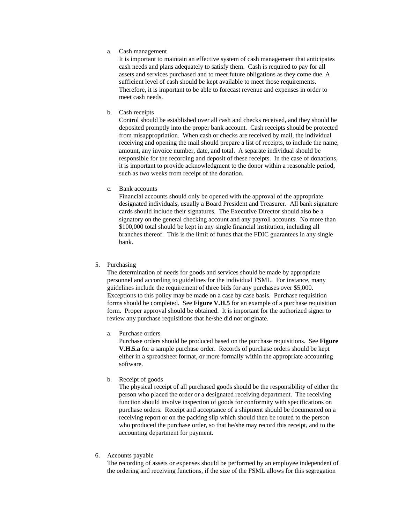a. Cash management

It is important to maintain an effective system of cash management that anticipates cash needs and plans adequately to satisfy them. Cash is required to pay for all assets and services purchased and to meet future obligations as they come due. A sufficient level of cash should be kept available to meet those requirements. Therefore, it is important to be able to forecast revenue and expenses in order to meet cash needs.

b. Cash receipts

Control should be established over all cash and checks received, and they should be deposited promptly into the proper bank account. Cash receipts should be protected from misappropriation. When cash or checks are received by mail, the individual receiving and opening the mail should prepare a list of receipts, to include the name, amount, any invoice number, date, and total. A separate individual should be responsible for the recording and deposit of these receipts. In the case of donations, it is important to provide acknowledgment to the donor within a reasonable period, such as two weeks from receipt of the donation.

c. Bank accounts

Financial accounts should only be opened with the approval of the appropriate designated individuals, usually a Board President and Treasurer. All bank signature cards should include their signatures. The Executive Director should also be a signatory on the general checking account and any payroll accounts. No more than \$100,000 total should be kept in any single financial institution, including all branches thereof. This is the limit of funds that the FDIC guarantees in any single bank.

5. Purchasing

The determination of needs for goods and services should be made by appropriate personnel and according to guidelines for the individual FSML. For instance, many guidelines include the requirement of three bids for any purchases over \$5,000. Exceptions to this policy may be made on a case by case basis. Purchase requisition forms should be completed. See **Figure V.H.5** for an example of a purchase requisition form. Proper approval should be obtained. It is important for the authorized signer to review any purchase requisitions that he/she did not originate.

a. Purchase orders

Purchase orders should be produced based on the purchase requisitions. See **Figure V.H.5.a** for a sample purchase order. Records of purchase orders should be kept either in a spreadsheet format, or more formally within the appropriate accounting software.

b. Receipt of goods

The physical receipt of all purchased goods should be the responsibility of either the person who placed the order or a designated receiving department. The receiving function should involve inspection of goods for conformity with specifications on purchase orders. Receipt and acceptance of a shipment should be documented on a receiving report or on the packing slip which should then be routed to the person who produced the purchase order, so that he/she may record this receipt, and to the accounting department for payment.

6. Accounts payable

The recording of assets or expenses should be performed by an employee independent of the ordering and receiving functions, if the size of the FSML allows for this segregation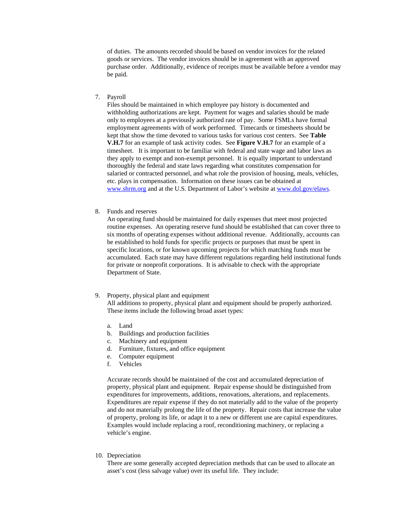of duties. The amounts recorded should be based on vendor invoices for the related goods or services. The vendor invoices should be in agreement with an approved purchase order. Additionally, evidence of receipts must be available before a vendor may be paid.

# 7. Payroll

Files should be maintained in which employee pay history is documented and withholding authorizations are kept. Payment for wages and salaries should be made only to employees at a previously authorized rate of pay. Some FSMLs have formal employment agreements with of work performed. Timecards or timesheets should be kept that show the time devoted to various tasks for various cost centers. See **Table V.H.7** for an example of task activity codes. See **Figure V.H.7** for an example of a timesheet. It is important to be familiar with federal and state wage and labor laws as they apply to exempt and non-exempt personnel. It is equally important to understand thoroughly the federal and state laws regarding what constitutes compensation for salaried or contracted personnel, and what role the provision of housing, meals, vehicles, etc. plays in compensation. Information on these issues can be obtained at www.shrm.org and at the U.S. Department of Labor's website at www.dol.gov/elaws.

## 8. Funds and reserves

An operating fund should be maintained for daily expenses that meet most projected routine expenses. An operating reserve fund should be established that can cover three to six months of operating expenses without additional revenue. Additionally, accounts can be established to hold funds for specific projects or purposes that must be spent in specific locations, or for known upcoming projects for which matching funds must be accumulated. Each state may have different regulations regarding held institutional funds for private or nonprofit corporations. It is advisable to check with the appropriate Department of State.

#### 9. Property, physical plant and equipment

All additions to property, physical plant and equipment should be properly authorized. These items include the following broad asset types:

- a. Land
- b. Buildings and production facilities
- c. Machinery and equipment
- d. Furniture, fixtures, and office equipment
- e. Computer equipment
- f. Vehicles

Accurate records should be maintained of the cost and accumulated depreciation of property, physical plant and equipment. Repair expense should be distinguished from expenditures for improvements, additions, renovations, alterations, and replacements. Expenditures are repair expense if they do not materially add to the value of the property and do not materially prolong the life of the property. Repair costs that increase the value of property, prolong its life, or adapt it to a new or different use are capital expenditures. Examples would include replacing a roof, reconditioning machinery, or replacing a vehicle's engine.

10. Depreciation

There are some generally accepted depreciation methods that can be used to allocate an asset's cost (less salvage value) over its useful life. They include: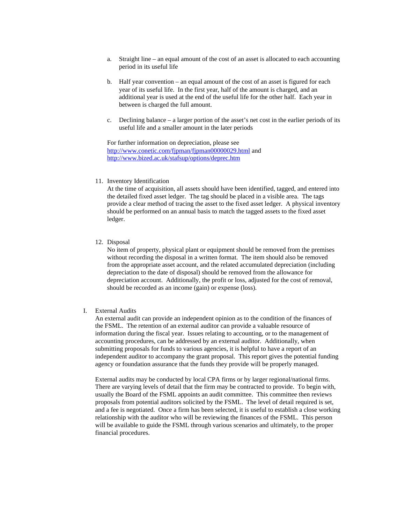- a. Straight line an equal amount of the cost of an asset is allocated to each accounting period in its useful life
- b. Half year convention an equal amount of the cost of an asset is figured for each year of its useful life. In the first year, half of the amount is charged, and an additional year is used at the end of the useful life for the other half. Each year in between is charged the full amount.
- c. Declining balance a larger portion of the asset's net cost in the earlier periods of its useful life and a smaller amount in the later periods

For further information on depreciation, please see http://www.conetic.com/fjpman/fjpman00000029.html and http://www.bized.ac.uk/stafsup/options/deprec.htm

11. Inventory Identification

At the time of acquisition, all assets should have been identified, tagged, and entered into the detailed fixed asset ledger. The tag should be placed in a visible area. The tags provide a clear method of tracing the asset to the fixed asset ledger. A physical inventory should be performed on an annual basis to match the tagged assets to the fixed asset ledger.

12. Disposal

No item of property, physical plant or equipment should be removed from the premises without recording the disposal in a written format. The item should also be removed from the appropriate asset account, and the related accumulated depreciation (including depreciation to the date of disposal) should be removed from the allowance for depreciation account. Additionally, the profit or loss, adjusted for the cost of removal, should be recorded as an income (gain) or expense (loss).

I. External Audits

An external audit can provide an independent opinion as to the condition of the finances of the FSML. The retention of an external auditor can provide a valuable resource of information during the fiscal year. Issues relating to accounting, or to the management of accounting procedures, can be addressed by an external auditor. Additionally, when submitting proposals for funds to various agencies, it is helpful to have a report of an independent auditor to accompany the grant proposal. This report gives the potential funding agency or foundation assurance that the funds they provide will be properly managed.

External audits may be conducted by local CPA firms or by larger regional/national firms. There are varying levels of detail that the firm may be contracted to provide. To begin with, usually the Board of the FSML appoints an audit committee. This committee then reviews proposals from potential auditors solicited by the FSML. The level of detail required is set, and a fee is negotiated. Once a firm has been selected, it is useful to establish a close working relationship with the auditor who will be reviewing the finances of the FSML. This person will be available to guide the FSML through various scenarios and ultimately, to the proper financial procedures.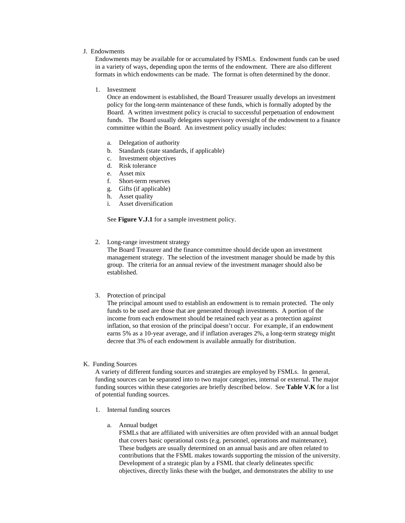## J. Endowments

Endowments may be available for or accumulated by FSMLs. Endowment funds can be used in a variety of ways, depending upon the terms of the endowment. There are also different formats in which endowments can be made. The format is often determined by the donor.

1. Investment

Once an endowment is established, the Board Treasurer usually develops an investment policy for the long-term maintenance of these funds, which is formally adopted by the Board. A written investment policy is crucial to successful perpetuation of endowment funds. The Board usually delegates supervisory oversight of the endowment to a finance committee within the Board. An investment policy usually includes:

- a. Delegation of authority
- b. Standards (state standards, if applicable)
- c. Investment objectives
- d. Risk tolerance
- e. Asset mix
- f. Short-term reserves
- g. Gifts (if applicable)
- h. Asset quality
- i. Asset diversification

See **Figure V.J.1** for a sample investment policy.

2. Long-range investment strategy

The Board Treasurer and the finance committee should decide upon an investment management strategy. The selection of the investment manager should be made by this group. The criteria for an annual review of the investment manager should also be established.

3. Protection of principal

The principal amount used to establish an endowment is to remain protected. The only funds to be used are those that are generated through investments. A portion of the income from each endowment should be retained each year as a protection against inflation, so that erosion of the principal doesn't occur. For example, if an endowment earns 5% as a 10-year average, and if inflation averages 2%, a long-term strategy might decree that 3% of each endowment is available annually for distribution.

K. Funding Sources

A variety of different funding sources and strategies are employed by FSMLs. In general, funding sources can be separated into to two major categories, internal or external. The major funding sources within these categories are briefly described below. See **Table V.K** for a list of potential funding sources.

- 1. Internal funding sources
	- a. Annual budget

FSMLs that are affiliated with universities are often provided with an annual budget that covers basic operational costs (e.g. personnel, operations and maintenance). These budgets are usually determined on an annual basis and are often related to contributions that the FSML makes towards supporting the mission of the university. Development of a strategic plan by a FSML that clearly delineates specific objectives, directly links these with the budget, and demonstrates the ability to use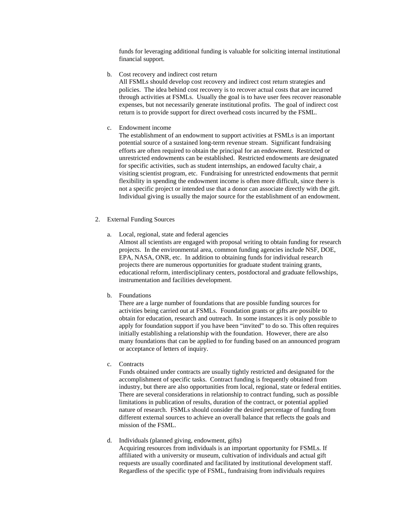funds for leveraging additional funding is valuable for soliciting internal institutional financial support.

b. Cost recovery and indirect cost return

All FSMLs should develop cost recovery and indirect cost return strategies and policies. The idea behind cost recovery is to recover actual costs that are incurred through activities at FSMLs. Usually the goal is to have user fees recover reasonable expenses, but not necessarily generate institutional profits. The goal of indirect cost return is to provide support for direct overhead costs incurred by the FSML.

c. Endowment income

The establishment of an endowment to support activities at FSMLs is an important potential source of a sustained long-term revenue stream. Significant fundraising efforts are often required to obtain the principal for an endowment. Restricted or unrestricted endowments can be established. Restricted endowments are designated for specific activities, such as student internships, an endowed faculty chair, a visiting scientist program, etc. Fundraising for unrestricted endowments that permit flexibility in spending the endowment income is often more difficult, since there is not a specific project or intended use that a donor can associate directly with the gift. Individual giving is usually the major source for the establishment of an endowment.

- 2. External Funding Sources
	- a. Local, regional, state and federal agencies

Almost all scientists are engaged with proposal writing to obtain funding for research projects. In the environmental area, common funding agencies include NSF, DOE, EPA, NASA, ONR, etc. In addition to obtaining funds for individual research projects there are numerous opportunities for graduate student training grants, educational reform, interdisciplinary centers, postdoctoral and graduate fellowships, instrumentation and facilities development.

b. Foundations

There are a large number of foundations that are possible funding sources for activities being carried out at FSMLs. Foundation grants or gifts are possible to obtain for education, research and outreach. In some instances it is only possible to apply for foundation support if you have been "invited" to do so. This often requires initially establishing a relationship with the foundation. However, there are also many foundations that can be applied to for funding based on an announced program or acceptance of letters of inquiry.

c. Contracts

Funds obtained under contracts are usually tightly restricted and designated for the accomplishment of specific tasks. Contract funding is frequently obtained from industry, but there are also opportunities from local, regional, state or federal entities. There are several considerations in relationship to contract funding, such as possible limitations in publication of results, duration of the contract, or potential applied nature of research. FSMLs should consider the desired percentage of funding from different external sources to achieve an overall balance that reflects the goals and mission of the FSML.

## d. Individuals (planned giving, endowment, gifts)

Acquiring resources from individuals is an important opportunity for FSMLs. If affiliated with a university or museum, cultivation of individuals and actual gift requests are usually coordinated and facilitated by institutional development staff. Regardless of the specific type of FSML, fundraising from individuals requires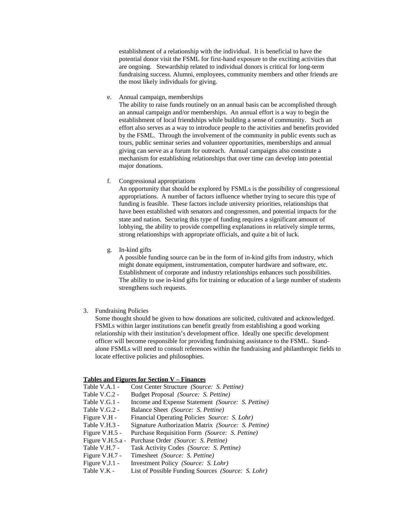establishment of a relationship with the individual. It is beneficial to have the potential donor visit the FSML for first-hand exposure to the exciting activities that are ongoing. Stewardship related to individual donors is critical for long-term fundraising success. Alumni, employees, community members and other friends are the most likely individuals for giving.

e. Annual campaign, memberships

The ability to raise funds routinely on an annual basis can be accomplished through an annual campaign and/or memberships. An annual effort is a way to begin the establishment of local friendships while building a sense of community. Such an effort also serves as a way to introduce people to the activities and benefits provided by the FSML. Through the involvement of the community in public events such as tours, public seminar series and volunteer opportunities, memberships and annual giving can serve as a forum for outreach. Annual campaigns also constitute a mechanism for establishing relationships that over time can develop into potential major donations.

f. Congressional appropriations

An opportunity that should be explored by FSMLs is the possibility of congressional appropriations. A number of factors influence whether trying to secure this type of funding is feasible. These factors include university priorities, relationships that have been established with senators and congressmen, and potential impacts for the state and nation. Securing this type of funding requires a significant amount of lobbying, the ability to provide compelling explanations in relatively simple terms, strong relationships with appropriate officials, and quite a bit of luck.

g. In-kind gifts

A possible funding source can be in the form of in-kind gifts from industry, which might donate equipment, instrumentation, computer hardware and software, etc. Establishment of corporate and industry relationships enhances such possibilities. The ability to use in-kind gifts for training or education of a large number of students strengthens such requests.

3. Fundraising Policies

Some thought should be given to how donations are solicited, cultivated and acknowledged. FSMLs within larger institutions can benefit greatly from establishing a good working relationship with their institution's development office. Ideally one specific development officer will become responsible for providing fundraising assistance to the FSML. Standalone FSMLs will need to consult references within the fundraising and philanthropic fields to locate effective policies and philosophies.

#### **Tables and Figures for Section V – Finances**

| Table V.A.1 -    | Cost Center Structure (Source: S. Pettine)                |
|------------------|-----------------------------------------------------------|
| Table V.C.2 -    | Budget Proposal (Source: S. Pettine)                      |
| Table V.G.1 -    | Income and Expense Statement (Source: S. Pettine)         |
| Table V.G.2 -    | Balance Sheet (Source: S. Pettine)                        |
| Figure V.H -     | Financial Operating Policies Source: S. Lohr)             |
| Table V.H.3 -    | Signature Authorization Matrix (Source: S. Pettine)       |
| Figure V.H.5 -   | Purchase Requisition Form (Source: S. Pettine)            |
| Figure V.H.5.a - | Purchase Order (Source: S. Pettine)                       |
| Table V.H.7 -    | Task Activity Codes (Source: S. Pettine)                  |
| Figure V.H.7 -   | Timesheet (Source: S. Pettine)                            |
| Figure V.J.1 -   | Investment Policy (Source: S. Lohr)                       |
| Table V.K -      | List of Possible Funding Sources <i>(Source: S. Lohr)</i> |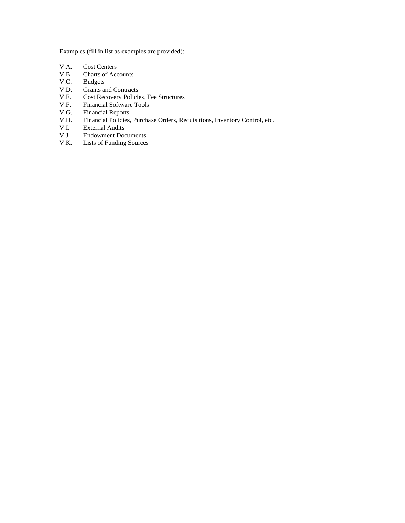Examples (fill in list as examples are provided):

- 
- V.A. Cost Centers<br>V.B. Charts of Acc V.B. Charts of Accounts<br>V.C. Budgets
- **Budgets**
- V.D. Grants and Contracts<br>V.E. Cost Recovery Policie
- Cost Recovery Policies, Fee Structures
- V.F. Financial Software Tools
- V.G. Financial Reports<br>V.H. Financial Policies,
- V.H. Financial Policies, Purchase Orders, Requisitions, Inventory Control, etc.
- V.I. External Audits<br>V.J. Endowment Doc
- V.J. Endowment Documents<br>V.K. Lists of Funding Sources
- Lists of Funding Sources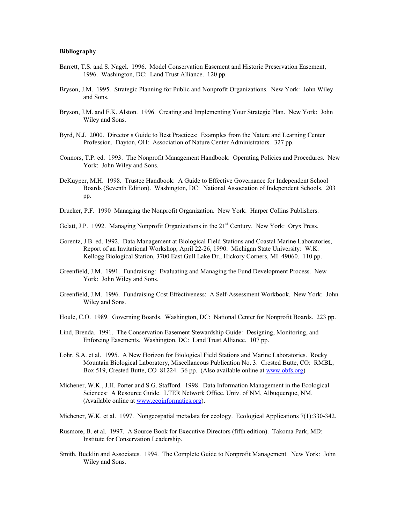# **Bibliography**

- Barrett, T.S. and S. Nagel. 1996. Model Conservation Easement and Historic Preservation Easement, 1996. Washington, DC: Land Trust Alliance. 120 pp.
- Bryson, J.M. 1995. Strategic Planning for Public and Nonprofit Organizations. New York: John Wiley and Sons.
- Bryson, J.M. and F.K. Alston. 1996. Creating and Implementing Your Strategic Plan. New York: John Wiley and Sons.
- Byrd, N.J. 2000. Director s Guide to Best Practices: Examples from the Nature and Learning Center Profession. Dayton, OH: Association of Nature Center Administrators. 327 pp.
- Connors, T.P. ed. 1993. The Nonprofit Management Handbook: Operating Policies and Procedures. New York: John Wiley and Sons.
- DeKuyper, M.H. 1998. Trustee Handbook: A Guide to Effective Governance for Independent School Boards (Seventh Edition). Washington, DC: National Association of Independent Schools. 203 pp.
- Drucker, P.F. 1990 Managing the Nonprofit Organization. New York: Harper Collins Publishers.
- Gelatt, J.P. 1992. Managing Nonprofit Organizations in the  $21<sup>st</sup>$  Century. New York: Oryx Press.
- Gorentz, J.B. ed. 1992. Data Management at Biological Field Stations and Coastal Marine Laboratories, Report of an Invitational Workshop, April 22-26, 1990. Michigan State University: W.K. Kellogg Biological Station, 3700 East Gull Lake Dr., Hickory Corners, MI 49060. 110 pp.
- Greenfield, J.M. 1991. Fundraising: Evaluating and Managing the Fund Development Process. New York: John Wiley and Sons.
- Greenfield, J.M. 1996. Fundraising Cost Effectiveness: A Self-Assessment Workbook. New York: John Wiley and Sons.
- Houle, C.O. 1989. Governing Boards. Washington, DC: National Center for Nonprofit Boards. 223 pp.
- Lind, Brenda. 1991. The Conservation Easement Stewardship Guide: Designing, Monitoring, and Enforcing Easements. Washington, DC: Land Trust Alliance. 107 pp.
- Lohr, S.A. et al. 1995. A New Horizon for Biological Field Stations and Marine Laboratories. Rocky Mountain Biological Laboratory, Miscellaneous Publication No. 3. Crested Butte, CO: RMBL, Box 519, Crested Butte, CO 81224. 36 pp. (Also available online at www.obfs.org)
- Michener, W.K., J.H. Porter and S.G. Stafford. 1998. Data Information Management in the Ecological Sciences: A Resource Guide. LTER Network Office, Univ. of NM, Albuquerque, NM. (Available online at www.ecoinformatics.org).
- Michener, W.K. et al. 1997. Nongeospatial metadata for ecology. Ecological Applications 7(1):330-342.
- Rusmore, B. et al. 1997. A Source Book for Executive Directors (fifth edition). Takoma Park, MD: Institute for Conservation Leadership.
- Smith, Bucklin and Associates. 1994. The Complete Guide to Nonprofit Management. New York: John Wiley and Sons.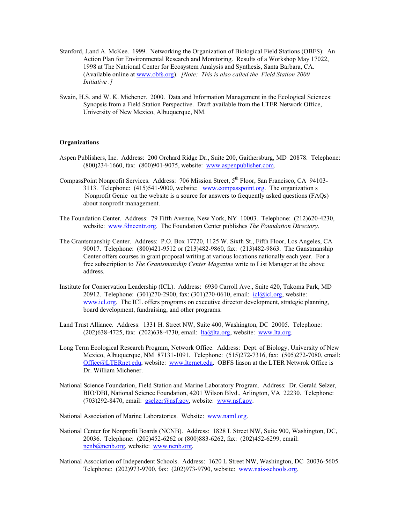- Stanford, J.and A. McKee. 1999. Networking the Organization of Biological Field Stations (OBFS): An Action Plan for Environmental Research and Monitoring. Results of a Workshop May 17022, 1998 at The Natrional Center for Ecosystem Analysis and Synthesis, Santa Barbara, CA. (Available online at www.obfs.org). *[Note: This is also called the Field Station 2000 Initiative .]*
- Swain, H.S. and W. K. Michener. 2000. Data and Information Management in the Ecological Sciences: Synopsis from a Field Station Perspective. Draft available from the LTER Network Office, University of New Mexico, Albuquerque, NM.

#### **Organizations**

- Aspen Publishers, Inc. Address: 200 Orchard Ridge Dr., Suite 200, Gaithersburg, MD 20878. Telephone: (800)234-1660, fax: (800)901-9075, website: www.aspenpublisher.com.
- CompassPoint Nonprofit Services. Address: 706 Mission Street, 5<sup>th</sup> Floor, San Francisco, CA 94103-3113. Telephone: (415)541-9000, website: www.compasspoint.org. The organization s Nonprofit Genie on the website is a source for answers to frequently asked questions (FAQs) about nonprofit management.
- The Foundation Center. Address: 79 Fifth Avenue, New York, NY 10003. Telephone: (212)620-4230, website: www.fdncentr.org. The Foundation Center publishes *The Foundation Directory*.
- The Grantsmanship Center. Address: P.O. Box 17720, 1125 W. Sixth St., Fifth Floor, Los Angeles, CA 90017. Telephone: (800)421-9512 or (213)482-9860, fax: (213)482-9863. The Ganstmanship Center offers courses in grant proposal writing at various locations nationally each year. For a free subscription to *The Grantsmanship Center Magazine* write to List Manager at the above address.
- Institute for Conservation Leadership (ICL). Address: 6930 Carroll Ave., Suite 420, Takoma Park, MD 20912. Telephone: (301)270-2900, fax: (301)270-0610, email: icl@icl.org, website: www.icl.org. The ICL offers programs on executive director development, strategic planning, board development, fundraising, and other programs.
- Land Trust Alliance. Address: 1331 H. Street NW, Suite 400, Washington, DC 20005. Telephone:  $(202)638-4725$ , fax:  $(202)638-4730$ , email:  $lta@lta.org$ , website: www.lta.org.
- Long Term Ecological Research Program, Network Office. Address: Dept. of Biology, University of New Mexico, Albuquerque, NM 87131-1091. Telephone: (515)272-7316, fax: (505)272-7080, email: Office@LTERnet.edu, website: www.lternet.edu. OBFS liason at the LTER Netwrok Office is Dr. William Michener.
- National Science Foundation, Field Station and Marine Laboratory Program. Address: Dr. Gerald Selzer, BIO/DBI, National Science Foundation, 4201 Wilson Blvd., Arlington, VA 22230. Telephone:  $(703)292-8470$ , email:  $gselzer@nsf.gov$ , website: www.nsf.gov.

National Association of Marine Laboratories. Website: www.naml.org.

- National Center for Nonprofit Boards (NCNB). Address: 1828 L Street NW, Suite 900, Washington, DC, 20036. Telephone: (202)452-6262 or (800)883-6262, fax: (202)452-6299, email: ncnb@ncnb.org, website: www.ncnb.org.
- National Association of Independent Schools. Address: 1620 L Street NW, Washington, DC 20036-5605. Telephone: (202)973-9700, fax: (202)973-9790, website: www.nais-schools.org.